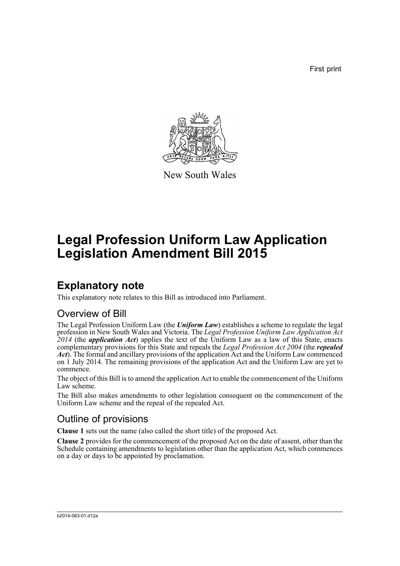First print



New South Wales

# **Legal Profession Uniform Law Application Legislation Amendment Bill 2015**

## **Explanatory note**

This explanatory note relates to this Bill as introduced into Parliament.

## Overview of Bill

The Legal Profession Uniform Law (the *Uniform Law*) establishes a scheme to regulate the legal profession in New South Wales and Victoria. The *Legal Profession Uniform Law Application Act 2014* (the *application Act*) applies the text of the Uniform Law as a law of this State, enacts complementary provisions for this State and repeals the *Legal Profession Act 2004* (the *repealed Act*). The formal and ancillary provisions of the application Act and the Uniform Law commenced on 1 July 2014. The remaining provisions of the application Act and the Uniform Law are yet to commence.

The object of this Bill is to amend the application Act to enable the commencement of the Uniform Law scheme.

The Bill also makes amendments to other legislation consequent on the commencement of the Uniform Law scheme and the repeal of the repealed Act.

## Outline of provisions

**Clause 1** sets out the name (also called the short title) of the proposed Act.

**Clause 2** provides for the commencement of the proposed Act on the date of assent, other than the Schedule containing amendments to legislation other than the application Act, which commences on a day or days to be appointed by proclamation.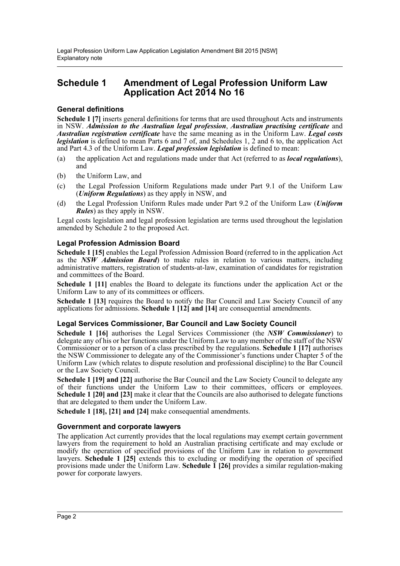### **Schedule 1 Amendment of Legal Profession Uniform Law Application Act 2014 No 16**

#### **General definitions**

**Schedule 1 [7]** inserts general definitions for terms that are used throughout Acts and instruments in NSW. *Admission to the Australian legal profession*, *Australian practising certificate* and *Australian registration certificate* have the same meaning as in the Uniform Law. *Legal costs legislation* is defined to mean Parts 6 and 7 of, and Schedules 1, 2 and 6 to, the application Act and Part 4.3 of the Uniform Law. *Legal profession legislation* is defined to mean:

- (a) the application Act and regulations made under that Act (referred to as *local regulations*), and
- (b) the Uniform Law, and
- (c) the Legal Profession Uniform Regulations made under Part 9.1 of the Uniform Law (*Uniform Regulations*) as they apply in NSW, and
- (d) the Legal Profession Uniform Rules made under Part 9.2 of the Uniform Law (*Uniform Rules*) as they apply in NSW.

Legal costs legislation and legal profession legislation are terms used throughout the legislation amended by Schedule 2 to the proposed Act.

#### **Legal Profession Admission Board**

**Schedule 1 [15]** enables the Legal Profession Admission Board (referred to in the application Act as the *NSW Admission Board*) to make rules in relation to various matters, including administrative matters, registration of students-at-law, examination of candidates for registration and committees of the Board.

**Schedule 1 [11]** enables the Board to delegate its functions under the application Act or the Uniform Law to any of its committees or officers.

**Schedule 1 [13]** requires the Board to notify the Bar Council and Law Society Council of any applications for admissions. **Schedule 1 [12] and [14]** are consequential amendments.

#### **Legal Services Commissioner, Bar Council and Law Society Council**

**Schedule 1 [16]** authorises the Legal Services Commissioner (the *NSW Commissioner*) to delegate any of his or her functions under the Uniform Law to any member of the staff of the NSW Commissioner or to a person of a class prescribed by the regulations. **Schedule 1 [17]** authorises the NSW Commissioner to delegate any of the Commissioner's functions under Chapter 5 of the Uniform Law (which relates to dispute resolution and professional discipline) to the Bar Council or the Law Society Council.

**Schedule 1 [19] and [22]** authorise the Bar Council and the Law Society Council to delegate any of their functions under the Uniform Law to their committees, officers or employees. **Schedule 1 [20] and [23]** make it clear that the Councils are also authorised to delegate functions that are delegated to them under the Uniform Law.

**Schedule 1 [18], [21] and [24]** make consequential amendments.

#### **Government and corporate lawyers**

The application Act currently provides that the local regulations may exempt certain government lawyers from the requirement to hold an Australian practising certificate and may exclude or modify the operation of specified provisions of the Uniform Law in relation to government lawyers. **Schedule 1 [25]** extends this to excluding or modifying the operation of specified provisions made under the Uniform Law. **Schedule 1 [26]** provides a similar regulation-making power for corporate lawyers.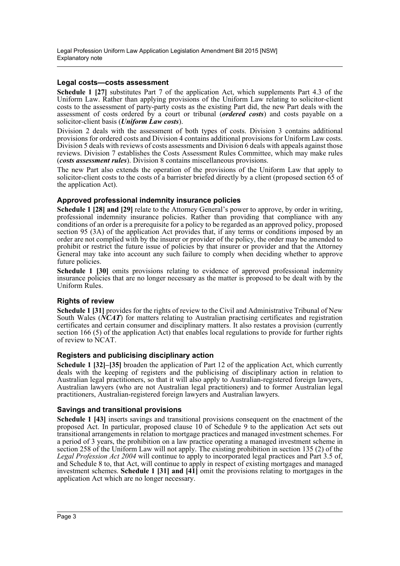#### **Legal costs—costs assessment**

**Schedule 1 [27]** substitutes Part 7 of the application Act, which supplements Part 4.3 of the Uniform Law. Rather than applying provisions of the Uniform Law relating to solicitor-client costs to the assessment of party-party costs as the existing Part did, the new Part deals with the assessment of costs ordered by a court or tribunal (*ordered costs*) and costs payable on a solicitor-client basis (*Uniform Law costs*).

Division 2 deals with the assessment of both types of costs. Division 3 contains additional provisions for ordered costs and Division 4 contains additional provisions for Uniform Law costs. Division 5 deals with reviews of costs assessments and Division 6 deals with appeals against those reviews. Division 7 establishes the Costs Assessment Rules Committee, which may make rules (*costs assessment rules*). Division 8 contains miscellaneous provisions.

The new Part also extends the operation of the provisions of the Uniform Law that apply to solicitor-client costs to the costs of a barrister briefed directly by a client (proposed section 65 of the application Act).

#### **Approved professional indemnity insurance policies**

**Schedule 1 [28] and [29]** relate to the Attorney General's power to approve, by order in writing, professional indemnity insurance policies. Rather than providing that compliance with any conditions of an order is a prerequisite for a policy to be regarded as an approved policy, proposed section 95 (3A) of the application Act provides that, if any terms or conditions imposed by an order are not complied with by the insurer or provider of the policy, the order may be amended to prohibit or restrict the future issue of policies by that insurer or provider and that the Attorney General may take into account any such failure to comply when deciding whether to approve future policies.

**Schedule 1 [30]** omits provisions relating to evidence of approved professional indemnity insurance policies that are no longer necessary as the matter is proposed to be dealt with by the Uniform Rules.

#### **Rights of review**

**Schedule 1 [31]** provides for the rights of review to the Civil and Administrative Tribunal of New South Wales (*NCAT*) for matters relating to Australian practising certificates and registration certificates and certain consumer and disciplinary matters. It also restates a provision (currently section 166 (5) of the application Act) that enables local regulations to provide for further rights of review to NCAT.

#### **Registers and publicising disciplinary action**

**Schedule 1 [32]–[35]** broaden the application of Part 12 of the application Act, which currently deals with the keeping of registers and the publicising of disciplinary action in relation to Australian legal practitioners, so that it will also apply to Australian-registered foreign lawyers, Australian lawyers (who are not Australian legal practitioners) and to former Australian legal practitioners, Australian-registered foreign lawyers and Australian lawyers.

#### **Savings and transitional provisions**

**Schedule 1 [43]** inserts savings and transitional provisions consequent on the enactment of the proposed Act. In particular, proposed clause 10 of Schedule 9 to the application Act sets out transitional arrangements in relation to mortgage practices and managed investment schemes. For a period of 3 years, the prohibition on a law practice operating a managed investment scheme in section 258 of the Uniform Law will not apply. The existing prohibition in section 135 (2) of the *Legal Profession Act 2004* will continue to apply to incorporated legal practices and Part 3.5 of, and Schedule 8 to, that Act, will continue to apply in respect of existing mortgages and managed investment schemes. **Schedule 1 [31] and [41]** omit the provisions relating to mortgages in the application Act which are no longer necessary.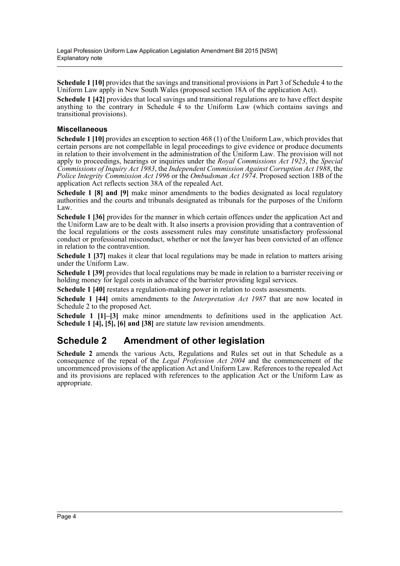**Schedule 1 [10]** provides that the savings and transitional provisions in Part 3 of Schedule 4 to the Uniform Law apply in New South Wales (proposed section 18A of the application Act).

**Schedule 1 [42]** provides that local savings and transitional regulations are to have effect despite anything to the contrary in Schedule  $\overline{4}$  to the Uniform Law (which contains savings and transitional provisions).

#### **Miscellaneous**

**Schedule 1 [10]** provides an exception to section 468 (1) of the Uniform Law, which provides that certain persons are not compellable in legal proceedings to give evidence or produce documents in relation to their involvement in the administration of the Uniform Law. The provision will not apply to proceedings, hearings or inquiries under the *Royal Commissions Act 1923*, the *Special Commissions of Inquiry Act 1983*, the *Independent Commission Against Corruption Act 1988*, the *Police Integrity Commission Act 1996* or the *Ombudsman Act 1974*. Proposed section 18B of the application Act reflects section 38A of the repealed Act.

**Schedule 1 [8] and [9]** make minor amendments to the bodies designated as local regulatory authorities and the courts and tribunals designated as tribunals for the purposes of the Uniform Law.

**Schedule 1 [36]** provides for the manner in which certain offences under the application Act and the Uniform Law are to be dealt with. It also inserts a provision providing that a contravention of the local regulations or the costs assessment rules may constitute unsatisfactory professional conduct or professional misconduct, whether or not the lawyer has been convicted of an offence in relation to the contravention.

**Schedule 1 [37]** makes it clear that local regulations may be made in relation to matters arising under the Uniform Law.

**Schedule 1 [39]** provides that local regulations may be made in relation to a barrister receiving or holding money for legal costs in advance of the barrister providing legal services.

**Schedule 1 [40]** restates a regulation-making power in relation to costs assessments.

**Schedule 1 [44]** omits amendments to the *Interpretation Act 1987* that are now located in Schedule 2 to the proposed Act.

**Schedule 1 [1]–[3]** make minor amendments to definitions used in the application Act. **Schedule 1 [4], [5], [6] and [38]** are statute law revision amendments.

### **Schedule 2 Amendment of other legislation**

**Schedule 2** amends the various Acts, Regulations and Rules set out in that Schedule as a consequence of the repeal of the *Legal Profession Act 2004* and the commencement of the uncommenced provisions of the application Act and Uniform Law. References to the repealed Act and its provisions are replaced with references to the application Act or the Uniform Law as appropriate.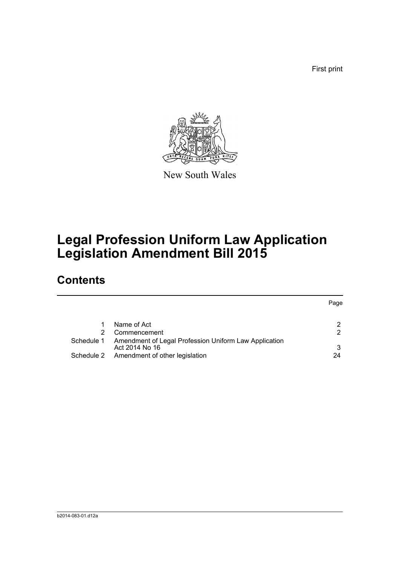First print



New South Wales

# **Legal Profession Uniform Law Application Legislation Amendment Bill 2015**

## **Contents**

|            |                                                                         | Page          |
|------------|-------------------------------------------------------------------------|---------------|
|            |                                                                         |               |
|            | Name of Act                                                             | 2             |
|            | Commencement                                                            | $\mathcal{P}$ |
| Schedule 1 | Amendment of Legal Profession Uniform Law Application<br>Act 2014 No 16 | 3             |
|            | Schedule 2 Amendment of other legislation                               | 24            |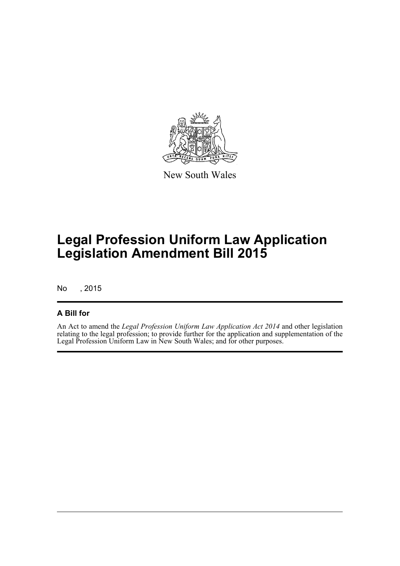

New South Wales

# **Legal Profession Uniform Law Application Legislation Amendment Bill 2015**

No , 2015

#### **A Bill for**

An Act to amend the *Legal Profession Uniform Law Application Act 2014* and other legislation relating to the legal profession; to provide further for the application and supplementation of the Legal Profession Uniform Law in New South Wales; and for other purposes.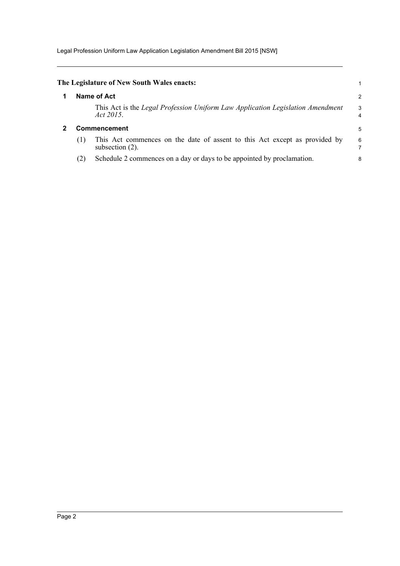Legal Profession Uniform Law Application Legislation Amendment Bill 2015 [NSW]

<span id="page-6-1"></span><span id="page-6-0"></span>

|     | The Legislature of New South Wales enacts:                                                       |        |
|-----|--------------------------------------------------------------------------------------------------|--------|
|     | Name of Act                                                                                      | 2      |
|     | This Act is the Legal Profession Uniform Law Application Legislation Amendment<br>Act 2015.      | 3<br>4 |
|     | Commencement                                                                                     | 5      |
| (1) | This Act commences on the date of assent to this Act except as provided by<br>subsection $(2)$ . | 6      |
| (2) | Schedule 2 commences on a day or days to be appointed by proclamation.                           | 8      |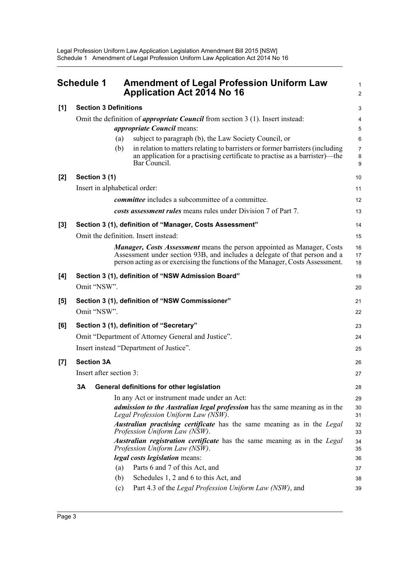<span id="page-7-0"></span>

|       | <b>Schedule 1</b>             |     | <b>Amendment of Legal Profession Uniform Law</b><br><b>Application Act 2014 No 16</b>                                                                                                                                                         | 1<br>2                   |
|-------|-------------------------------|-----|-----------------------------------------------------------------------------------------------------------------------------------------------------------------------------------------------------------------------------------------------|--------------------------|
| [1]   | <b>Section 3 Definitions</b>  |     |                                                                                                                                                                                                                                               | 3                        |
|       |                               |     | Omit the definition of <i>appropriate Council</i> from section $3(1)$ . Insert instead:                                                                                                                                                       | 4                        |
|       |                               |     | <i>appropriate Council</i> means:                                                                                                                                                                                                             | 5                        |
|       |                               | (a) | subject to paragraph (b), the Law Society Council, or                                                                                                                                                                                         | 6                        |
|       |                               | (b) | in relation to matters relating to barristers or former barristers (including<br>an application for a practising certificate to practise as a barrister)—the<br>Bar Council.                                                                  | $\overline{7}$<br>8<br>9 |
| [2]   | Section 3 (1)                 |     |                                                                                                                                                                                                                                               | 10                       |
|       | Insert in alphabetical order: |     |                                                                                                                                                                                                                                               | 11                       |
|       |                               |     | <i>committee</i> includes a subcommittee of a committee.                                                                                                                                                                                      | 12                       |
|       |                               |     | costs assessment rules means rules under Division 7 of Part 7.                                                                                                                                                                                | 13                       |
| $[3]$ |                               |     | Section 3 (1), definition of "Manager, Costs Assessment"                                                                                                                                                                                      | 14                       |
|       |                               |     | Omit the definition. Insert instead:                                                                                                                                                                                                          | 15                       |
|       |                               |     | <b>Manager, Costs Assessment</b> means the person appointed as Manager, Costs<br>Assessment under section 93B, and includes a delegate of that person and a<br>person acting as or exercising the functions of the Manager, Costs Assessment. | 16<br>17<br>18           |
| [4]   |                               |     | Section 3 (1), definition of "NSW Admission Board"                                                                                                                                                                                            | 19                       |
|       | Omit "NSW".                   |     |                                                                                                                                                                                                                                               | 20                       |
| [5]   |                               |     | Section 3 (1), definition of "NSW Commissioner"                                                                                                                                                                                               | 21                       |
|       | Omit "NSW".                   |     |                                                                                                                                                                                                                                               | 22                       |
| [6]   |                               |     | Section 3 (1), definition of "Secretary"                                                                                                                                                                                                      | 23                       |
|       |                               |     | Omit "Department of Attorney General and Justice".                                                                                                                                                                                            | 24                       |
|       |                               |     | Insert instead "Department of Justice".                                                                                                                                                                                                       | 25                       |
| $[7]$ | <b>Section 3A</b>             |     |                                                                                                                                                                                                                                               | 26                       |
|       | Insert after section 3:       |     |                                                                                                                                                                                                                                               | 27                       |
|       | 3Α                            |     | General definitions for other legislation                                                                                                                                                                                                     | 28                       |
|       |                               |     | In any Act or instrument made under an Act:                                                                                                                                                                                                   | 29                       |
|       |                               |     | <i>admission to the Australian legal profession</i> has the same meaning as in the<br>Legal Profession Uniform Law (NSW).                                                                                                                     | 30<br>31                 |
|       |                               |     | Australian practising certificate has the same meaning as in the Legal<br>Profession Uniform Law (NSW).                                                                                                                                       | 32<br>33                 |
|       |                               |     | Australian registration certificate has the same meaning as in the Legal<br>Profession Uniform Law (NSW).                                                                                                                                     | 34<br>35                 |
|       |                               |     | legal costs legislation means:                                                                                                                                                                                                                | 36                       |
|       |                               | (a) | Parts 6 and 7 of this Act, and                                                                                                                                                                                                                | 37                       |
|       |                               | (b) | Schedules 1, 2 and 6 to this Act, and                                                                                                                                                                                                         | 38                       |
|       |                               | (c) | Part 4.3 of the Legal Profession Uniform Law (NSW), and                                                                                                                                                                                       | 39                       |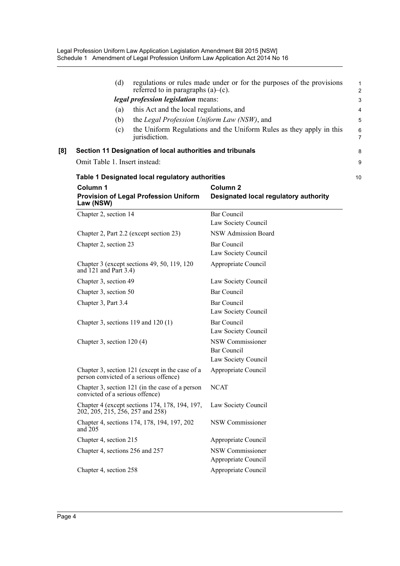|     | (d)<br>referred to in paragraphs $(a)$ – $(c)$ .<br>legal profession legislation means:<br>this Act and the local regulations, and<br>(a)<br>the Legal Profession Uniform Law (NSW), and<br>(b)<br>(c)<br>jurisdiction. | regulations or rules made under or for the purposes of the provisions<br>the Uniform Regulations and the Uniform Rules as they apply in this | 1<br>$\overline{2}$<br>3<br>4<br>5<br>$6\phantom{1}6$<br>$\overline{7}$ |
|-----|-------------------------------------------------------------------------------------------------------------------------------------------------------------------------------------------------------------------------|----------------------------------------------------------------------------------------------------------------------------------------------|-------------------------------------------------------------------------|
| [8] | Section 11 Designation of local authorities and tribunals<br>Omit Table 1. Insert instead:                                                                                                                              |                                                                                                                                              | 8<br>9                                                                  |
|     | Table 1 Designated local regulatory authorities                                                                                                                                                                         |                                                                                                                                              | 10                                                                      |
|     | Column 1<br><b>Provision of Legal Profession Uniform</b><br>Law (NSW)                                                                                                                                                   | Column <sub>2</sub><br>Designated local regulatory authority                                                                                 |                                                                         |
|     | Chapter 2, section 14                                                                                                                                                                                                   | <b>Bar Council</b><br>Law Society Council                                                                                                    |                                                                         |
|     | Chapter 2, Part 2.2 (except section 23)                                                                                                                                                                                 | NSW Admission Board                                                                                                                          |                                                                         |
|     | Chapter 2, section 23                                                                                                                                                                                                   | <b>Bar Council</b><br>Law Society Council                                                                                                    |                                                                         |
|     | Chapter 3 (except sections 49, 50, 119, 120)<br>and $121$ and Part 3.4)                                                                                                                                                 | Appropriate Council                                                                                                                          |                                                                         |
|     | Chapter 3, section 49                                                                                                                                                                                                   | Law Society Council                                                                                                                          |                                                                         |
|     | Chapter 3, section 50                                                                                                                                                                                                   | <b>Bar Council</b>                                                                                                                           |                                                                         |
|     | Chapter 3, Part 3.4                                                                                                                                                                                                     | <b>Bar Council</b><br>Law Society Council                                                                                                    |                                                                         |
|     | Chapter 3, sections $119$ and $120(1)$                                                                                                                                                                                  | Bar Council<br>Law Society Council                                                                                                           |                                                                         |
|     | Chapter 3, section $120(4)$                                                                                                                                                                                             | NSW Commissioner<br><b>Bar Council</b><br>Law Society Council                                                                                |                                                                         |
|     | Chapter 3, section 121 (except in the case of a<br>person convicted of a serious offence)                                                                                                                               | Appropriate Council                                                                                                                          |                                                                         |
|     | Chapter 3, section 121 (in the case of a person<br>convicted of a serious offence)                                                                                                                                      | <b>NCAT</b>                                                                                                                                  |                                                                         |
|     | Chapter 4 (except sections 174, 178, 194, 197,<br>202, 205, 215, 256, 257 and 258)                                                                                                                                      | Law Society Council                                                                                                                          |                                                                         |
|     | Chapter 4, sections 174, 178, 194, 197, 202<br>and $205$                                                                                                                                                                | NSW Commissioner                                                                                                                             |                                                                         |
|     | Chapter 4, section 215                                                                                                                                                                                                  | Appropriate Council                                                                                                                          |                                                                         |
|     | Chapter 4, sections 256 and 257                                                                                                                                                                                         | NSW Commissioner<br>Appropriate Council                                                                                                      |                                                                         |
|     | Chapter 4, section 258                                                                                                                                                                                                  | Appropriate Council                                                                                                                          |                                                                         |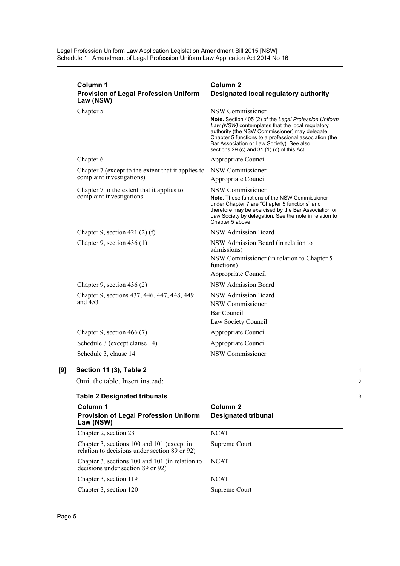| Column 1<br><b>Provision of Legal Profession Uniform</b><br>Law (NSW) | Column <sub>2</sub><br>Designated local regulatory authority                                                                                                                                                                                                                                                                         |
|-----------------------------------------------------------------------|--------------------------------------------------------------------------------------------------------------------------------------------------------------------------------------------------------------------------------------------------------------------------------------------------------------------------------------|
| Chapter 5                                                             | NSW Commissioner<br>Note. Section 405 (2) of the Legal Profession Uniform<br>Law (NSW) contemplates that the local regulatory<br>authority (the NSW Commissioner) may delegate<br>Chapter 5 functions to a professional association (the<br>Bar Association or Law Society). See also<br>sections 29 (c) and 31 (1) (c) of this Act. |
| Chapter 6                                                             | Appropriate Council                                                                                                                                                                                                                                                                                                                  |
| Chapter 7 (except to the extent that it applies to                    | NSW Commissioner                                                                                                                                                                                                                                                                                                                     |
| complaint investigations)                                             | Appropriate Council                                                                                                                                                                                                                                                                                                                  |
| Chapter 7 to the extent that it applies to                            | <b>NSW Commissioner</b>                                                                                                                                                                                                                                                                                                              |
| complaint investigations                                              | Note. These functions of the NSW Commissioner<br>under Chapter 7 are "Chapter 5 functions" and<br>therefore may be exercised by the Bar Association or<br>Law Society by delegation. See the note in relation to<br>Chapter 5 above.                                                                                                 |
| Chapter 9, section 421 $(2)$ $(f)$                                    | NSW Admission Board                                                                                                                                                                                                                                                                                                                  |
| Chapter 9, section $436(1)$                                           | NSW Admission Board (in relation to<br>admissions)<br>NSW Commissioner (in relation to Chapter 5<br>functions)<br>Appropriate Council                                                                                                                                                                                                |
| Chapter 9, section 436 (2)                                            | NSW Admission Board                                                                                                                                                                                                                                                                                                                  |
| Chapter 9, sections 437, 446, 447, 448, 449<br>and 453                | <b>NSW Admission Board</b><br>NSW Commissioner<br><b>Bar Council</b><br>Law Society Council                                                                                                                                                                                                                                          |
| Chapter 9, section 466 $(7)$                                          | Appropriate Council                                                                                                                                                                                                                                                                                                                  |
| Schedule 3 (except clause 14)                                         | Appropriate Council                                                                                                                                                                                                                                                                                                                  |
| Schedule 3, clause 14                                                 | <b>NSW Commissioner</b>                                                                                                                                                                                                                                                                                                              |

## **Table 2 Designated tribunals**

| Column 1<br><b>Provision of Legal Profession Uniform</b><br>Law (NSW)                       | Column 2<br><b>Designated tribunal</b> |
|---------------------------------------------------------------------------------------------|----------------------------------------|
| Chapter 2, section 23                                                                       | NCAT                                   |
| Chapter 3, sections 100 and 101 (except in<br>relation to decisions under section 89 or 92) | Supreme Court                          |
| Chapter 3, sections 100 and 101 (in relation to<br>decisions under section 89 or 92)        | <b>NCAT</b>                            |
| Chapter 3, section 119                                                                      | <b>NCAT</b>                            |
| Chapter 3, section 120                                                                      | Supreme Court                          |

1 2

3

**[9] Section 11 (3), Table 2**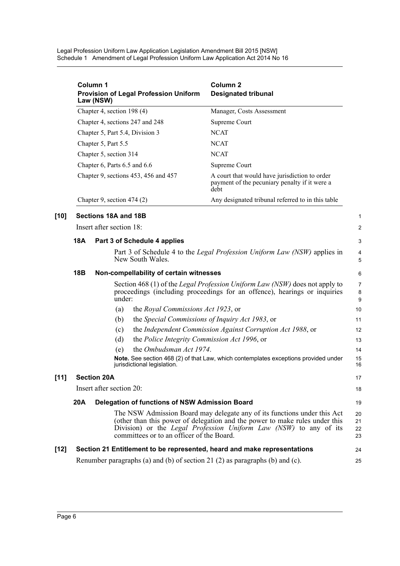|        |            | Column 1<br><b>Provision of Legal Profession Uniform</b><br>Law (NSW)        | Column <sub>2</sub><br><b>Designated tribunal</b>                                                                                                                                                                            |                         |
|--------|------------|------------------------------------------------------------------------------|------------------------------------------------------------------------------------------------------------------------------------------------------------------------------------------------------------------------------|-------------------------|
|        |            | Chapter 4, section 198 (4)                                                   | Manager, Costs Assessment                                                                                                                                                                                                    |                         |
|        |            | Chapter 4, sections 247 and 248                                              | Supreme Court                                                                                                                                                                                                                |                         |
|        |            | Chapter 5, Part 5.4, Division 3                                              | <b>NCAT</b>                                                                                                                                                                                                                  |                         |
|        |            | Chapter 5, Part 5.5                                                          | <b>NCAT</b>                                                                                                                                                                                                                  |                         |
|        |            | Chapter 5, section 314                                                       | <b>NCAT</b>                                                                                                                                                                                                                  |                         |
|        |            | Chapter 6, Parts 6.5 and 6.6                                                 | Supreme Court                                                                                                                                                                                                                |                         |
|        |            | Chapter 9, sections 453, 456 and 457                                         | A court that would have jurisdiction to order<br>payment of the pecuniary penalty if it were a<br>debt                                                                                                                       |                         |
|        |            | Chapter 9, section $474(2)$                                                  | Any designated tribunal referred to in this table                                                                                                                                                                            |                         |
| $[10]$ |            | Sections 18A and 18B                                                         |                                                                                                                                                                                                                              | 1                       |
|        |            | Insert after section 18:                                                     |                                                                                                                                                                                                                              | $\overline{\mathbf{c}}$ |
|        | <b>18A</b> | Part 3 of Schedule 4 applies                                                 |                                                                                                                                                                                                                              | 3                       |
|        |            | New South Wales.                                                             | Part 3 of Schedule 4 to the <i>Legal Profession Uniform Law (NSW)</i> applies in                                                                                                                                             | 4<br>5                  |
|        | <b>18B</b> | Non-compellability of certain witnesses                                      |                                                                                                                                                                                                                              | 6                       |
|        |            | under:                                                                       | Section 468 (1) of the <i>Legal Profession Uniform Law (NSW)</i> does not apply to<br>proceedings (including proceedings for an offence), hearings or inquiries                                                              | 7<br>8<br>9             |
|        |            | (a)<br>the Royal Commissions Act 1923, or                                    |                                                                                                                                                                                                                              | 10                      |
|        |            | (b)<br>the Special Commissions of Inquiry Act 1983, or                       |                                                                                                                                                                                                                              | 11                      |
|        |            | (c)                                                                          | the Independent Commission Against Corruption Act 1988, or                                                                                                                                                                   | 12                      |
|        |            | the Police Integrity Commission Act 1996, or<br>(d)                          |                                                                                                                                                                                                                              | 13                      |
|        |            | the Ombudsman Act 1974.<br>(e)                                               |                                                                                                                                                                                                                              | 14                      |
|        |            | jurisdictional legislation.                                                  | Note. See section 468 (2) of that Law, which contemplates exceptions provided under                                                                                                                                          | 15<br>16                |
| $[11]$ |            | <b>Section 20A</b>                                                           |                                                                                                                                                                                                                              | 17                      |
|        |            | Insert after section 20:                                                     |                                                                                                                                                                                                                              | 18                      |
|        | 20A        | Delegation of functions of NSW Admission Board                               |                                                                                                                                                                                                                              | 19                      |
|        |            | committees or to an officer of the Board.                                    | The NSW Admission Board may delegate any of its functions under this Act<br>(other than this power of delegation and the power to make rules under this<br>Division) or the Legal Profession Uniform Law (NSW) to any of its | 20<br>21<br>22<br>23    |
| $[12]$ |            | Section 21 Entitlement to be represented, heard and make representations     |                                                                                                                                                                                                                              | 24                      |
|        |            | Renumber paragraphs (a) and (b) of section 21 (2) as paragraphs (b) and (c). |                                                                                                                                                                                                                              | 25                      |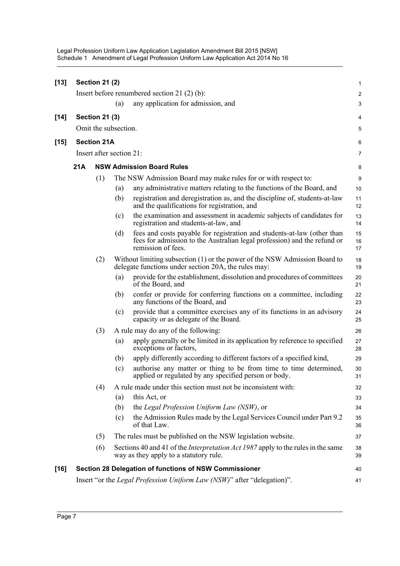| $[13]$ |     | <b>Section 21 (2)</b>    |     |                                                                                                                                                                           | 1                       |
|--------|-----|--------------------------|-----|---------------------------------------------------------------------------------------------------------------------------------------------------------------------------|-------------------------|
|        |     |                          |     | Insert before renumbered section 21 $(2)$ $(b)$ :                                                                                                                         | $\overline{\mathbf{c}}$ |
|        |     |                          | (a) | any application for admission, and                                                                                                                                        | 3                       |
| $[14]$ |     | <b>Section 21 (3)</b>    |     |                                                                                                                                                                           | 4                       |
|        |     | Omit the subsection.     |     |                                                                                                                                                                           | 5                       |
| $[15]$ |     | <b>Section 21A</b>       |     |                                                                                                                                                                           | 6                       |
|        |     | Insert after section 21: |     |                                                                                                                                                                           | 7                       |
|        | 21A |                          |     | <b>NSW Admission Board Rules</b>                                                                                                                                          | 8                       |
|        |     | (1)                      |     | The NSW Admission Board may make rules for or with respect to:                                                                                                            | 9                       |
|        |     |                          | (a) | any administrative matters relating to the functions of the Board, and                                                                                                    | 10                      |
|        |     |                          | (b) | registration and deregistration as, and the discipline of, students-at-law<br>and the qualifications for registration, and                                                | 11<br>12                |
|        |     |                          | (c) | the examination and assessment in academic subjects of candidates for<br>registration and students-at-law, and                                                            | 13<br>14                |
|        |     |                          | (d) | fees and costs payable for registration and students-at-law (other than<br>fees for admission to the Australian legal profession) and the refund or<br>remission of fees. | 15<br>16<br>17          |
|        |     | (2)                      |     | Without limiting subsection (1) or the power of the NSW Admission Board to<br>delegate functions under section 20A, the rules may:                                        | 18<br>19                |
|        |     |                          | (a) | provide for the establishment, dissolution and procedures of committees<br>of the Board, and                                                                              | 20<br>21                |
|        |     |                          | (b) | confer or provide for conferring functions on a committee, including<br>any functions of the Board, and                                                                   | 22<br>23                |
|        |     |                          | (c) | provide that a committee exercises any of its functions in an advisory<br>capacity or as delegate of the Board.                                                           | 24<br>25                |
|        |     | (3)                      |     | A rule may do any of the following:                                                                                                                                       | 26                      |
|        |     |                          | (a) | apply generally or be limited in its application by reference to specified<br>exceptions or factors,                                                                      | 27<br>28                |
|        |     |                          | (b) | apply differently according to different factors of a specified kind,                                                                                                     | 29                      |
|        |     |                          | (c) | authorise any matter or thing to be from time to time determined,<br>applied or regulated by any specified person or body.                                                | 30<br>31                |
|        |     | (4)                      |     | A rule made under this section must not be inconsistent with:                                                                                                             | 32                      |
|        |     |                          | (a) | this Act, or                                                                                                                                                              | 33                      |
|        |     |                          | (b) | the Legal Profession Uniform Law (NSW), or                                                                                                                                | 34                      |
|        |     |                          | (c) | the Admission Rules made by the Legal Services Council under Part 9.2<br>of that Law.                                                                                     | 35<br>36                |
|        |     | (5)                      |     | The rules must be published on the NSW legislation website.                                                                                                               | 37                      |
|        |     | (6)                      |     | Sections 40 and 41 of the <i>Interpretation Act 1987</i> apply to the rules in the same<br>way as they apply to a statutory rule.                                         | 38<br>39                |
| $[16]$ |     |                          |     | Section 28 Delegation of functions of NSW Commissioner                                                                                                                    | 40                      |
|        |     |                          |     | Insert "or the Legal Profession Uniform Law (NSW)" after "delegation)".                                                                                                   | 41                      |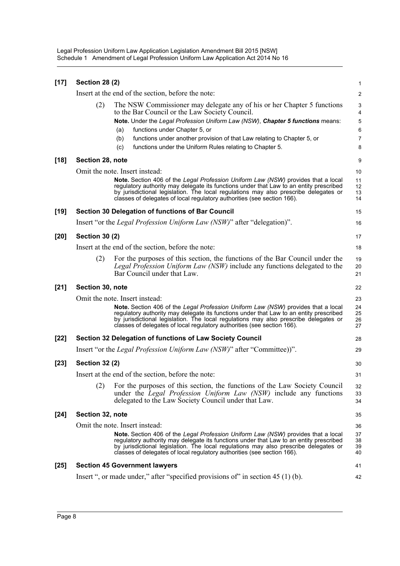| $[17]$ | <b>Section 28 (2)</b> |                                                                                                                                                                                                                                                                                                                                                                                                          | $\mathbf{1}$                                                               |
|--------|-----------------------|----------------------------------------------------------------------------------------------------------------------------------------------------------------------------------------------------------------------------------------------------------------------------------------------------------------------------------------------------------------------------------------------------------|----------------------------------------------------------------------------|
|        |                       | Insert at the end of the section, before the note:                                                                                                                                                                                                                                                                                                                                                       | 2                                                                          |
|        | (2)                   | The NSW Commissioner may delegate any of his or her Chapter 5 functions<br>to the Bar Council or the Law Society Council.<br>Note. Under the Legal Profession Uniform Law (NSW), Chapter 5 functions means:<br>functions under Chapter 5, or<br>(a)<br>functions under another provision of that Law relating to Chapter 5, or<br>(b)<br>(c)<br>functions under the Uniform Rules relating to Chapter 5. | 3<br>$\overline{\mathbf{4}}$<br>$\sqrt{5}$<br>$\,6$<br>$\overline{7}$<br>8 |
| $[18]$ | Section 28, note      |                                                                                                                                                                                                                                                                                                                                                                                                          | 9                                                                          |
|        |                       | Omit the note. Insert instead:<br>Note. Section 406 of the Legal Profession Uniform Law (NSW) provides that a local<br>regulatory authority may delegate its functions under that Law to an entity prescribed<br>by jurisdictional legislation. The local regulations may also prescribe delegates or<br>classes of delegates of local regulatory authorities (see section 166).                         | 10<br>11<br>12<br>13<br>14                                                 |
| $[19]$ |                       | Section 30 Delegation of functions of Bar Council                                                                                                                                                                                                                                                                                                                                                        | 15                                                                         |
|        |                       | Insert "or the <i>Legal Profession Uniform Law (NSW)</i> " after "delegation)".                                                                                                                                                                                                                                                                                                                          | 16                                                                         |
| $[20]$ | <b>Section 30 (2)</b> |                                                                                                                                                                                                                                                                                                                                                                                                          | 17                                                                         |
|        |                       | Insert at the end of the section, before the note:                                                                                                                                                                                                                                                                                                                                                       | 18                                                                         |
|        | (2)                   | For the purposes of this section, the functions of the Bar Council under the<br>Legal Profession Uniform Law (NSW) include any functions delegated to the<br>Bar Council under that Law.                                                                                                                                                                                                                 | 19<br>20<br>21                                                             |
| $[21]$ | Section 30, note      |                                                                                                                                                                                                                                                                                                                                                                                                          | 22                                                                         |
|        |                       | Omit the note. Insert instead:                                                                                                                                                                                                                                                                                                                                                                           | 23                                                                         |
|        |                       | Note. Section 406 of the Legal Profession Uniform Law (NSW) provides that a local<br>regulatory authority may delegate its functions under that Law to an entity prescribed<br>by jurisdictional legislation. The local regulations may also prescribe delegates or<br>classes of delegates of local regulatory authorities (see section 166).                                                           | 24<br>25<br>26<br>27                                                       |
| $[22]$ |                       | Section 32 Delegation of functions of Law Society Council                                                                                                                                                                                                                                                                                                                                                | 28                                                                         |
|        |                       | Insert "or the <i>Legal Profession Uniform Law (NSW)</i> " after "Committee))".                                                                                                                                                                                                                                                                                                                          | 29                                                                         |
| $[23]$ | <b>Section 32 (2)</b> |                                                                                                                                                                                                                                                                                                                                                                                                          | 30                                                                         |
|        |                       | Insert at the end of the section, before the note:                                                                                                                                                                                                                                                                                                                                                       | 31                                                                         |
|        | (2)                   | For the purposes of this section, the functions of the Law Society Council<br>under the <i>Legal Profession Uniform Law (NSW)</i> include any functions<br>delegated to the Law Society Council under that Law.                                                                                                                                                                                          | 32<br>33<br>34                                                             |
| $[24]$ | Section 32, note      |                                                                                                                                                                                                                                                                                                                                                                                                          | 35                                                                         |
|        |                       | Omit the note. Insert instead:<br>Note. Section 406 of the Legal Profession Uniform Law (NSW) provides that a local<br>regulatory authority may delegate its functions under that Law to an entity prescribed<br>by jurisdictional legislation. The local regulations may also prescribe delegates or<br>classes of delegates of local regulatory authorities (see section 166).                         | 36<br>37<br>38<br>39<br>40                                                 |
| $[25]$ |                       | <b>Section 45 Government lawyers</b>                                                                                                                                                                                                                                                                                                                                                                     | 41                                                                         |
|        |                       | Insert ", or made under," after "specified provisions of" in section 45 (1) (b).                                                                                                                                                                                                                                                                                                                         | 42                                                                         |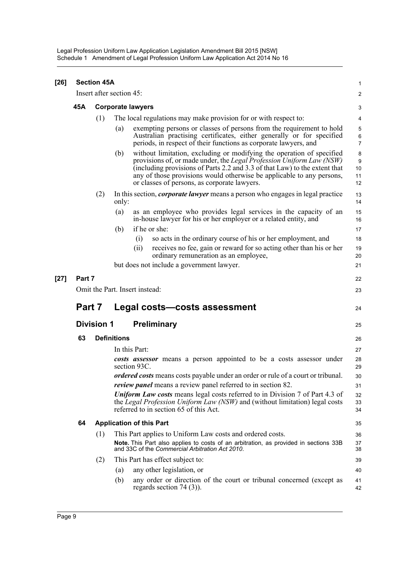| $[26]$ |        | <b>Section 45A</b> |                                                                                                                                                                                                                                                                                                                                                             | 1                        |
|--------|--------|--------------------|-------------------------------------------------------------------------------------------------------------------------------------------------------------------------------------------------------------------------------------------------------------------------------------------------------------------------------------------------------------|--------------------------|
|        |        |                    | Insert after section 45:                                                                                                                                                                                                                                                                                                                                    | $\overline{\mathbf{c}}$  |
|        | 45A    |                    | <b>Corporate lawyers</b>                                                                                                                                                                                                                                                                                                                                    | 3                        |
|        |        | (1)                | The local regulations may make provision for or with respect to:                                                                                                                                                                                                                                                                                            | 4                        |
|        |        |                    | exempting persons or classes of persons from the requirement to hold<br>(a)<br>Australian practising certificates, either generally or for specified<br>periods, in respect of their functions as corporate lawyers, and                                                                                                                                    | 5<br>6<br>7              |
|        |        |                    | without limitation, excluding or modifying the operation of specified<br>(b)<br>provisions of, or made under, the Legal Profession Uniform Law (NSW)<br>(including provisions of Parts 2.2 and 3.3 of that Law) to the extent that<br>any of those provisions would otherwise be applicable to any persons,<br>or classes of persons, as corporate lawyers. | 8<br>9<br>10<br>11<br>12 |
|        |        | (2)                | In this section, <i>corporate lawyer</i> means a person who engages in legal practice<br>only:                                                                                                                                                                                                                                                              | 13<br>14                 |
|        |        |                    | as an employee who provides legal services in the capacity of an<br>(a)<br>in-house lawyer for his or her employer or a related entity, and                                                                                                                                                                                                                 | 15<br>16                 |
|        |        |                    | if he or she:<br>(b)                                                                                                                                                                                                                                                                                                                                        | 17                       |
|        |        |                    | so acts in the ordinary course of his or her employment, and<br>(i)                                                                                                                                                                                                                                                                                         | 18                       |
|        |        |                    | receives no fee, gain or reward for so acting other than his or her<br>(ii)<br>ordinary remuneration as an employee,                                                                                                                                                                                                                                        | 19<br>20                 |
|        |        |                    | but does not include a government lawyer.                                                                                                                                                                                                                                                                                                                   | 21                       |
|        |        |                    |                                                                                                                                                                                                                                                                                                                                                             |                          |
| $[27]$ | Part 7 |                    |                                                                                                                                                                                                                                                                                                                                                             | 22                       |
|        |        |                    | Omit the Part. Insert instead:                                                                                                                                                                                                                                                                                                                              | 23                       |
|        | Part 7 |                    | Legal costs-costs assessment                                                                                                                                                                                                                                                                                                                                | 24                       |
|        |        | <b>Division 1</b>  | <b>Preliminary</b>                                                                                                                                                                                                                                                                                                                                          | 25                       |
|        | 63     |                    | <b>Definitions</b>                                                                                                                                                                                                                                                                                                                                          | 26                       |
|        |        |                    | In this Part:                                                                                                                                                                                                                                                                                                                                               | 27                       |
|        |        |                    | costs assessor means a person appointed to be a costs assessor under<br>section 93C.                                                                                                                                                                                                                                                                        | 28<br>29                 |
|        |        |                    | ordered costs means costs payable under an order or rule of a court or tribunal.                                                                                                                                                                                                                                                                            | 30                       |
|        |        |                    | <i>review panel</i> means a review panel referred to in section 82.                                                                                                                                                                                                                                                                                         | 31                       |
|        |        |                    | <b>Uniform Law costs</b> means legal costs referred to in Division 7 of Part 4.3 of<br>the Legal Profession Uniform Law (NSW) and (without limitation) legal costs<br>referred to in section 65 of this Act.                                                                                                                                                | 32<br>33<br>34           |
|        | 64     |                    | <b>Application of this Part</b>                                                                                                                                                                                                                                                                                                                             | 35                       |
|        |        | (1)                | This Part applies to Uniform Law costs and ordered costs.                                                                                                                                                                                                                                                                                                   | 36                       |
|        |        |                    | Note. This Part also applies to costs of an arbitration, as provided in sections 33B<br>and 33C of the Commercial Arbitration Act 2010.                                                                                                                                                                                                                     | 37<br>38                 |
|        |        | (2)                | This Part has effect subject to:                                                                                                                                                                                                                                                                                                                            | 39                       |
|        |        |                    | any other legislation, or<br>(a)                                                                                                                                                                                                                                                                                                                            | 40                       |
|        |        |                    | any order or direction of the court or tribunal concerned (except as<br>(b)<br>regards section $74(3)$ ).                                                                                                                                                                                                                                                   | 41<br>42                 |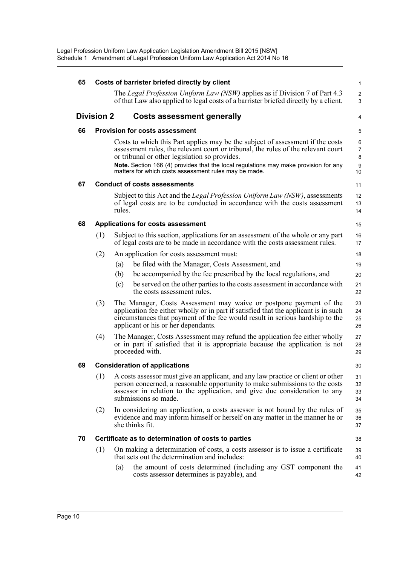| 65 |                   |        | Costs of barrister briefed directly by client                                                                                                                                                                                                                                                                                                                         | $\mathbf{1}$                                       |
|----|-------------------|--------|-----------------------------------------------------------------------------------------------------------------------------------------------------------------------------------------------------------------------------------------------------------------------------------------------------------------------------------------------------------------------|----------------------------------------------------|
|    |                   |        | The Legal Profession Uniform Law (NSW) applies as if Division 7 of Part 4.3<br>of that Law also applied to legal costs of a barrister briefed directly by a client.                                                                                                                                                                                                   | $\overline{2}$<br>3                                |
|    | <b>Division 2</b> |        | <b>Costs assessment generally</b>                                                                                                                                                                                                                                                                                                                                     | 4                                                  |
| 66 |                   |        | <b>Provision for costs assessment</b>                                                                                                                                                                                                                                                                                                                                 | 5                                                  |
|    |                   |        | Costs to which this Part applies may be the subject of assessment if the costs<br>assessment rules, the relevant court or tribunal, the rules of the relevant court<br>or tribunal or other legislation so provides.<br>Note. Section 166 (4) provides that the local regulations may make provision for any<br>matters for which costs assessment rules may be made. | 6<br>$\overline{7}$<br>8<br>$\boldsymbol{9}$<br>10 |
| 67 |                   |        | <b>Conduct of costs assessments</b>                                                                                                                                                                                                                                                                                                                                   | 11                                                 |
|    |                   | rules. | Subject to this Act and the <i>Legal Profession Uniform Law (NSW)</i> , assessments<br>of legal costs are to be conducted in accordance with the costs assessment                                                                                                                                                                                                     | 12<br>13<br>14                                     |
| 68 |                   |        | <b>Applications for costs assessment</b>                                                                                                                                                                                                                                                                                                                              | 15                                                 |
|    | (1)               |        | Subject to this section, applications for an assessment of the whole or any part<br>of legal costs are to be made in accordance with the costs assessment rules.                                                                                                                                                                                                      | 16<br>17                                           |
|    | (2)               |        | An application for costs assessment must:                                                                                                                                                                                                                                                                                                                             | 18                                                 |
|    |                   | (a)    | be filed with the Manager, Costs Assessment, and                                                                                                                                                                                                                                                                                                                      | 19                                                 |
|    |                   | (b)    | be accompanied by the fee prescribed by the local regulations, and                                                                                                                                                                                                                                                                                                    | 20                                                 |
|    |                   | (c)    | be served on the other parties to the costs assessment in accordance with<br>the costs assessment rules.                                                                                                                                                                                                                                                              | 21<br>22                                           |
|    | (3)               |        | The Manager, Costs Assessment may waive or postpone payment of the<br>application fee either wholly or in part if satisfied that the applicant is in such<br>circumstances that payment of the fee would result in serious hardship to the<br>applicant or his or her dependants.                                                                                     | 23<br>24<br>25<br>26                               |
|    | (4)               |        | The Manager, Costs Assessment may refund the application fee either wholly<br>or in part if satisfied that it is appropriate because the application is not<br>proceeded with.                                                                                                                                                                                        | 27<br>28<br>29                                     |
| 69 |                   |        | <b>Consideration of applications</b>                                                                                                                                                                                                                                                                                                                                  | 30                                                 |
|    | (1)               |        | A costs assessor must give an applicant, and any law practice or client or other<br>person concerned, a reasonable opportunity to make submissions to the costs<br>assessor in relation to the application, and give due consideration to any<br>submissions so made.                                                                                                 | 31<br>32<br>33<br>34                               |
|    | (2)               |        | In considering an application, a costs assessor is not bound by the rules of<br>evidence and may inform himself or herself on any matter in the manner he or<br>she thinks fit.                                                                                                                                                                                       | 35<br>36<br>37                                     |
| 70 |                   |        | Certificate as to determination of costs to parties                                                                                                                                                                                                                                                                                                                   | 38                                                 |
|    | (1)               |        | On making a determination of costs, a costs assessor is to issue a certificate<br>that sets out the determination and includes:                                                                                                                                                                                                                                       | 39<br>40                                           |
|    |                   | (a)    | the amount of costs determined (including any GST component the<br>costs assessor determines is payable), and                                                                                                                                                                                                                                                         | 41<br>42                                           |
|    |                   |        |                                                                                                                                                                                                                                                                                                                                                                       |                                                    |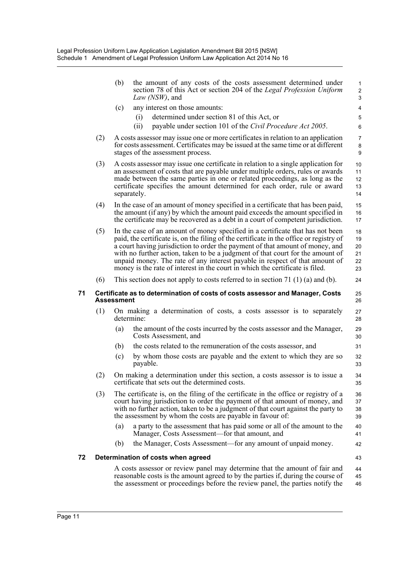|    |     | (b)               | the amount of any costs of the costs assessment determined under<br>section 78 of this Act or section 204 of the Legal Profession Uniform<br>Law (NSW), and                                                                                                                                                                                                                                                                                                                                                  | $\mathbf{1}$<br>$\overline{\mathbf{c}}$<br>3 |
|----|-----|-------------------|--------------------------------------------------------------------------------------------------------------------------------------------------------------------------------------------------------------------------------------------------------------------------------------------------------------------------------------------------------------------------------------------------------------------------------------------------------------------------------------------------------------|----------------------------------------------|
|    |     | (c)               | any interest on those amounts:                                                                                                                                                                                                                                                                                                                                                                                                                                                                               | 4                                            |
|    |     |                   | determined under section 81 of this Act, or<br>(i)                                                                                                                                                                                                                                                                                                                                                                                                                                                           | 5                                            |
|    |     |                   | payable under section 101 of the Civil Procedure Act 2005.<br>(ii)                                                                                                                                                                                                                                                                                                                                                                                                                                           | 6                                            |
|    | (2) |                   | A costs assessor may issue one or more certificates in relation to an application<br>for costs assessment. Certificates may be issued at the same time or at different<br>stages of the assessment process.                                                                                                                                                                                                                                                                                                  | $\overline{7}$<br>8<br>9                     |
|    | (3) |                   | A costs assessor may issue one certificate in relation to a single application for<br>an assessment of costs that are payable under multiple orders, rules or awards<br>made between the same parties in one or related proceedings, as long as the<br>certificate specifies the amount determined for each order, rule or award<br>separately.                                                                                                                                                              | 10<br>11<br>12<br>13<br>14                   |
|    | (4) |                   | In the case of an amount of money specified in a certificate that has been paid,<br>the amount (if any) by which the amount paid exceeds the amount specified in<br>the certificate may be recovered as a debt in a court of competent jurisdiction.                                                                                                                                                                                                                                                         | 15<br>16<br>17                               |
|    | (5) |                   | In the case of an amount of money specified in a certificate that has not been<br>paid, the certificate is, on the filing of the certificate in the office or registry of<br>a court having jurisdiction to order the payment of that amount of money, and<br>with no further action, taken to be a judgment of that court for the amount of<br>unpaid money. The rate of any interest payable in respect of that amount of<br>money is the rate of interest in the court in which the certificate is filed. | 18<br>19<br>20<br>21<br>22<br>23             |
|    | (6) |                   | This section does not apply to costs referred to in section 71 $(1)$ (a) and (b).                                                                                                                                                                                                                                                                                                                                                                                                                            | 24                                           |
| 71 |     | <b>Assessment</b> | Certificate as to determination of costs of costs assessor and Manager, Costs                                                                                                                                                                                                                                                                                                                                                                                                                                | 25<br>26                                     |
|    | (1) |                   | On making a determination of costs, a costs assessor is to separately<br>determine:                                                                                                                                                                                                                                                                                                                                                                                                                          | 27<br>28                                     |
|    |     | (a)               | the amount of the costs incurred by the costs assessor and the Manager,<br>Costs Assessment, and                                                                                                                                                                                                                                                                                                                                                                                                             | 29<br>30                                     |
|    |     | (b)               | the costs related to the remuneration of the costs assessor, and                                                                                                                                                                                                                                                                                                                                                                                                                                             | 31                                           |
|    |     | (c)               | by whom those costs are payable and the extent to which they are so<br>payable.                                                                                                                                                                                                                                                                                                                                                                                                                              | 32<br>33                                     |
|    | (2) |                   | On making a determination under this section, a costs assessor is to issue a<br>certificate that sets out the determined costs.                                                                                                                                                                                                                                                                                                                                                                              | 34<br>35                                     |
|    | (3) |                   | The certificate is, on the filing of the certificate in the office or registry of a<br>court having jurisdiction to order the payment of that amount of money, and<br>with no further action, taken to be a judgment of that court against the party to<br>the assessment by whom the costs are payable in favour of:                                                                                                                                                                                        | 36<br>37<br>38<br>39                         |
|    |     | (a)               | a party to the assessment that has paid some or all of the amount to the<br>Manager, Costs Assessment—for that amount, and                                                                                                                                                                                                                                                                                                                                                                                   | 40<br>41                                     |
|    |     | (b)               | the Manager, Costs Assessment—for any amount of unpaid money.                                                                                                                                                                                                                                                                                                                                                                                                                                                | 42                                           |
| 72 |     |                   | Determination of costs when agreed                                                                                                                                                                                                                                                                                                                                                                                                                                                                           | 43                                           |
|    |     |                   | A costs assessor or review panel may determine that the amount of fair and                                                                                                                                                                                                                                                                                                                                                                                                                                   | 44                                           |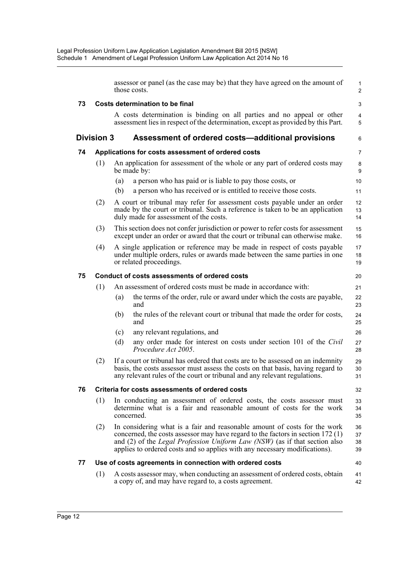|    |                   |     | assessor or panel (as the case may be) that they have agreed on the amount of<br>those costs.                                                                                                                                                                                                                                   | 1<br>$\overline{c}$  |
|----|-------------------|-----|---------------------------------------------------------------------------------------------------------------------------------------------------------------------------------------------------------------------------------------------------------------------------------------------------------------------------------|----------------------|
| 73 |                   |     | Costs determination to be final                                                                                                                                                                                                                                                                                                 | 3                    |
|    |                   |     | A costs determination is binding on all parties and no appeal or other<br>assessment lies in respect of the determination, except as provided by this Part.                                                                                                                                                                     | 4<br>5               |
|    | <b>Division 3</b> |     | Assessment of ordered costs-additional provisions                                                                                                                                                                                                                                                                               | 6                    |
| 74 |                   |     | Applications for costs assessment of ordered costs                                                                                                                                                                                                                                                                              | 7                    |
|    | (1)               |     | An application for assessment of the whole or any part of ordered costs may<br>be made by:                                                                                                                                                                                                                                      | 8<br>9               |
|    |                   | (a) | a person who has paid or is liable to pay those costs, or                                                                                                                                                                                                                                                                       | 10                   |
|    |                   | (b) | a person who has received or is entitled to receive those costs.                                                                                                                                                                                                                                                                | 11                   |
|    | (2)               |     | A court or tribunal may refer for assessment costs payable under an order<br>made by the court or tribunal. Such a reference is taken to be an application<br>duly made for assessment of the costs.                                                                                                                            | 12<br>13<br>14       |
|    | (3)               |     | This section does not confer jurisdiction or power to refer costs for assessment<br>except under an order or award that the court or tribunal can otherwise make.                                                                                                                                                               | 15<br>16             |
|    | (4)               |     | A single application or reference may be made in respect of costs payable<br>under multiple orders, rules or awards made between the same parties in one<br>or related proceedings.                                                                                                                                             | 17<br>18<br>19       |
| 75 |                   |     | Conduct of costs assessments of ordered costs                                                                                                                                                                                                                                                                                   | 20                   |
|    | (1)               |     | An assessment of ordered costs must be made in accordance with:                                                                                                                                                                                                                                                                 | 21                   |
|    |                   | (a) | the terms of the order, rule or award under which the costs are payable,<br>and                                                                                                                                                                                                                                                 | 22<br>23             |
|    |                   | (b) | the rules of the relevant court or tribunal that made the order for costs,<br>and                                                                                                                                                                                                                                               | 24<br>25             |
|    |                   | (c) | any relevant regulations, and                                                                                                                                                                                                                                                                                                   | 26                   |
|    |                   | (d) | any order made for interest on costs under section 101 of the Civil<br>Procedure Act 2005.                                                                                                                                                                                                                                      | 27<br>28             |
|    | (2)               |     | If a court or tribunal has ordered that costs are to be assessed on an indemnity<br>basis, the costs assessor must assess the costs on that basis, having regard to<br>any relevant rules of the court or tribunal and any relevant regulations.                                                                                | 29<br>30<br>31       |
| 76 |                   |     | Criteria for costs assessments of ordered costs                                                                                                                                                                                                                                                                                 | 32                   |
|    | (1)               |     | In conducting an assessment of ordered costs, the costs assessor must<br>determine what is a fair and reasonable amount of costs for the work<br>concerned.                                                                                                                                                                     | 33<br>34<br>35       |
|    | (2)               |     | In considering what is a fair and reasonable amount of costs for the work<br>concerned, the costs assessor may have regard to the factors in section 172 (1)<br>and (2) of the <i>Legal Profession Uniform Law (NSW)</i> (as if that section also<br>applies to ordered costs and so applies with any necessary modifications). | 36<br>37<br>38<br>39 |
| 77 |                   |     | Use of costs agreements in connection with ordered costs                                                                                                                                                                                                                                                                        | 40                   |
|    | (1)               |     | A costs assessor may, when conducting an assessment of ordered costs, obtain<br>a copy of, and may have regard to, a costs agreement.                                                                                                                                                                                           | 41<br>42             |
|    |                   |     |                                                                                                                                                                                                                                                                                                                                 |                      |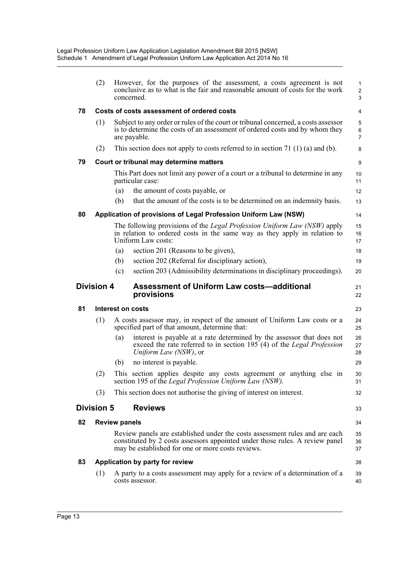|                   | (2)               |                      | However, for the purposes of the assessment, a costs agreement is not<br>conclusive as to what is the fair and reasonable amount of costs for the work<br>concerned.                                             | $\mathbf{1}$<br>$\overline{\mathbf{c}}$<br>3 |
|-------------------|-------------------|----------------------|------------------------------------------------------------------------------------------------------------------------------------------------------------------------------------------------------------------|----------------------------------------------|
| 78                |                   |                      | Costs of costs assessment of ordered costs                                                                                                                                                                       | 4                                            |
|                   | (1)               |                      | Subject to any order or rules of the court or tribunal concerned, a costs assessor<br>is to determine the costs of an assessment of ordered costs and by whom they<br>are payable.                               | 5<br>$\,6$<br>$\overline{7}$                 |
|                   | (2)               |                      | This section does not apply to costs referred to in section 71 $(1)$ (a) and (b).                                                                                                                                | 8                                            |
| 79                |                   |                      | Court or tribunal may determine matters                                                                                                                                                                          | 9                                            |
|                   |                   |                      | This Part does not limit any power of a court or a tribunal to determine in any<br>particular case:                                                                                                              | 10<br>11                                     |
|                   |                   | (a)                  | the amount of costs payable, or                                                                                                                                                                                  | 12                                           |
|                   |                   | (b)                  | that the amount of the costs is to be determined on an indemnity basis.                                                                                                                                          | 13                                           |
| 80                |                   |                      | Application of provisions of Legal Profession Uniform Law (NSW)                                                                                                                                                  | 14                                           |
|                   |                   |                      | The following provisions of the <i>Legal Profession Uniform Law (NSW)</i> apply<br>in relation to ordered costs in the same way as they apply in relation to<br>Uniform Law costs:                               | 15<br>16<br>17                               |
|                   |                   | (a)                  | section 201 (Reasons to be given),                                                                                                                                                                               | 18                                           |
|                   |                   | (b)                  | section 202 (Referral for disciplinary action),                                                                                                                                                                  | 19                                           |
|                   |                   | (c)                  | section 203 (Admissibility determinations in disciplinary proceedings).                                                                                                                                          | 20                                           |
| <b>Division 4</b> |                   |                      |                                                                                                                                                                                                                  |                                              |
|                   |                   |                      | <b>Assessment of Uniform Law costs-additional</b><br>provisions                                                                                                                                                  |                                              |
| 81                |                   |                      | Interest on costs                                                                                                                                                                                                | 21<br>22<br>23                               |
|                   | (1)               |                      | A costs assessor may, in respect of the amount of Uniform Law costs or a<br>specified part of that amount, determine that:                                                                                       | 24<br>25                                     |
|                   |                   | (a)                  | interest is payable at a rate determined by the assessor that does not<br>exceed the rate referred to in section 195 (4) of the Legal Profession<br>Uniform Law (NSW), or                                        | 26<br>27<br>28                               |
|                   |                   | (b)                  | no interest is payable.                                                                                                                                                                                          | 29                                           |
|                   | (2)               |                      | This section applies despite any costs agreement or anything else in<br>section 195 of the Legal Profession Uniform Law (NSW).                                                                                   | 30<br>31                                     |
|                   | (3)               |                      | This section does not authorise the giving of interest on interest.                                                                                                                                              |                                              |
|                   | <b>Division 5</b> |                      | <b>Reviews</b>                                                                                                                                                                                                   |                                              |
| 82                |                   | <b>Review panels</b> |                                                                                                                                                                                                                  | 32<br>33<br>34                               |
|                   |                   |                      | Review panels are established under the costs assessment rules and are each<br>constituted by 2 costs assessors appointed under those rules. A review panel<br>may be established for one or more costs reviews. |                                              |
| 83                |                   |                      | Application by party for review                                                                                                                                                                                  | 35<br>36<br>37<br>38                         |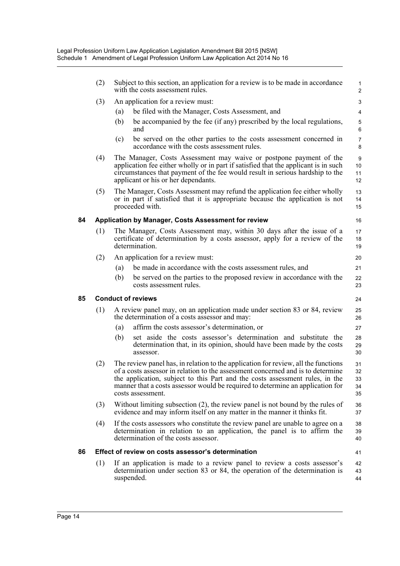|    | (2) | Subject to this section, an application for a review is to be made in accordance<br>with the costs assessment rules.                                                                                                                                                                                                                                         | 1<br>$\overline{\mathbf{c}}$ |
|----|-----|--------------------------------------------------------------------------------------------------------------------------------------------------------------------------------------------------------------------------------------------------------------------------------------------------------------------------------------------------------------|------------------------------|
|    | (3) | An application for a review must:                                                                                                                                                                                                                                                                                                                            | 3                            |
|    |     | be filed with the Manager, Costs Assessment, and<br>(a)                                                                                                                                                                                                                                                                                                      | 4                            |
|    |     | be accompanied by the fee (if any) prescribed by the local regulations,<br>(b)<br>and                                                                                                                                                                                                                                                                        | 5<br>6                       |
|    |     | be served on the other parties to the costs assessment concerned in<br>(c)<br>accordance with the costs assessment rules.                                                                                                                                                                                                                                    | 7<br>8                       |
|    | (4) | The Manager, Costs Assessment may waive or postpone payment of the<br>application fee either wholly or in part if satisfied that the applicant is in such<br>circumstances that payment of the fee would result in serious hardship to the<br>applicant or his or her dependants.                                                                            | 9<br>10<br>11<br>12          |
|    | (5) | The Manager, Costs Assessment may refund the application fee either wholly<br>or in part if satisfied that it is appropriate because the application is not<br>proceeded with.                                                                                                                                                                               | 13<br>14<br>15               |
| 84 |     | Application by Manager, Costs Assessment for review                                                                                                                                                                                                                                                                                                          | 16                           |
|    | (1) | The Manager, Costs Assessment may, within 30 days after the issue of a<br>certificate of determination by a costs assessor, apply for a review of the<br>determination.                                                                                                                                                                                      | 17<br>18<br>19               |
|    | (2) | An application for a review must:                                                                                                                                                                                                                                                                                                                            | 20                           |
|    |     | be made in accordance with the costs assessment rules, and<br>(a)                                                                                                                                                                                                                                                                                            | 21                           |
|    |     | (b)<br>be served on the parties to the proposed review in accordance with the<br>costs assessment rules.                                                                                                                                                                                                                                                     | 22<br>23                     |
| 85 |     | <b>Conduct of reviews</b>                                                                                                                                                                                                                                                                                                                                    | 24                           |
|    | (1) | A review panel may, on an application made under section 83 or 84, review<br>the determination of a costs assessor and may:                                                                                                                                                                                                                                  | 25<br>26                     |
|    |     | affirm the costs assessor's determination, or<br>(a)                                                                                                                                                                                                                                                                                                         | 27                           |
|    |     | set aside the costs assessor's determination and substitute the<br>(b)<br>determination that, in its opinion, should have been made by the costs<br>assessor.                                                                                                                                                                                                | 28<br>29<br>30               |
|    | (2) | The review panel has, in relation to the application for review, all the functions<br>of a costs assessor in relation to the assessment concerned and is to determine<br>the application, subject to this Part and the costs assessment rules, in the<br>manner that a costs assessor would be required to determine an application for<br>costs assessment. | 31<br>32<br>33<br>34<br>35   |
|    | (3) | Without limiting subsection $(2)$ , the review panel is not bound by the rules of<br>evidence and may inform itself on any matter in the manner it thinks fit.                                                                                                                                                                                               | 36<br>37                     |
|    | (4) | If the costs assessors who constitute the review panel are unable to agree on a<br>determination in relation to an application, the panel is to affirm the<br>determination of the costs assessor.                                                                                                                                                           | 38<br>39<br>40               |
| 86 |     | Effect of review on costs assessor's determination                                                                                                                                                                                                                                                                                                           | 41                           |
|    | (1) | If an application is made to a review panel to review a costs assessor's<br>determination under section 83 or 84, the operation of the determination is<br>suspended.                                                                                                                                                                                        | 42<br>43<br>44               |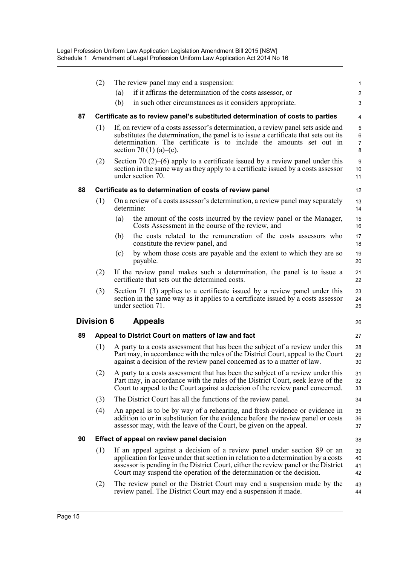|    | (2)               | The review panel may end a suspension:                                                                                                                                                                                                                                                                                        | $\mathbf{1}$                  |
|----|-------------------|-------------------------------------------------------------------------------------------------------------------------------------------------------------------------------------------------------------------------------------------------------------------------------------------------------------------------------|-------------------------------|
|    |                   | if it affirms the determination of the costs assessor, or<br>(a)                                                                                                                                                                                                                                                              | $\overline{\mathbf{c}}$       |
|    |                   | (b)<br>in such other circumstances as it considers appropriate.                                                                                                                                                                                                                                                               | 3                             |
| 87 |                   | Certificate as to review panel's substituted determination of costs to parties                                                                                                                                                                                                                                                | 4                             |
|    | (1)               | If, on review of a costs assessor's determination, a review panel sets aside and<br>substitutes the determination, the panel is to issue a certificate that sets out its<br>determination. The certificate is to include the amounts set out in<br>section 70 (1) (a)–(c).                                                    | 5<br>6<br>$\overline{7}$<br>8 |
|    | (2)               | Section 70 (2)–(6) apply to a certificate issued by a review panel under this<br>section in the same way as they apply to a certificate issued by a costs assessor<br>under section 70.                                                                                                                                       | 9<br>10<br>11                 |
| 88 |                   | Certificate as to determination of costs of review panel                                                                                                                                                                                                                                                                      | 12                            |
|    | (1)               | On a review of a costs assessor's determination, a review panel may separately<br>determine:                                                                                                                                                                                                                                  | 13<br>14                      |
|    |                   | the amount of the costs incurred by the review panel or the Manager,<br>(a)<br>Costs Assessment in the course of the review, and                                                                                                                                                                                              | 15<br>16                      |
|    |                   | the costs related to the remuneration of the costs assessors who<br>(b)<br>constitute the review panel, and                                                                                                                                                                                                                   | 17<br>18                      |
|    |                   | by whom those costs are payable and the extent to which they are so<br>(c)<br>payable.                                                                                                                                                                                                                                        | 19<br>20                      |
|    | (2)               | If the review panel makes such a determination, the panel is to issue a<br>certificate that sets out the determined costs.                                                                                                                                                                                                    | 21<br>22                      |
|    | (3)               | Section 71 (3) applies to a certificate issued by a review panel under this<br>section in the same way as it applies to a certificate issued by a costs assessor<br>under section 71.                                                                                                                                         | 23<br>24<br>25                |
|    | <b>Division 6</b> | <b>Appeals</b>                                                                                                                                                                                                                                                                                                                | 26                            |
| 89 |                   | Appeal to District Court on matters of law and fact                                                                                                                                                                                                                                                                           | 27                            |
|    | (1)               | A party to a costs assessment that has been the subject of a review under this<br>Part may, in accordance with the rules of the District Court, appeal to the Court<br>against a decision of the review panel concerned as to a matter of law.                                                                                | 28<br>29<br>30                |
|    | (2)               | A party to a costs assessment that has been the subject of a review under this<br>Part may, in accordance with the rules of the District Court, seek leave of the<br>Court to appeal to the Court against a decision of the review panel concerned.                                                                           | 31<br>32<br>33                |
|    | (3)               | The District Court has all the functions of the review panel.                                                                                                                                                                                                                                                                 | 34                            |
|    | (4)               | An appeal is to be by way of a rehearing, and fresh evidence or evidence in<br>addition to or in substitution for the evidence before the review panel or costs<br>assessor may, with the leave of the Court, be given on the appeal.                                                                                         | 35<br>36<br>37                |
| 90 |                   | Effect of appeal on review panel decision                                                                                                                                                                                                                                                                                     | 38                            |
|    | (1)               | If an appeal against a decision of a review panel under section 89 or an<br>application for leave under that section in relation to a determination by a costs<br>assessor is pending in the District Court, either the review panel or the District<br>Court may suspend the operation of the determination or the decision. | 39<br>40<br>41<br>42          |
|    | (2)               | The review panel or the District Court may end a suspension made by the<br>review panel. The District Court may end a suspension it made.                                                                                                                                                                                     | 43<br>44                      |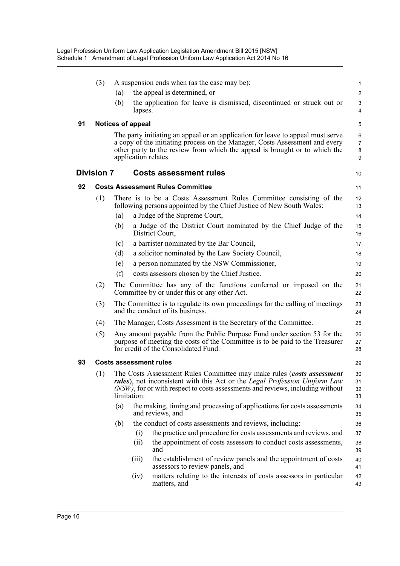|    | (3)               |     | A suspension ends when (as the case may be):                                                                                                                                                                                                                         | $\mathbf{1}$                  |
|----|-------------------|-----|----------------------------------------------------------------------------------------------------------------------------------------------------------------------------------------------------------------------------------------------------------------------|-------------------------------|
|    |                   | (a) | the appeal is determined, or                                                                                                                                                                                                                                         | $\overline{2}$                |
|    |                   | (b) | the application for leave is dismissed, discontinued or struck out or<br>lapses.                                                                                                                                                                                     | 3<br>4                        |
| 91 |                   |     | <b>Notices of appeal</b>                                                                                                                                                                                                                                             | 5                             |
|    |                   |     | The party initiating an appeal or an application for leave to appeal must serve<br>a copy of the initiating process on the Manager, Costs Assessment and every<br>other party to the review from which the appeal is brought or to which the<br>application relates. | 6<br>$\overline{7}$<br>8<br>9 |
|    | <b>Division 7</b> |     | <b>Costs assessment rules</b>                                                                                                                                                                                                                                        | 10                            |
| 92 |                   |     | <b>Costs Assessment Rules Committee</b>                                                                                                                                                                                                                              | 11                            |
|    | (1)               |     | There is to be a Costs Assessment Rules Committee consisting of the<br>following persons appointed by the Chief Justice of New South Wales:                                                                                                                          | 12<br>13                      |
|    |                   | (a) | a Judge of the Supreme Court,                                                                                                                                                                                                                                        | 14                            |
|    |                   | (b) | a Judge of the District Court nominated by the Chief Judge of the<br>District Court,                                                                                                                                                                                 | 15<br>16                      |
|    |                   | (c) | a barrister nominated by the Bar Council,                                                                                                                                                                                                                            | 17                            |
|    |                   | (d) | a solicitor nominated by the Law Society Council,                                                                                                                                                                                                                    | 18                            |
|    |                   | (e) | a person nominated by the NSW Commissioner,                                                                                                                                                                                                                          | 19                            |
|    |                   | (f) | costs assessors chosen by the Chief Justice.                                                                                                                                                                                                                         | 20                            |
|    | (2)               |     | The Committee has any of the functions conferred or imposed on the<br>Committee by or under this or any other Act.                                                                                                                                                   | 21<br>22                      |
|    | (3)               |     | The Committee is to regulate its own proceedings for the calling of meetings<br>and the conduct of its business.                                                                                                                                                     | 23<br>24                      |
|    | (4)               |     | The Manager, Costs Assessment is the Secretary of the Committee.                                                                                                                                                                                                     | 25                            |
|    | (5)               |     | Any amount payable from the Public Purpose Fund under section 53 for the<br>purpose of meeting the costs of the Committee is to be paid to the Treasurer<br>for credit of the Consolidated Fund.                                                                     | 26<br>27<br>28                |
| 93 |                   |     | <b>Costs assessment rules</b>                                                                                                                                                                                                                                        | 29                            |
|    | (1)               |     | The Costs Assessment Rules Committee may make rules (costs assessment<br>rules), not inconsistent with this Act or the Legal Profession Uniform Law<br>(NSW), for or with respect to costs assessments and reviews, including without<br>limitation:                 | 30<br>31<br>32<br>33          |
|    |                   | (a) | the making, timing and processing of applications for costs assessments<br>and reviews, and                                                                                                                                                                          | 34<br>35                      |
|    |                   | (b) | the conduct of costs assessments and reviews, including:                                                                                                                                                                                                             | 36                            |
|    |                   |     | the practice and procedure for costs assessments and reviews, and<br>(i)                                                                                                                                                                                             | 37                            |
|    |                   |     | the appointment of costs assessors to conduct costs assessments,<br>(ii)<br>and                                                                                                                                                                                      | 38<br>39                      |
|    |                   |     | the establishment of review panels and the appointment of costs<br>(iii)<br>assessors to review panels, and                                                                                                                                                          | 40<br>41                      |
|    |                   |     | matters relating to the interests of costs assessors in particular<br>(iv)<br>matters, and                                                                                                                                                                           | 42<br>43                      |
|    |                   |     |                                                                                                                                                                                                                                                                      |                               |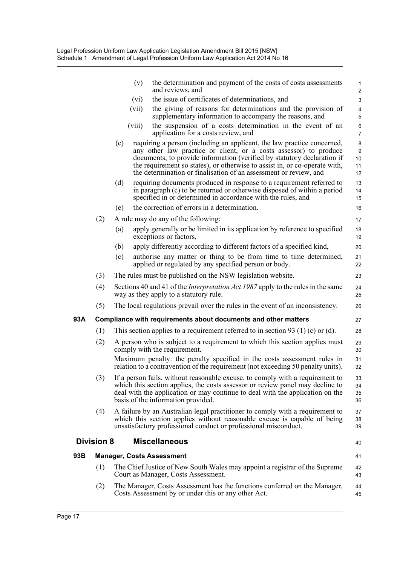|     |                   |     | the determination and payment of the costs of costs assessments<br>(v)<br>and reviews, and                                                                                                                                                                                                                                                                                 | $\mathbf{1}$<br>$\overline{c}$ |
|-----|-------------------|-----|----------------------------------------------------------------------------------------------------------------------------------------------------------------------------------------------------------------------------------------------------------------------------------------------------------------------------------------------------------------------------|--------------------------------|
|     |                   |     | the issue of certificates of determinations, and<br>(vi)                                                                                                                                                                                                                                                                                                                   | 3                              |
|     |                   |     | the giving of reasons for determinations and the provision of<br>(vii)<br>supplementary information to accompany the reasons, and                                                                                                                                                                                                                                          | 4<br>5                         |
|     |                   |     | the suspension of a costs determination in the event of an<br>(viii)<br>application for a costs review, and                                                                                                                                                                                                                                                                | 6<br>$\overline{7}$            |
|     |                   | (c) | requiring a person (including an applicant, the law practice concerned,<br>any other law practice or client, or a costs assessor) to produce<br>documents, to provide information (verified by statutory declaration if<br>the requirement so states), or otherwise to assist in, or co-operate with,<br>the determination or finalisation of an assessment or review, and | 8<br>9<br>10<br>11<br>12       |
|     |                   | (d) | requiring documents produced in response to a requirement referred to<br>in paragraph (c) to be returned or otherwise disposed of within a period<br>specified in or determined in accordance with the rules, and                                                                                                                                                          | 13<br>14<br>15                 |
|     |                   | (e) | the correction of errors in a determination.                                                                                                                                                                                                                                                                                                                               | 16                             |
|     | (2)               |     | A rule may do any of the following:                                                                                                                                                                                                                                                                                                                                        | 17                             |
|     |                   | (a) | apply generally or be limited in its application by reference to specified<br>exceptions or factors,                                                                                                                                                                                                                                                                       | 18<br>19                       |
|     |                   | (b) | apply differently according to different factors of a specified kind,                                                                                                                                                                                                                                                                                                      | 20                             |
|     |                   | (c) | authorise any matter or thing to be from time to time determined,<br>applied or regulated by any specified person or body.                                                                                                                                                                                                                                                 | 21<br>22                       |
|     | (3)               |     | The rules must be published on the NSW legislation website.                                                                                                                                                                                                                                                                                                                | 23                             |
|     | (4)               |     | Sections 40 and 41 of the <i>Interpretation Act 1987</i> apply to the rules in the same<br>way as they apply to a statutory rule.                                                                                                                                                                                                                                          | 24<br>25                       |
|     | (5)               |     | The local regulations prevail over the rules in the event of an inconsistency.                                                                                                                                                                                                                                                                                             | 26                             |
| 93A |                   |     | Compliance with requirements about documents and other matters                                                                                                                                                                                                                                                                                                             | 27                             |
|     | (1)               |     | This section applies to a requirement referred to in section 93 (1) (c) or (d).                                                                                                                                                                                                                                                                                            | 28                             |
|     | (2)               |     | A person who is subject to a requirement to which this section applies must<br>comply with the requirement.                                                                                                                                                                                                                                                                | 29<br>30                       |
|     |                   |     | Maximum penalty: the penalty specified in the costs assessment rules in<br>relation to a contravention of the requirement (not exceeding 50 penalty units).                                                                                                                                                                                                                | 31<br>32                       |
|     | (3)               |     | If a person fails, without reasonable excuse, to comply with a requirement to<br>which this section applies, the costs assessor or review panel may decline to<br>deal with the application or may continue to deal with the application on the<br>basis of the information provided.                                                                                      | 33<br>34<br>35<br>36           |
|     | (4)               |     | A failure by an Australian legal practitioner to comply with a requirement to<br>which this section applies without reasonable excuse is capable of being<br>unsatisfactory professional conduct or professional misconduct.                                                                                                                                               | 37<br>38<br>39                 |
|     | <b>Division 8</b> |     | <b>Miscellaneous</b>                                                                                                                                                                                                                                                                                                                                                       | 40                             |
| 93B |                   |     | <b>Manager, Costs Assessment</b>                                                                                                                                                                                                                                                                                                                                           | 41                             |
|     | (1)               |     | The Chief Justice of New South Wales may appoint a registrar of the Supreme<br>Court as Manager, Costs Assessment.                                                                                                                                                                                                                                                         | 42<br>43                       |
|     | (2)               |     | The Manager, Costs Assessment has the functions conferred on the Manager,<br>Costs Assessment by or under this or any other Act.                                                                                                                                                                                                                                           | 44<br>45                       |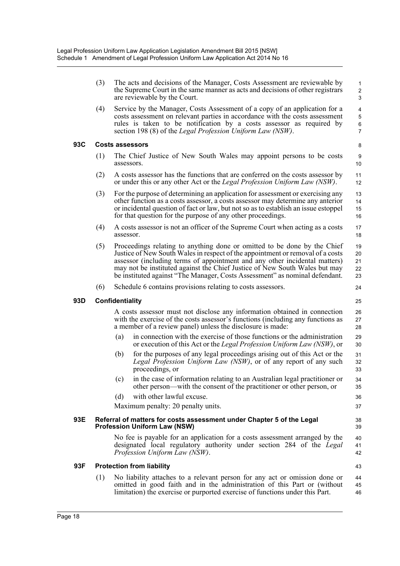|     | (3) |                 | The acts and decisions of the Manager, Costs Assessment are reviewable by<br>the Supreme Court in the same manner as acts and decisions of other registrars<br>are reviewable by the Court.                                                                                                                                                                                                           | $\mathbf{1}$<br>$\overline{c}$<br>$\mathfrak{S}$ |
|-----|-----|-----------------|-------------------------------------------------------------------------------------------------------------------------------------------------------------------------------------------------------------------------------------------------------------------------------------------------------------------------------------------------------------------------------------------------------|--------------------------------------------------|
|     | (4) |                 | Service by the Manager, Costs Assessment of a copy of an application for a<br>costs assessment on relevant parties in accordance with the costs assessment<br>rules is taken to be notification by a costs assessor as required by<br>section 198 (8) of the <i>Legal Profession Uniform Law (NSW)</i> .                                                                                              | 4<br>$\mathbf 5$<br>6<br>$\overline{7}$          |
| 93C |     |                 | <b>Costs assessors</b>                                                                                                                                                                                                                                                                                                                                                                                | 8                                                |
|     | (1) | assessors.      | The Chief Justice of New South Wales may appoint persons to be costs                                                                                                                                                                                                                                                                                                                                  | 9<br>10                                          |
|     | (2) |                 | A costs assessor has the functions that are conferred on the costs assessor by<br>or under this or any other Act or the <i>Legal Profession Uniform Law (NSW)</i> .                                                                                                                                                                                                                                   | 11<br>12                                         |
|     | (3) |                 | For the purpose of determining an application for assessment or exercising any<br>other function as a costs assessor, a costs assessor may determine any anterior<br>or incidental question of fact or law, but not so as to establish an issue estoppel<br>for that question for the purpose of any other proceedings.                                                                               | 13<br>14<br>15<br>16                             |
|     | (4) | assessor.       | A costs assessor is not an officer of the Supreme Court when acting as a costs                                                                                                                                                                                                                                                                                                                        | 17<br>18                                         |
|     | (5) |                 | Proceedings relating to anything done or omitted to be done by the Chief<br>Justice of New South Wales in respect of the appointment or removal of a costs<br>assessor (including terms of appointment and any other incidental matters)<br>may not be instituted against the Chief Justice of New South Wales but may<br>be instituted against "The Manager, Costs Assessment" as nominal defendant. | 19<br>20<br>21<br>22<br>23                       |
|     | (6) |                 | Schedule 6 contains provisions relating to costs assessors.                                                                                                                                                                                                                                                                                                                                           | 24                                               |
| 93D |     | Confidentiality |                                                                                                                                                                                                                                                                                                                                                                                                       | 25                                               |
|     |     |                 | A costs assessor must not disclose any information obtained in connection<br>with the exercise of the costs assessor's functions (including any functions as<br>a member of a review panel) unless the disclosure is made:                                                                                                                                                                            | 26<br>27<br>28                                   |
|     |     | (a)             | in connection with the exercise of those functions or the administration<br>or execution of this Act or the Legal Profession Uniform Law (NSW), or                                                                                                                                                                                                                                                    | 29<br>30                                         |
|     |     | (b)             | for the purposes of any legal proceedings arising out of this Act or the<br>Legal Profession Uniform Law (NSW), or of any report of any such<br>proceedings, or                                                                                                                                                                                                                                       | 31<br>32<br>33                                   |
|     |     |                 | (c) in the case of information relating to an Australian legal practitioner or<br>other person—with the consent of the practitioner or other person, or                                                                                                                                                                                                                                               | 34<br>35                                         |
|     |     | (d)             | with other lawful excuse.                                                                                                                                                                                                                                                                                                                                                                             | 36                                               |
|     |     |                 | Maximum penalty: 20 penalty units.                                                                                                                                                                                                                                                                                                                                                                    | 37                                               |
| 93E |     |                 | Referral of matters for costs assessment under Chapter 5 of the Legal<br><b>Profession Uniform Law (NSW)</b>                                                                                                                                                                                                                                                                                          | 38<br>39                                         |
|     |     |                 | No fee is payable for an application for a costs assessment arranged by the<br>designated local regulatory authority under section 284 of the Legal<br>Profession Uniform Law (NSW).                                                                                                                                                                                                                  | 40<br>41<br>42                                   |
| 93F |     |                 | <b>Protection from liability</b>                                                                                                                                                                                                                                                                                                                                                                      | 43                                               |
|     | (1) |                 | No liability attaches to a relevant person for any act or omission done or<br>omitted in good faith and in the administration of this Part or (without<br>limitation) the exercise or purported exercise of functions under this Part.                                                                                                                                                                | 44<br>45<br>46                                   |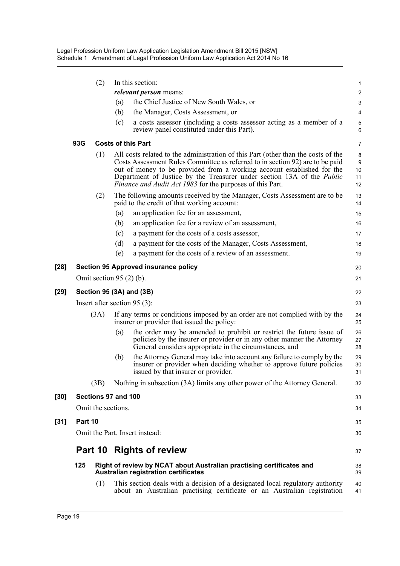|        |         | (2)     |                               | In this section:                                                                                                                                                                                                                                                                                                                                                                           |                          |
|--------|---------|---------|-------------------------------|--------------------------------------------------------------------------------------------------------------------------------------------------------------------------------------------------------------------------------------------------------------------------------------------------------------------------------------------------------------------------------------------|--------------------------|
|        |         |         |                               | <i>relevant person</i> means:                                                                                                                                                                                                                                                                                                                                                              | 1<br>$\overline{c}$      |
|        |         |         | (a)                           | the Chief Justice of New South Wales, or                                                                                                                                                                                                                                                                                                                                                   | 3                        |
|        |         |         | (b)                           | the Manager, Costs Assessment, or                                                                                                                                                                                                                                                                                                                                                          | 4                        |
|        |         |         | (c)                           | a costs assessor (including a costs assessor acting as a member of a                                                                                                                                                                                                                                                                                                                       | $\sqrt{5}$               |
|        |         |         |                               | review panel constituted under this Part).                                                                                                                                                                                                                                                                                                                                                 | $6\phantom{1}6$          |
|        | 93G     |         |                               | <b>Costs of this Part</b>                                                                                                                                                                                                                                                                                                                                                                  | 7                        |
|        |         | (1)     |                               | All costs related to the administration of this Part (other than the costs of the<br>Costs Assessment Rules Committee as referred to in section 92) are to be paid<br>out of money to be provided from a working account established for the<br>Department of Justice by the Treasurer under section 13A of the <i>Public</i><br>Finance and Audit Act 1983 for the purposes of this Part. | 8<br>9<br>10<br>11<br>12 |
|        |         | (2)     |                               | The following amounts received by the Manager, Costs Assessment are to be<br>paid to the credit of that working account:                                                                                                                                                                                                                                                                   | 13<br>14                 |
|        |         |         | (a)                           | an application fee for an assessment,                                                                                                                                                                                                                                                                                                                                                      | 15                       |
|        |         |         | (b)                           | an application fee for a review of an assessment,                                                                                                                                                                                                                                                                                                                                          | 16                       |
|        |         |         | (c)                           | a payment for the costs of a costs assessor,                                                                                                                                                                                                                                                                                                                                               | 17                       |
|        |         |         | (d)                           | a payment for the costs of the Manager, Costs Assessment,                                                                                                                                                                                                                                                                                                                                  | 18                       |
|        |         |         | (e)                           | a payment for the costs of a review of an assessment.                                                                                                                                                                                                                                                                                                                                      | 19                       |
| $[28]$ |         |         |                               | <b>Section 95 Approved insurance policy</b>                                                                                                                                                                                                                                                                                                                                                | 20                       |
|        |         |         | Omit section 95 $(2)$ $(b)$ . |                                                                                                                                                                                                                                                                                                                                                                                            | 21                       |
| $[29]$ |         |         |                               | Section 95 (3A) and (3B)                                                                                                                                                                                                                                                                                                                                                                   | 22                       |
|        |         |         |                               | Insert after section $95(3)$ :                                                                                                                                                                                                                                                                                                                                                             | 23                       |
|        |         | (3A)    |                               | If any terms or conditions imposed by an order are not complied with by the<br>insurer or provider that issued the policy:                                                                                                                                                                                                                                                                 | 24<br>25                 |
|        |         |         | (a)                           | the order may be amended to prohibit or restrict the future issue of<br>policies by the insurer or provider or in any other manner the Attorney<br>General considers appropriate in the circumstances, and                                                                                                                                                                                 | 26<br>27<br>28           |
|        |         |         | (b)                           | the Attorney General may take into account any failure to comply by the<br>insurer or provider when deciding whether to approve future policies<br>issued by that insurer or provider.                                                                                                                                                                                                     | 29<br>30<br>31           |
|        |         | (3B)    |                               | Nothing in subsection (3A) limits any other power of the Attorney General.                                                                                                                                                                                                                                                                                                                 | 32                       |
| [30]   |         |         | Sections 97 and 100           |                                                                                                                                                                                                                                                                                                                                                                                            | 33                       |
|        |         |         | Omit the sections.            |                                                                                                                                                                                                                                                                                                                                                                                            | 34                       |
| $[31]$ | Part 10 |         |                               |                                                                                                                                                                                                                                                                                                                                                                                            | 35                       |
|        |         |         |                               | Omit the Part. Insert instead:                                                                                                                                                                                                                                                                                                                                                             | 36                       |
|        |         | Part 10 |                               | <b>Rights of review</b>                                                                                                                                                                                                                                                                                                                                                                    | 37                       |
|        | 125     |         |                               | Right of review by NCAT about Australian practising certificates and<br><b>Australian registration certificates</b>                                                                                                                                                                                                                                                                        | 38<br>39                 |
|        |         | (1)     |                               | This section deals with a decision of a designated local regulatory authority<br>about an Australian practising certificate or an Australian registration                                                                                                                                                                                                                                  | 40<br>41                 |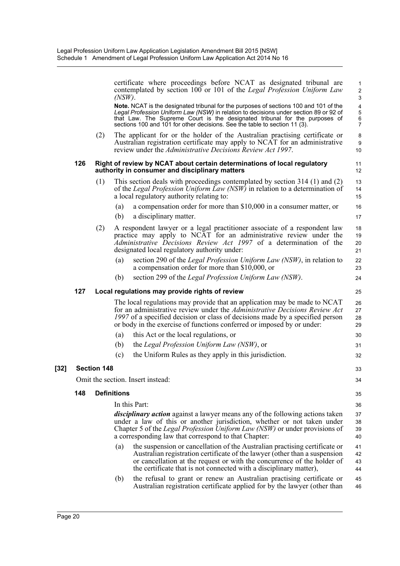|     |                    | $(NSW)$ .          | certificate where proceedings before NCAT as designated tribunal are<br>contemplated by section 100 or 101 of the Legal Profession Uniform Law                                                                                                                                                                                                    | $\mathbf{1}$<br>$\overline{2}$<br>3                               |
|-----|--------------------|--------------------|---------------------------------------------------------------------------------------------------------------------------------------------------------------------------------------------------------------------------------------------------------------------------------------------------------------------------------------------------|-------------------------------------------------------------------|
|     |                    |                    | <b>Note.</b> NCAT is the designated tribunal for the purposes of sections 100 and 101 of the<br>Legal Profession Uniform Law (NSW) in relation to decisions under section 89 or 92 of<br>that Law. The Supreme Court is the designated tribunal for the purposes of<br>sections 100 and 101 for other decisions. See the table to section 11 (3). | $\overline{\mathbf{4}}$<br>$\mathbf 5$<br>$\,6$<br>$\overline{7}$ |
|     | (2)                |                    | The applicant for or the holder of the Australian practising certificate or<br>Australian registration certificate may apply to NCAT for an administrative<br>review under the Administrative Decisions Review Act 1997.                                                                                                                          | 8<br>9<br>10                                                      |
| 126 |                    |                    | Right of review by NCAT about certain determinations of local regulatory<br>authority in consumer and disciplinary matters                                                                                                                                                                                                                        | 11<br>12                                                          |
|     | (1)                |                    | This section deals with proceedings contemplated by section 314 (1) and (2)<br>of the Legal Profession Uniform Law (NSW) in relation to a determination of<br>a local regulatory authority relating to:                                                                                                                                           | 13<br>14<br>15                                                    |
|     |                    | (a)                | a compensation order for more than \$10,000 in a consumer matter, or                                                                                                                                                                                                                                                                              | 16                                                                |
|     |                    | (b)                | a disciplinary matter.                                                                                                                                                                                                                                                                                                                            | 17                                                                |
|     | (2)                |                    | A respondent lawyer or a legal practitioner associate of a respondent law<br>practice may apply to NCAT for an administrative review under the<br><i>Administrative Decisions Review Act 1997</i> of a determination of the<br>designated local regulatory authority under:                                                                       | 18<br>19<br>20<br>21                                              |
|     |                    | (a)                | section 290 of the <i>Legal Profession Uniform Law (NSW)</i> , in relation to<br>a compensation order for more than \$10,000, or                                                                                                                                                                                                                  | 22<br>23                                                          |
|     |                    | (b)                | section 299 of the Legal Profession Uniform Law (NSW).                                                                                                                                                                                                                                                                                            | 24                                                                |
|     |                    |                    |                                                                                                                                                                                                                                                                                                                                                   |                                                                   |
| 127 |                    |                    |                                                                                                                                                                                                                                                                                                                                                   | 25                                                                |
|     |                    |                    | Local regulations may provide rights of review<br>The local regulations may provide that an application may be made to NCAT<br>for an administrative review under the Administrative Decisions Review Act<br>1997 of a specified decision or class of decisions made by a specified person                                                        | 26<br>27<br>28<br>29                                              |
|     |                    | (a)                | or body in the exercise of functions conferred or imposed by or under:<br>this Act or the local regulations, or                                                                                                                                                                                                                                   | 30                                                                |
|     |                    | (b)                | the Legal Profession Uniform Law (NSW), or                                                                                                                                                                                                                                                                                                        | 31                                                                |
|     |                    | (c)                | the Uniform Rules as they apply in this jurisdiction.                                                                                                                                                                                                                                                                                             | 32                                                                |
|     | <b>Section 148</b> |                    |                                                                                                                                                                                                                                                                                                                                                   | 33                                                                |
|     |                    |                    | Omit the section. Insert instead:                                                                                                                                                                                                                                                                                                                 | 34                                                                |
|     |                    |                    |                                                                                                                                                                                                                                                                                                                                                   |                                                                   |
| 148 |                    | <b>Definitions</b> |                                                                                                                                                                                                                                                                                                                                                   | 35                                                                |
|     |                    |                    | In this Part:                                                                                                                                                                                                                                                                                                                                     | 36                                                                |
|     |                    |                    | <i>disciplinary action</i> against a lawyer means any of the following actions taken<br>under a law of this or another jurisdiction, whether or not taken under<br>Chapter 5 of the <i>Legal Profession Uniform Law (NSW)</i> or under provisions of<br>a corresponding law that correspond to that Chapter:                                      | 37<br>38<br>39<br>40                                              |
|     |                    | (a)                | the suspension or cancellation of the Australian practising certificate or<br>Australian registration certificate of the lawyer (other than a suspension<br>or cancellation at the request or with the concurrence of the holder of<br>the certificate that is not connected with a disciplinary matter),                                         | 41<br>42<br>43<br>44                                              |

[32]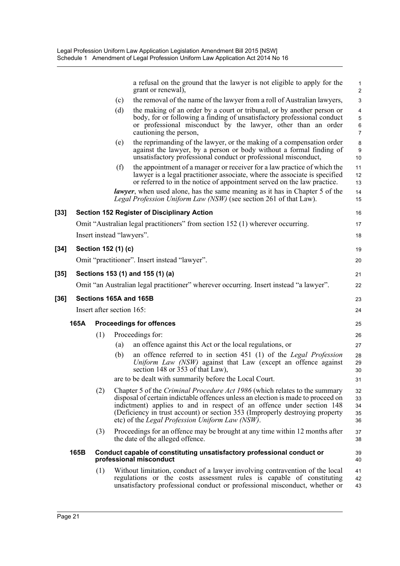|      |      |                           |     | a refusal on the ground that the lawyer is not eligible to apply for the<br>grant or renewal),                                                                                                                                                                                                                                                                                            | 1<br>$\overline{2}$         |
|------|------|---------------------------|-----|-------------------------------------------------------------------------------------------------------------------------------------------------------------------------------------------------------------------------------------------------------------------------------------------------------------------------------------------------------------------------------------------|-----------------------------|
|      |      |                           | (c) | the removal of the name of the lawyer from a roll of Australian lawyers,                                                                                                                                                                                                                                                                                                                  | $\ensuremath{\mathsf{3}}$   |
|      |      |                           | (d) | the making of an order by a court or tribunal, or by another person or<br>body, for or following a finding of unsatisfactory professional conduct<br>or professional misconduct by the lawyer, other than an order<br>cautioning the person,                                                                                                                                              | 4<br>$\sqrt{5}$<br>6<br>7   |
|      |      |                           | (e) | the reprimanding of the lawyer, or the making of a compensation order<br>against the lawyer, by a person or body without a formal finding of<br>unsatisfactory professional conduct or professional misconduct,                                                                                                                                                                           | 8<br>$\boldsymbol{9}$<br>10 |
|      |      |                           | (f) | the appointment of a manager or receiver for a law practice of which the<br>lawyer is a legal practitioner associate, where the associate is specified<br>or referred to in the notice of appointment served on the law practice.                                                                                                                                                         | 11<br>12<br>13              |
|      |      |                           |     | lawyer, when used alone, has the same meaning as it has in Chapter 5 of the<br>Legal Profession Uniform Law (NSW) (see section 261 of that Law).                                                                                                                                                                                                                                          | 14<br>15                    |
| [33] |      |                           |     | <b>Section 152 Register of Disciplinary Action</b>                                                                                                                                                                                                                                                                                                                                        | 16                          |
|      |      |                           |     | Omit "Australian legal practitioners" from section 152 (1) wherever occurring.                                                                                                                                                                                                                                                                                                            | 17                          |
|      |      |                           |     | Insert instead "lawyers".                                                                                                                                                                                                                                                                                                                                                                 | 18                          |
| [34] |      | Section 152 (1) (c)       |     |                                                                                                                                                                                                                                                                                                                                                                                           | 19                          |
|      |      |                           |     | Omit "practitioner". Insert instead "lawyer".                                                                                                                                                                                                                                                                                                                                             | 20                          |
| [35] |      |                           |     | Sections 153 (1) and 155 (1) (a)                                                                                                                                                                                                                                                                                                                                                          | 21                          |
|      |      |                           |     | Omit "an Australian legal practitioner" wherever occurring. Insert instead "a lawyer".                                                                                                                                                                                                                                                                                                    | 22                          |
| [36] |      |                           |     | Sections 165A and 165B                                                                                                                                                                                                                                                                                                                                                                    | 23                          |
|      |      | Insert after section 165: |     |                                                                                                                                                                                                                                                                                                                                                                                           | 24                          |
|      | 165A |                           |     | <b>Proceedings for offences</b>                                                                                                                                                                                                                                                                                                                                                           | 25                          |
|      |      | (1)                       |     | Proceedings for:                                                                                                                                                                                                                                                                                                                                                                          | 26                          |
|      |      |                           | (a) | an offence against this Act or the local regulations, or                                                                                                                                                                                                                                                                                                                                  | 27                          |
|      |      |                           | (b) | an offence referred to in section 451 (1) of the Legal Profession<br>Uniform Law (NSW) against that Law (except an offence against<br>section 148 or 353 of that Law).                                                                                                                                                                                                                    | 28<br>29<br>30              |
|      |      |                           |     | are to be dealt with summarily before the Local Court.                                                                                                                                                                                                                                                                                                                                    | 31                          |
|      |      | (2)                       |     | Chapter 5 of the <i>Criminal Procedure Act 1986</i> (which relates to the summary<br>disposal of certain indictable offences unless an election is made to proceed on<br>indictment) applies to and in respect of an offence under section 148<br>(Deficiency in trust account) or section 353 (Improperly destroying property<br>etc) of the <i>Legal Profession Uniform Law (NSW)</i> . | 32<br>33<br>34<br>35<br>36  |
|      |      | (3)                       |     | Proceedings for an offence may be brought at any time within 12 months after<br>the date of the alleged offence.                                                                                                                                                                                                                                                                          | 37<br>38                    |
|      | 165B |                           |     | Conduct capable of constituting unsatisfactory professional conduct or<br>professional misconduct                                                                                                                                                                                                                                                                                         | 39<br>40                    |
|      |      | (1)                       |     | Without limitation, conduct of a lawyer involving contravention of the local<br>regulations or the costs assessment rules is capable of constituting<br>unsatisfactory professional conduct or professional misconduct, whether or                                                                                                                                                        | 41<br>42<br>43              |

 $[34]$ 

 $[35]$ 

[36]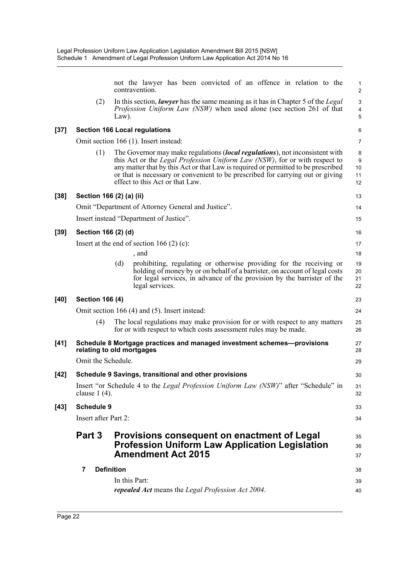|        |                        | not the lawyer has been convicted of an offence in relation to the<br>contravention.                                                                                                                                                                                                                                                                                                 | $\mathbf{1}$<br>$\overline{2}$                   |
|--------|------------------------|--------------------------------------------------------------------------------------------------------------------------------------------------------------------------------------------------------------------------------------------------------------------------------------------------------------------------------------------------------------------------------------|--------------------------------------------------|
|        | (2)                    | In this section, <i>lawyer</i> has the same meaning as it has in Chapter 5 of the <i>Legal</i><br>Profession Uniform Law (NSW) when used alone (see section 261 of that<br>$Law$ ).                                                                                                                                                                                                  | $\ensuremath{\mathsf{3}}$<br>$\overline{4}$<br>5 |
| $[37]$ |                        | <b>Section 166 Local regulations</b>                                                                                                                                                                                                                                                                                                                                                 | 6                                                |
|        |                        | Omit section 166 (1). Insert instead:                                                                                                                                                                                                                                                                                                                                                | 7                                                |
|        | (1)                    | The Governor may make regulations <i>(local regulations)</i> , not inconsistent with<br>this Act or the <i>Legal Profession Uniform Law (NSW)</i> , for or with respect to<br>any matter that by this Act or that Law is required or permitted to be prescribed<br>or that is necessary or convenient to be prescribed for carrying out or giving<br>effect to this Act or that Law. | 8<br>$\boldsymbol{9}$<br>10<br>11<br>12          |
| $[38]$ |                        | Section 166 (2) (a) (ii)                                                                                                                                                                                                                                                                                                                                                             | 13                                               |
|        |                        | Omit "Department of Attorney General and Justice".                                                                                                                                                                                                                                                                                                                                   | 14                                               |
|        |                        | Insert instead "Department of Justice".                                                                                                                                                                                                                                                                                                                                              | 15                                               |
| $[39]$ | Section 166 (2) (d)    |                                                                                                                                                                                                                                                                                                                                                                                      | 16                                               |
|        |                        | Insert at the end of section 166 $(2)$ (c):                                                                                                                                                                                                                                                                                                                                          | 17                                               |
|        |                        | , and                                                                                                                                                                                                                                                                                                                                                                                | 18                                               |
|        |                        | prohibiting, regulating or otherwise providing for the receiving or<br>(d)<br>holding of money by or on behalf of a barrister, on account of legal costs<br>for legal services, in advance of the provision by the barrister of the<br>legal services.                                                                                                                               | 19<br>20<br>21<br>22                             |
| $[40]$ | <b>Section 166 (4)</b> |                                                                                                                                                                                                                                                                                                                                                                                      | 23                                               |
|        |                        | Omit section 166 (4) and (5). Insert instead:                                                                                                                                                                                                                                                                                                                                        | 24                                               |
|        | (4)                    | The local regulations may make provision for or with respect to any matters<br>for or with respect to which costs assessment rules may be made.                                                                                                                                                                                                                                      | 25<br>26                                         |
| $[41]$ |                        | Schedule 8 Mortgage practices and managed investment schemes---provisions<br>relating to old mortgages                                                                                                                                                                                                                                                                               | 27<br>28                                         |
|        | Omit the Schedule.     |                                                                                                                                                                                                                                                                                                                                                                                      | 29                                               |
| $[42]$ |                        | Schedule 9 Savings, transitional and other provisions                                                                                                                                                                                                                                                                                                                                | 30                                               |
|        | clause $1(4)$ .        | Insert "or Schedule 4 to the <i>Legal Profession Uniform Law (NSW)</i> " after "Schedule" in                                                                                                                                                                                                                                                                                         | 31<br>32                                         |
| $[43]$ | <b>Schedule 9</b>      |                                                                                                                                                                                                                                                                                                                                                                                      | 33                                               |
|        | Insert after Part 2:   |                                                                                                                                                                                                                                                                                                                                                                                      | 34                                               |
|        | Part 3                 | Provisions consequent on enactment of Legal<br><b>Profession Uniform Law Application Legislation</b><br><b>Amendment Act 2015</b>                                                                                                                                                                                                                                                    | 35<br>36<br>37                                   |
|        | 7                      | <b>Definition</b>                                                                                                                                                                                                                                                                                                                                                                    | 38                                               |
|        |                        | In this Part:                                                                                                                                                                                                                                                                                                                                                                        | 39                                               |
|        |                        | repealed Act means the Legal Profession Act 2004.                                                                                                                                                                                                                                                                                                                                    | 40                                               |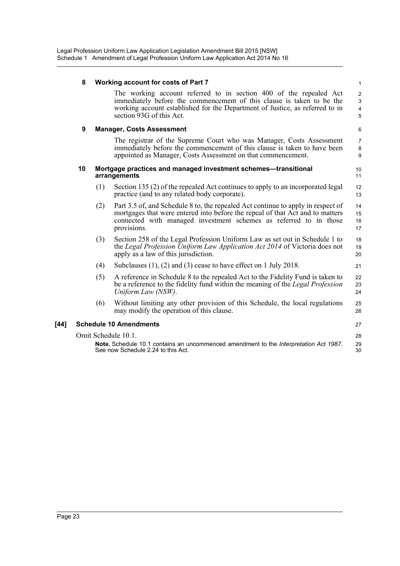|        | 8  |     | <b>Working account for costs of Part 7</b>                                                                                                                                                                                                              | $\mathbf{1}$                                                  |
|--------|----|-----|---------------------------------------------------------------------------------------------------------------------------------------------------------------------------------------------------------------------------------------------------------|---------------------------------------------------------------|
|        |    |     | The working account referred to in section 400 of the repealed Act<br>immediately before the commencement of this clause is taken to be the<br>working account established for the Department of Justice, as referred to in<br>section 93G of this Act. | $\overline{2}$<br>$\mathsf 3$<br>$\overline{\mathbf{4}}$<br>5 |
|        | 9  |     | <b>Manager, Costs Assessment</b>                                                                                                                                                                                                                        | $6\phantom{1}6$                                               |
|        |    |     | The registrar of the Supreme Court who was Manager, Costs Assessment<br>immediately before the commencement of this clause is taken to have been<br>appointed as Manager, Costs Assessment on that commencement.                                        | $\overline{7}$<br>8<br>9                                      |
|        | 10 |     | Mortgage practices and managed investment schemes-transitional<br>arrangements                                                                                                                                                                          | 10<br>11                                                      |
|        |    | (1) | Section 135 (2) of the repealed Act continues to apply to an incorporated legal<br>practice (and to any related body corporate).                                                                                                                        | 12<br>13                                                      |
|        |    | (2) | Part 3.5 of, and Schedule 8 to, the repealed Act continue to apply in respect of<br>mortgages that were entered into before the repeal of that Act and to matters<br>connected with managed investment schemes as referred to in those<br>provisions.   | 14<br>15<br>16<br>17                                          |
|        |    | (3) | Section 258 of the Legal Profession Uniform Law as set out in Schedule 1 to<br>the Legal Profession Uniform Law Application Act 2014 of Victoria does not<br>apply as a law of this jurisdiction.                                                       | 18<br>19<br>20                                                |
|        |    | (4) | Subclauses $(1)$ , $(2)$ and $(3)$ cease to have effect on 1 July 2018.                                                                                                                                                                                 | 21                                                            |
|        |    | (5) | A reference in Schedule 8 to the repealed Act to the Fidelity Fund is taken to<br>be a reference to the fidelity fund within the meaning of the Legal Profession<br>Uniform Law (NSW).                                                                  | 22<br>23<br>24                                                |
|        |    | (6) | Without limiting any other provision of this Schedule, the local regulations<br>may modify the operation of this clause.                                                                                                                                | 25<br>26                                                      |
| $[44]$ |    |     | <b>Schedule 10 Amendments</b>                                                                                                                                                                                                                           | 27                                                            |
|        |    |     | Omit Schedule 10.1.<br>Note. Schedule 10.1 contains an uncommenced amendment to the Interpretation Act 1987.<br>See now Schedule 2.24 to this Act.                                                                                                      | 28<br>29<br>30                                                |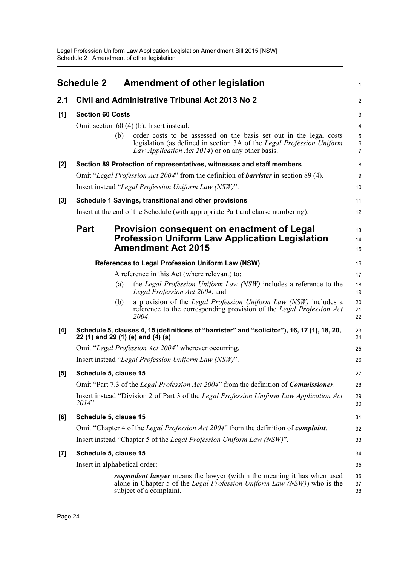<span id="page-28-0"></span>

|       | <b>Schedule 2</b>                                      |            | <b>Amendment of other legislation</b>                                                                                                                                                                                                                                                                                                                                | $\mathbf{1}$                                |
|-------|--------------------------------------------------------|------------|----------------------------------------------------------------------------------------------------------------------------------------------------------------------------------------------------------------------------------------------------------------------------------------------------------------------------------------------------------------------|---------------------------------------------|
| 2.1   |                                                        |            | Civil and Administrative Tribunal Act 2013 No 2                                                                                                                                                                                                                                                                                                                      | $\overline{2}$                              |
| [1]   | <b>Section 60 Costs</b>                                | (b)        | Omit section 60 (4) (b). Insert instead:<br>order costs to be assessed on the basis set out in the legal costs<br>legislation (as defined in section 3A of the Legal Profession Uniform<br>Law Application Act 2014) or on any other basis.                                                                                                                          | 3<br>4<br>$\sqrt{5}$<br>6<br>$\overline{7}$ |
| [2]   |                                                        |            | Section 89 Protection of representatives, witnesses and staff members<br>Omit "Legal Profession Act 2004" from the definition of <b>barrister</b> in section 89 (4).<br>Insert instead "Legal Profession Uniform Law (NSW)".                                                                                                                                         | 8<br>9<br>10                                |
| $[3]$ |                                                        |            | Schedule 1 Savings, transitional and other provisions<br>Insert at the end of the Schedule (with appropriate Part and clause numbering):                                                                                                                                                                                                                             | 11<br>12                                    |
|       | <b>Part</b>                                            |            | <b>Provision consequent on enactment of Legal</b><br><b>Profession Uniform Law Application Legislation</b><br><b>Amendment Act 2015</b>                                                                                                                                                                                                                              | 13<br>14<br>15                              |
|       |                                                        | (a)<br>(b) | References to Legal Profession Uniform Law (NSW)<br>A reference in this Act (where relevant) to:<br>the Legal Profession Uniform Law (NSW) includes a reference to the<br>Legal Profession Act 2004, and<br>a provision of the <i>Legal Profession Uniform Law (NSW)</i> includes a<br>reference to the corresponding provision of the Legal Profession Act<br>2004. | 16<br>17<br>18<br>19<br>20<br>21<br>22      |
| [4]   | 22 (1) and 29 (1) (e) and (4) (a)                      |            | Schedule 5, clauses 4, 15 (definitions of "barrister" and "solicitor"), 16, 17 (1), 18, 20,<br>Omit "Legal Profession Act 2004" wherever occurring.<br>Insert instead "Legal Profession Uniform Law (NSW)".                                                                                                                                                          | 23<br>24<br>25<br>26                        |
| [5]   | Schedule 5, clause 15<br>$2014$ ".                     |            | Omit "Part 7.3 of the <i>Legal Profession Act 2004</i> " from the definition of <i>Commissioner</i> .<br>Insert instead "Division 2 of Part 3 of the Legal Profession Uniform Law Application Act                                                                                                                                                                    | 27<br>28<br>29<br>30                        |
| [6]   | Schedule 5, clause 15                                  |            | Omit "Chapter 4 of the Legal Profession Act 2004" from the definition of complaint.<br>Insert instead "Chapter 5 of the Legal Profession Uniform Law (NSW)".                                                                                                                                                                                                         | 31<br>32<br>33                              |
| $[7]$ | Schedule 5, clause 15<br>Insert in alphabetical order: |            | <i>respondent lawyer</i> means the lawyer (within the meaning it has when used<br>alone in Chapter 5 of the <i>Legal Profession Uniform Law (NSW)</i> ) who is the<br>subject of a complaint.                                                                                                                                                                        | 34<br>35<br>36<br>37<br>38                  |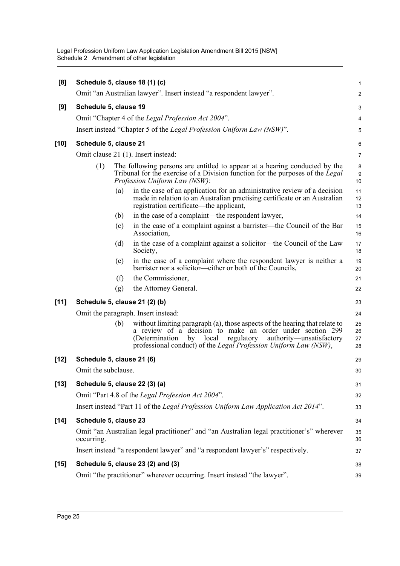| [8]    |                                     |     | Schedule 5, clause 18 (1) (c)                                                                                                                                                                                                                                                            | $\mathbf{1}$                |  |
|--------|-------------------------------------|-----|------------------------------------------------------------------------------------------------------------------------------------------------------------------------------------------------------------------------------------------------------------------------------------------|-----------------------------|--|
|        |                                     |     | Omit "an Australian lawyer". Insert instead "a respondent lawyer".                                                                                                                                                                                                                       | $\overline{2}$              |  |
| [9]    | Schedule 5, clause 19               |     |                                                                                                                                                                                                                                                                                          | 3                           |  |
|        |                                     |     | Omit "Chapter 4 of the Legal Profession Act 2004".                                                                                                                                                                                                                                       | 4                           |  |
|        |                                     |     | Insert instead "Chapter 5 of the Legal Profession Uniform Law (NSW)".                                                                                                                                                                                                                    | $\mathbf 5$                 |  |
| $[10]$ | Schedule 5, clause 21               |     |                                                                                                                                                                                                                                                                                          | 6                           |  |
|        | Omit clause 21 (1). Insert instead: |     |                                                                                                                                                                                                                                                                                          |                             |  |
|        | (1)                                 |     | The following persons are entitled to appear at a hearing conducted by the<br>Tribunal for the exercise of a Division function for the purposes of the Legal<br>Profession Uniform Law (NSW):                                                                                            | 8<br>$\boldsymbol{9}$<br>10 |  |
|        |                                     | (a) | in the case of an application for an administrative review of a decision<br>made in relation to an Australian practising certificate or an Australian<br>registration certificate—the applicant,                                                                                         | 11<br>12<br>13              |  |
|        |                                     | (b) | in the case of a complaint—the respondent lawyer,                                                                                                                                                                                                                                        | 14                          |  |
|        |                                     | (c) | in the case of a complaint against a barrister-the Council of the Bar<br>Association,                                                                                                                                                                                                    | 15<br>16                    |  |
|        |                                     | (d) | in the case of a complaint against a solicitor—the Council of the Law<br>Society,                                                                                                                                                                                                        | 17<br>18                    |  |
|        |                                     | (e) | in the case of a complaint where the respondent lawyer is neither a<br>barrister nor a solicitor—either or both of the Councils,                                                                                                                                                         | 19<br>20                    |  |
|        |                                     | (f) | the Commissioner,                                                                                                                                                                                                                                                                        | 21                          |  |
|        |                                     | (g) | the Attorney General.                                                                                                                                                                                                                                                                    | 22                          |  |
| [11]   |                                     |     | Schedule 5, clause 21 (2) (b)                                                                                                                                                                                                                                                            | 23                          |  |
|        |                                     |     | Omit the paragraph. Insert instead:                                                                                                                                                                                                                                                      | 24                          |  |
|        |                                     | (b) | without limiting paragraph (a), those aspects of the hearing that relate to<br>a review of a decision to make an order under section 299<br>regulatory<br>authority-unsatisfactory<br>(Determination)<br>by<br>local<br>professional conduct) of the Legal Profession Uniform Law (NSW), | 25<br>26<br>27<br>28        |  |
| $[12]$ | Schedule 5, clause 21 (6)           |     |                                                                                                                                                                                                                                                                                          | 29                          |  |
|        | Omit the subclause.                 |     |                                                                                                                                                                                                                                                                                          | 30                          |  |
| $[13]$ |                                     |     | Schedule 5, clause 22 (3) (a)                                                                                                                                                                                                                                                            | 31                          |  |
|        |                                     |     | Omit "Part 4.8 of the Legal Profession Act 2004".                                                                                                                                                                                                                                        | 32                          |  |
|        |                                     |     | Insert instead "Part 11 of the Legal Profession Uniform Law Application Act 2014".                                                                                                                                                                                                       | 33                          |  |
| $[14]$ | Schedule 5, clause 23               |     |                                                                                                                                                                                                                                                                                          | 34                          |  |
|        | occurring.                          |     | Omit "an Australian legal practitioner" and "an Australian legal practitioner's" wherever                                                                                                                                                                                                | 35<br>36                    |  |
|        |                                     |     | Insert instead "a respondent lawyer" and "a respondent lawyer's" respectively.                                                                                                                                                                                                           | 37                          |  |
| $[15]$ |                                     |     | Schedule 5, clause 23 (2) and (3)                                                                                                                                                                                                                                                        | 38                          |  |
|        |                                     |     | Omit "the practitioner" wherever occurring. Insert instead "the lawyer".                                                                                                                                                                                                                 | 39                          |  |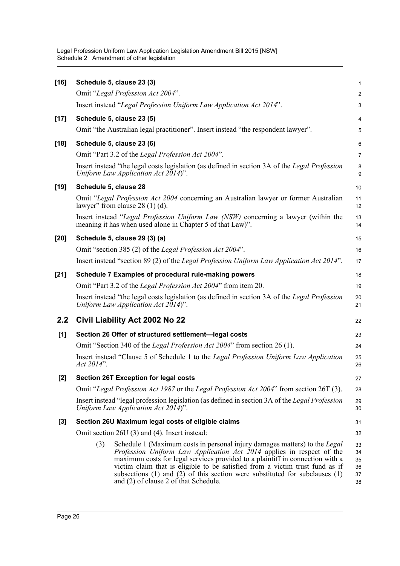| $[16]$ |            | Schedule 5, clause 23 (3)                                                                                                                                                                                                                                                                                                                                                                                                                                 | 1                                |
|--------|------------|-----------------------------------------------------------------------------------------------------------------------------------------------------------------------------------------------------------------------------------------------------------------------------------------------------------------------------------------------------------------------------------------------------------------------------------------------------------|----------------------------------|
|        |            | Omit "Legal Profession Act 2004".                                                                                                                                                                                                                                                                                                                                                                                                                         | 2                                |
|        |            | Insert instead "Legal Profession Uniform Law Application Act 2014".                                                                                                                                                                                                                                                                                                                                                                                       | 3                                |
| $[17]$ |            | Schedule 5, clause 23 (5)                                                                                                                                                                                                                                                                                                                                                                                                                                 | 4                                |
|        |            | Omit "the Australian legal practitioner". Insert instead "the respondent lawyer".                                                                                                                                                                                                                                                                                                                                                                         | 5                                |
| $[18]$ |            | Schedule 5, clause 23 (6)                                                                                                                                                                                                                                                                                                                                                                                                                                 | 6                                |
|        |            | Omit "Part 3.2 of the Legal Profession Act 2004".                                                                                                                                                                                                                                                                                                                                                                                                         | 7                                |
|        |            | Insert instead "the legal costs legislation (as defined in section 3A of the Legal Profession<br>Uniform Law Application Act 2014)".                                                                                                                                                                                                                                                                                                                      | 8<br>9                           |
| $[19]$ |            | Schedule 5, clause 28                                                                                                                                                                                                                                                                                                                                                                                                                                     | 10                               |
|        |            | Omit "Legal Profession Act 2004 concerning an Australian lawyer or former Australian<br>lawyer" from clause $28(1)(d)$ .                                                                                                                                                                                                                                                                                                                                  | 11<br>12                         |
|        |            | Insert instead "Legal Profession Uniform Law (NSW) concerning a lawyer (within the<br>meaning it has when used alone in Chapter 5 of that Law)".                                                                                                                                                                                                                                                                                                          | 13<br>14                         |
| $[20]$ |            | Schedule 5, clause 29 (3) (a)                                                                                                                                                                                                                                                                                                                                                                                                                             | 15                               |
|        |            | Omit "section 385 (2) of the Legal Profession Act 2004".                                                                                                                                                                                                                                                                                                                                                                                                  | 16                               |
|        |            | Insert instead "section 89 (2) of the Legal Profession Uniform Law Application Act 2014".                                                                                                                                                                                                                                                                                                                                                                 | 17                               |
| $[21]$ |            | Schedule 7 Examples of procedural rule-making powers                                                                                                                                                                                                                                                                                                                                                                                                      | 18                               |
|        |            | Omit "Part 3.2 of the Legal Profession Act 2004" from item 20.                                                                                                                                                                                                                                                                                                                                                                                            | 19                               |
|        |            | Insert instead "the legal costs legislation (as defined in section 3A of the Legal Profession<br>Uniform Law Application Act 2014)".                                                                                                                                                                                                                                                                                                                      | 20<br>21                         |
| 2.2    |            | Civil Liability Act 2002 No 22                                                                                                                                                                                                                                                                                                                                                                                                                            | 22                               |
| $[1]$  |            | Section 26 Offer of structured settlement-legal costs                                                                                                                                                                                                                                                                                                                                                                                                     | 23                               |
|        |            | Omit "Section 340 of the <i>Legal Profession Act 2004</i> " from section 26 (1).                                                                                                                                                                                                                                                                                                                                                                          | 24                               |
|        | Act 2014". | Insert instead "Clause 5 of Schedule 1 to the Legal Profession Uniform Law Application                                                                                                                                                                                                                                                                                                                                                                    | 25<br>26                         |
| $[2]$  |            | <b>Section 26T Exception for legal costs</b>                                                                                                                                                                                                                                                                                                                                                                                                              | 27                               |
|        |            | Omit "Legal Profession Act 1987 or the Legal Profession Act 2004" from section 26T (3).                                                                                                                                                                                                                                                                                                                                                                   | 28                               |
|        |            | Insert instead "legal profession legislation (as defined in section 3A of the Legal Profession<br>Uniform Law Application Act 2014)".                                                                                                                                                                                                                                                                                                                     | 29<br>30                         |
| $[3]$  |            | Section 26U Maximum legal costs of eligible claims                                                                                                                                                                                                                                                                                                                                                                                                        | 31                               |
|        |            | Omit section 26U (3) and (4). Insert instead:                                                                                                                                                                                                                                                                                                                                                                                                             | 32                               |
|        | (3)        | Schedule 1 (Maximum costs in personal injury damages matters) to the <i>Legal</i><br>Profession Uniform Law Application Act 2014 applies in respect of the<br>maximum costs for legal services provided to a plaintiff in connection with a<br>victim claim that is eligible to be satisfied from a victim trust fund as if<br>subsections $(1)$ and $(2)$ of this section were substituted for subclauses $(1)$<br>and (2) of clause 2 of that Schedule. | 33<br>34<br>35<br>36<br>37<br>38 |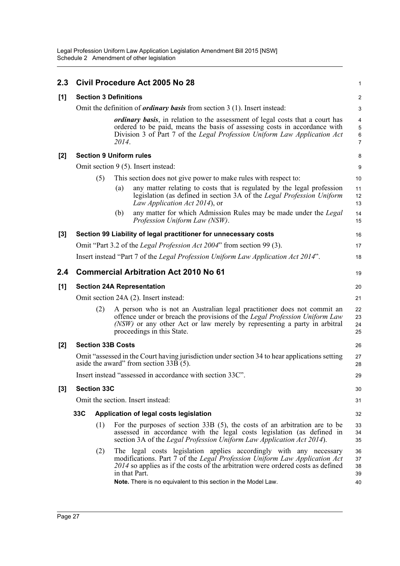| 2.3   |     |                              |       | Civil Procedure Act 2005 No 28                                                                                                                                                                                                                                                                                         | 1                                            |
|-------|-----|------------------------------|-------|------------------------------------------------------------------------------------------------------------------------------------------------------------------------------------------------------------------------------------------------------------------------------------------------------------------------|----------------------------------------------|
| [1]   |     | <b>Section 3 Definitions</b> |       |                                                                                                                                                                                                                                                                                                                        | $\overline{c}$                               |
|       |     |                              |       | Omit the definition of <i>ordinary basis</i> from section $3(1)$ . Insert instead:                                                                                                                                                                                                                                     | 3                                            |
|       |     |                              | 2014. | <i>ordinary basis</i> , in relation to the assessment of legal costs that a court has<br>ordered to be paid, means the basis of assessing costs in accordance with<br>Division 3 of Part 7 of the Legal Profession Uniform Law Application Act                                                                         | 4<br>$\sqrt{5}$<br>$\,6\,$<br>$\overline{7}$ |
| [2]   |     |                              |       | <b>Section 9 Uniform rules</b>                                                                                                                                                                                                                                                                                         | 8                                            |
|       |     |                              |       | Omit section 9 (5). Insert instead:                                                                                                                                                                                                                                                                                    | 9                                            |
|       |     | (5)                          |       | This section does not give power to make rules with respect to:                                                                                                                                                                                                                                                        | 10                                           |
|       |     |                              | (a)   | any matter relating to costs that is regulated by the legal profession<br>legislation (as defined in section 3A of the Legal Profession Uniform<br>Law Application Act 2014), or                                                                                                                                       | 11<br>12<br>13                               |
|       |     |                              | (b)   | any matter for which Admission Rules may be made under the Legal<br>Profession Uniform Law (NSW).                                                                                                                                                                                                                      | 14<br>15                                     |
| $[3]$ |     |                              |       | Section 99 Liability of legal practitioner for unnecessary costs                                                                                                                                                                                                                                                       | 16                                           |
|       |     |                              |       | Omit "Part 3.2 of the <i>Legal Profession Act 2004</i> " from section 99 (3).                                                                                                                                                                                                                                          | 17                                           |
|       |     |                              |       | Insert instead "Part 7 of the Legal Profession Uniform Law Application Act 2014".                                                                                                                                                                                                                                      | 18                                           |
| 2.4   |     |                              |       | <b>Commercial Arbitration Act 2010 No 61</b>                                                                                                                                                                                                                                                                           | 19                                           |
| [1]   |     |                              |       | <b>Section 24A Representation</b>                                                                                                                                                                                                                                                                                      | 20                                           |
|       |     |                              |       | Omit section 24A (2). Insert instead:                                                                                                                                                                                                                                                                                  | 21                                           |
|       |     | (2)                          |       | A person who is not an Australian legal practitioner does not commit an<br>offence under or breach the provisions of the Legal Profession Uniform Law<br>(NSW) or any other Act or law merely by representing a party in arbitral<br>proceedings in this State.                                                        | 22<br>23<br>24<br>25                         |
| [2]   |     | <b>Section 33B Costs</b>     |       |                                                                                                                                                                                                                                                                                                                        | 26                                           |
|       |     |                              |       | Omit "assessed in the Court having jurisdiction under section 34 to hear applications setting<br>aside the award" from section $33\overline{B}(5)$ .                                                                                                                                                                   | 27<br>28                                     |
|       |     |                              |       | Insert instead "assessed in accordance with section 33C".                                                                                                                                                                                                                                                              | 29                                           |
| $[3]$ |     | <b>Section 33C</b>           |       |                                                                                                                                                                                                                                                                                                                        | 30                                           |
|       |     |                              |       | Omit the section. Insert instead:                                                                                                                                                                                                                                                                                      | 31                                           |
|       | 33C |                              |       | Application of legal costs legislation                                                                                                                                                                                                                                                                                 | 32                                           |
|       |     | (1)                          |       | For the purposes of section $33B(5)$ , the costs of an arbitration are to be<br>assessed in accordance with the legal costs legislation (as defined in<br>section 3A of the Legal Profession Uniform Law Application Act 2014).                                                                                        | 33<br>34<br>35                               |
|       |     | (2)                          |       | The legal costs legislation applies accordingly with any necessary<br>modifications. Part 7 of the Legal Profession Uniform Law Application Act<br>2014 so applies as if the costs of the arbitration were ordered costs as defined<br>in that Part.<br>Note. There is no equivalent to this section in the Model Law. | 36<br>37<br>38<br>39<br>40                   |
|       |     |                              |       |                                                                                                                                                                                                                                                                                                                        |                                              |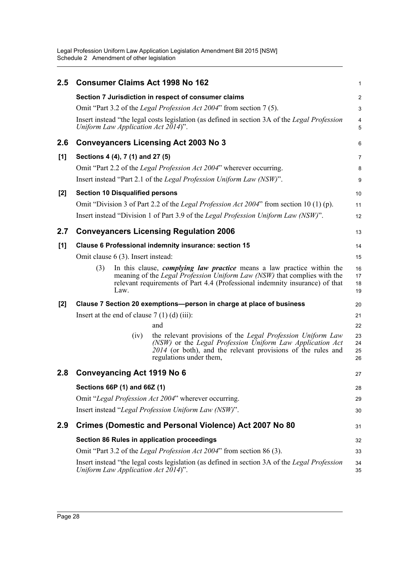| 2.5 | <b>Consumer Claims Act 1998 No 162</b>                                                                                                                                                                                                                                                  |                                                                                                                                                                                                                     | 1                       |  |  |  |  |
|-----|-----------------------------------------------------------------------------------------------------------------------------------------------------------------------------------------------------------------------------------------------------------------------------------------|---------------------------------------------------------------------------------------------------------------------------------------------------------------------------------------------------------------------|-------------------------|--|--|--|--|
|     |                                                                                                                                                                                                                                                                                         | Section 7 Jurisdiction in respect of consumer claims                                                                                                                                                                | $\overline{\mathbf{c}}$ |  |  |  |  |
|     |                                                                                                                                                                                                                                                                                         | Omit "Part 3.2 of the Legal Profession Act 2004" from section 7(5).                                                                                                                                                 | 3                       |  |  |  |  |
|     | Uniform Law Application Act 2014)".                                                                                                                                                                                                                                                     | Insert instead "the legal costs legislation (as defined in section 3A of the Legal Profession                                                                                                                       | 4<br>5                  |  |  |  |  |
| 2.6 |                                                                                                                                                                                                                                                                                         | <b>Conveyancers Licensing Act 2003 No 3</b>                                                                                                                                                                         | 6                       |  |  |  |  |
| [1] | Sections 4 (4), 7 (1) and 27 (5)                                                                                                                                                                                                                                                        |                                                                                                                                                                                                                     | 7                       |  |  |  |  |
|     |                                                                                                                                                                                                                                                                                         | Omit "Part 2.2 of the Legal Profession Act 2004" wherever occurring.                                                                                                                                                | 8                       |  |  |  |  |
|     |                                                                                                                                                                                                                                                                                         | Insert instead "Part 2.1 of the Legal Profession Uniform Law (NSW)".                                                                                                                                                | 9                       |  |  |  |  |
| [2] | <b>Section 10 Disqualified persons</b>                                                                                                                                                                                                                                                  |                                                                                                                                                                                                                     | 10                      |  |  |  |  |
|     |                                                                                                                                                                                                                                                                                         | Omit "Division 3 of Part 2.2 of the <i>Legal Profession Act 2004</i> " from section 10 (1) (p).                                                                                                                     | 11                      |  |  |  |  |
|     |                                                                                                                                                                                                                                                                                         | Insert instead "Division 1 of Part 3.9 of the Legal Profession Uniform Law (NSW)".                                                                                                                                  | 12                      |  |  |  |  |
| 2.7 |                                                                                                                                                                                                                                                                                         | <b>Conveyancers Licensing Regulation 2006</b>                                                                                                                                                                       | 13                      |  |  |  |  |
| [1] |                                                                                                                                                                                                                                                                                         | Clause 6 Professional indemnity insurance: section 15                                                                                                                                                               | 14                      |  |  |  |  |
|     | Omit clause 6 (3). Insert instead:                                                                                                                                                                                                                                                      |                                                                                                                                                                                                                     |                         |  |  |  |  |
|     | (3)<br>In this clause, <i>complying law practice</i> means a law practice within the<br>16<br>meaning of the <i>Legal Profession Uniform Law (NSW)</i> that complies with the<br>17<br>relevant requirements of Part 4.4 (Professional indemnity insurance) of that<br>18<br>Law.<br>19 |                                                                                                                                                                                                                     |                         |  |  |  |  |
| [2] |                                                                                                                                                                                                                                                                                         | Clause 7 Section 20 exemptions—person in charge at place of business                                                                                                                                                | 20                      |  |  |  |  |
|     | Insert at the end of clause $7(1)(d)(iii)$ :                                                                                                                                                                                                                                            |                                                                                                                                                                                                                     | 21                      |  |  |  |  |
|     |                                                                                                                                                                                                                                                                                         | and                                                                                                                                                                                                                 | 22                      |  |  |  |  |
|     | (iv)                                                                                                                                                                                                                                                                                    | the relevant provisions of the Legal Profession Uniform Law<br>(NSW) or the Legal Profession Uniform Law Application Act<br>2014 (or both), and the relevant provisions of the rules and<br>regulations under them, | 23<br>24<br>25<br>26    |  |  |  |  |
| 2.8 | Conveyancing Act 1919 No 6                                                                                                                                                                                                                                                              |                                                                                                                                                                                                                     |                         |  |  |  |  |
|     |                                                                                                                                                                                                                                                                                         | Sections 66P (1) and 66Z (1)                                                                                                                                                                                        |                         |  |  |  |  |
|     | Omit "Legal Profession Act 2004" wherever occurring.                                                                                                                                                                                                                                    |                                                                                                                                                                                                                     |                         |  |  |  |  |
|     |                                                                                                                                                                                                                                                                                         | Insert instead "Legal Profession Uniform Law (NSW)".                                                                                                                                                                | 30                      |  |  |  |  |
| 2.9 |                                                                                                                                                                                                                                                                                         | Crimes (Domestic and Personal Violence) Act 2007 No 80                                                                                                                                                              | 31                      |  |  |  |  |
|     | Section 86 Rules in application proceedings                                                                                                                                                                                                                                             |                                                                                                                                                                                                                     | 32                      |  |  |  |  |
|     |                                                                                                                                                                                                                                                                                         | Omit "Part 3.2 of the Legal Profession Act 2004" from section 86 (3).                                                                                                                                               | 33                      |  |  |  |  |
|     | Uniform Law Application Act 2014)".                                                                                                                                                                                                                                                     | Insert instead "the legal costs legislation (as defined in section 3A of the Legal Profession                                                                                                                       | 34<br>35                |  |  |  |  |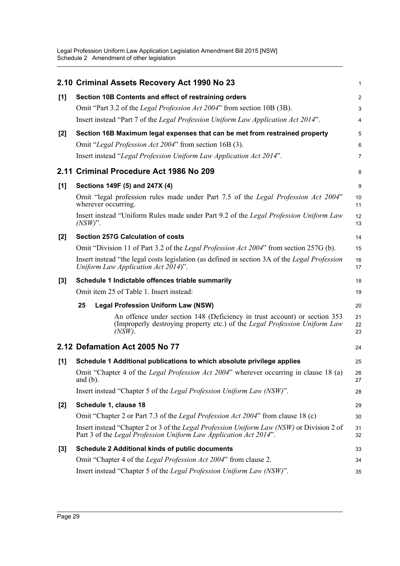|       | 2.10 Criminal Assets Recovery Act 1990 No 23                                                                                                                          | 1              |
|-------|-----------------------------------------------------------------------------------------------------------------------------------------------------------------------|----------------|
| $[1]$ | Section 10B Contents and effect of restraining orders                                                                                                                 | 2              |
|       | Omit "Part 3.2 of the Legal Profession Act 2004" from section 10B (3B).                                                                                               | 3              |
|       | Insert instead "Part 7 of the Legal Profession Uniform Law Application Act 2014".                                                                                     | 4              |
| $[2]$ | Section 16B Maximum legal expenses that can be met from restrained property                                                                                           | 5              |
|       | Omit "Legal Profession Act 2004" from section 16B (3).                                                                                                                | 6              |
|       | Insert instead "Legal Profession Uniform Law Application Act 2014".                                                                                                   | 7              |
|       | 2.11 Criminal Procedure Act 1986 No 209                                                                                                                               | 8              |
| $[1]$ | Sections 149F (5) and 247X (4)                                                                                                                                        | 9              |
|       | Omit "legal profession rules made under Part 7.5 of the Legal Profession Act 2004"<br>wherever occurring.                                                             | 10<br>11       |
|       | Insert instead "Uniform Rules made under Part 9.2 of the Legal Profession Uniform Law<br>$(NSW)$ ".                                                                   | 12<br>13       |
| [2]   | <b>Section 257G Calculation of costs</b>                                                                                                                              | 14             |
|       | Omit "Division 11 of Part 3.2 of the Legal Profession Act 2004" from section 257G (b).                                                                                | 15             |
|       | Insert instead "the legal costs legislation (as defined in section 3A of the Legal Profession<br>Uniform Law Application Act $2014$ ".                                | 16<br>17       |
| $[3]$ | Schedule 1 Indictable offences triable summarily                                                                                                                      | 18             |
|       | Omit item 25 of Table 1. Insert instead:                                                                                                                              | 19             |
|       | <b>Legal Profession Uniform Law (NSW)</b><br>25                                                                                                                       | 20             |
|       | An offence under section 148 (Deficiency in trust account) or section 353<br>(Improperly destroying property etc.) of the Legal Profession Uniform Law<br>$(NSW)$ .   | 21<br>22<br>23 |
|       | 2.12 Defamation Act 2005 No 77                                                                                                                                        | 24             |
| [1]   | Schedule 1 Additional publications to which absolute privilege applies                                                                                                | 25             |
|       | Omit "Chapter 4 of the Legal Profession Act 2004" wherever occurring in clause 18 (a)<br>and $(b)$ .                                                                  | 26<br>27       |
|       | Insert instead "Chapter 5 of the Legal Profession Uniform Law (NSW)".                                                                                                 | 28             |
| $[2]$ | Schedule 1, clause 18                                                                                                                                                 | 29             |
|       | Omit "Chapter 2 or Part 7.3 of the <i>Legal Profession Act 2004</i> " from clause 18 (c)                                                                              | 30             |
|       | Insert instead "Chapter 2 or 3 of the <i>Legal Profession Uniform Law (NSW)</i> or Division 2 of<br>Part 3 of the Legal Profession Uniform Law Application Act 2014". | 31<br>32       |
| $[3]$ | Schedule 2 Additional kinds of public documents                                                                                                                       | 33             |
|       | Omit "Chapter 4 of the Legal Profession Act 2004" from clause 2.                                                                                                      | 34             |
|       | Insert instead "Chapter 5 of the Legal Profession Uniform Law (NSW)".                                                                                                 | 35             |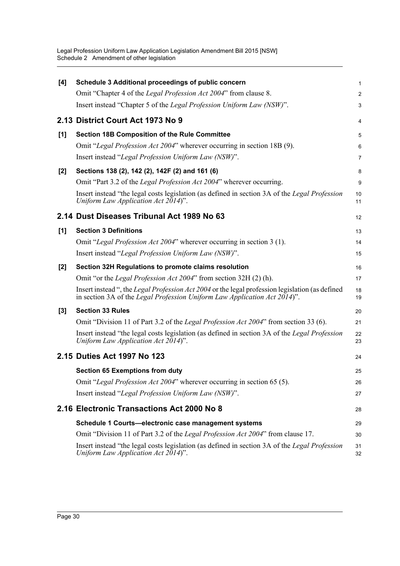| [4]   | Schedule 3 Additional proceedings of public concern                                                                                                                          | 1              |
|-------|------------------------------------------------------------------------------------------------------------------------------------------------------------------------------|----------------|
|       | Omit "Chapter 4 of the Legal Profession Act 2004" from clause 8.                                                                                                             | $\overline{2}$ |
|       | Insert instead "Chapter 5 of the Legal Profession Uniform Law (NSW)".                                                                                                        | 3              |
|       | 2.13 District Court Act 1973 No 9                                                                                                                                            | 4              |
| [1]   | <b>Section 18B Composition of the Rule Committee</b>                                                                                                                         | 5              |
|       | Omit "Legal Profession Act 2004" wherever occurring in section 18B (9).                                                                                                      | 6              |
|       | Insert instead "Legal Profession Uniform Law (NSW)".                                                                                                                         | 7              |
| $[2]$ | Sections 138 (2), 142 (2), 142F (2) and 161 (6)                                                                                                                              | 8              |
|       | Omit "Part 3.2 of the Legal Profession Act 2004" wherever occurring.                                                                                                         | 9              |
|       | Insert instead "the legal costs legislation (as defined in section 3A of the Legal Profession<br>Uniform Law Application Act 2014)".                                         | 10<br>11       |
|       | 2.14 Dust Diseases Tribunal Act 1989 No 63                                                                                                                                   | 12             |
| [1]   | <b>Section 3 Definitions</b>                                                                                                                                                 | 13             |
|       | Omit "Legal Profession Act 2004" wherever occurring in section 3 (1).                                                                                                        | 14             |
|       | Insert instead "Legal Profession Uniform Law (NSW)".                                                                                                                         | 15             |
| $[2]$ | Section 32H Regulations to promote claims resolution                                                                                                                         | 16             |
|       | Omit "or the Legal Profession Act 2004" from section 32H (2) (h).                                                                                                            | 17             |
|       | Insert instead ", the Legal Profession Act 2004 or the legal profession legislation (as defined<br>in section 3A of the Legal Profession Uniform Law Application Act 2014)". | 18<br>19       |
| $[3]$ | <b>Section 33 Rules</b>                                                                                                                                                      | 20             |
|       | Omit "Division 11 of Part 3.2 of the Legal Profession Act 2004" from section 33 (6).                                                                                         | 21             |
|       | Insert instead "the legal costs legislation (as defined in section 3A of the Legal Profession<br>Uniform Law Application Act 2014)".                                         | 22<br>23       |
|       | 2.15 Duties Act 1997 No 123                                                                                                                                                  | 24             |
|       | <b>Section 65 Exemptions from duty</b>                                                                                                                                       | 25             |
|       | Omit "Legal Profession Act 2004" wherever occurring in section 65 (5).                                                                                                       | 26             |
|       | Insert instead "Legal Profession Uniform Law (NSW)".                                                                                                                         | 27             |
|       | 2.16 Electronic Transactions Act 2000 No 8                                                                                                                                   | 28             |
|       | Schedule 1 Courts-electronic case management systems                                                                                                                         | 29             |
|       | Omit "Division 11 of Part 3.2 of the Legal Profession Act 2004" from clause 17.                                                                                              | 30             |
|       | Insert instead "the legal costs legislation (as defined in section 3A of the Legal Profession<br>Uniform Law Application Act 2014)".                                         | 31<br>32       |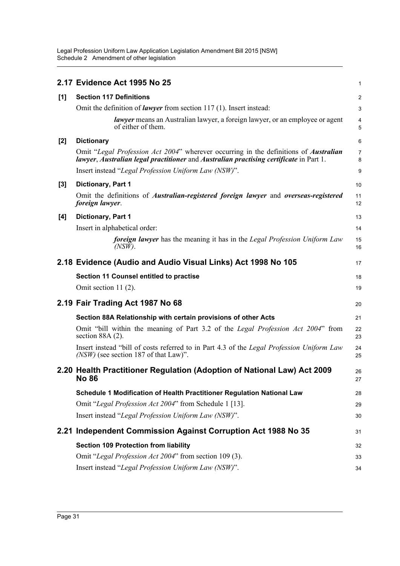|       | 2.17 Evidence Act 1995 No 25                                                                                                                                                   | 1                       |
|-------|--------------------------------------------------------------------------------------------------------------------------------------------------------------------------------|-------------------------|
| [1]   | <b>Section 117 Definitions</b>                                                                                                                                                 | $\overline{\mathbf{c}}$ |
|       | Omit the definition of <i>lawyer</i> from section 117(1). Insert instead:                                                                                                      | 3                       |
|       | <i>lawyer</i> means an Australian lawyer, a foreign lawyer, or an employee or agent<br>of either of them.                                                                      | 4<br>5                  |
| [2]   | <b>Dictionary</b>                                                                                                                                                              | 6                       |
|       | Omit "Legal Profession Act 2004" wherever occurring in the definitions of Australian<br>lawyer, Australian legal practitioner and Australian practising certificate in Part 1. | 7<br>8                  |
|       | Insert instead "Legal Profession Uniform Law (NSW)".                                                                                                                           | 9                       |
| $[3]$ | Dictionary, Part 1                                                                                                                                                             | 10                      |
|       | Omit the definitions of <i>Australian-registered foreign lawyer</i> and <i>overseas-registered</i><br>foreign lawyer.                                                          | 11<br>12                |
| [4]   | Dictionary, Part 1                                                                                                                                                             | 13                      |
|       | Insert in alphabetical order:                                                                                                                                                  | 14                      |
|       | <b>foreign lawyer</b> has the meaning it has in the Legal Profession Uniform Law<br>$(NSW)$ .                                                                                  | 15<br>16                |
|       | 2.18 Evidence (Audio and Audio Visual Links) Act 1998 No 105                                                                                                                   | 17                      |
|       | <b>Section 11 Counsel entitled to practise</b>                                                                                                                                 | 18                      |
|       | Omit section 11 $(2)$ .                                                                                                                                                        | 19                      |
|       | 2.19 Fair Trading Act 1987 No 68                                                                                                                                               | 20                      |
|       | Section 88A Relationship with certain provisions of other Acts                                                                                                                 | 21                      |
|       | Omit "bill within the meaning of Part 3.2 of the Legal Profession Act 2004" from<br>section $88A(2)$ .                                                                         | 22<br>23                |
|       | Insert instead "bill of costs referred to in Part 4.3 of the Legal Profession Uniform Law<br>$(NSW)$ (see section 187 of that Law)".                                           | 24<br>25                |
|       | 2.20 Health Practitioner Regulation (Adoption of National Law) Act 2009<br><b>No 86</b>                                                                                        | 26<br>27                |
|       | Schedule 1 Modification of Health Practitioner Regulation National Law                                                                                                         | 28                      |
|       | Omit "Legal Profession Act 2004" from Schedule 1 [13].                                                                                                                         | 29                      |
|       | Insert instead "Legal Profession Uniform Law (NSW)".                                                                                                                           | 30                      |
|       | 2.21 Independent Commission Against Corruption Act 1988 No 35                                                                                                                  | 31                      |
|       | <b>Section 109 Protection from liability</b>                                                                                                                                   | 32                      |
|       | Omit "Legal Profession Act 2004" from section 109 (3).                                                                                                                         | 33                      |
|       | Insert instead "Legal Profession Uniform Law (NSW)".                                                                                                                           | 34                      |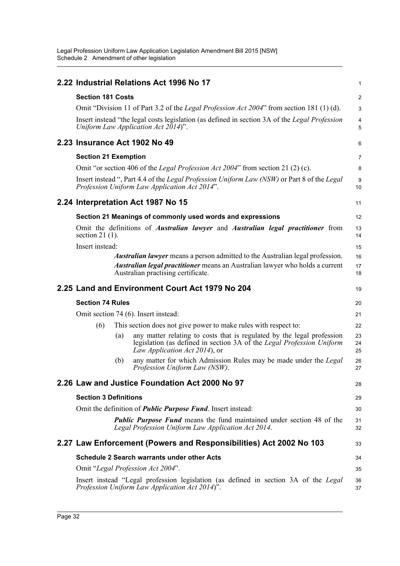|                              |     | 2.22 Industrial Relations Act 1996 No 17                                                                                                                                         | 1                   |
|------------------------------|-----|----------------------------------------------------------------------------------------------------------------------------------------------------------------------------------|---------------------|
| <b>Section 181 Costs</b>     |     |                                                                                                                                                                                  | 2                   |
|                              |     | Omit "Division 11 of Part 3.2 of the <i>Legal Profession Act 2004</i> " from section 181 (1) (d).                                                                                | 3                   |
|                              |     | Insert instead "the legal costs legislation (as defined in section 3A of the Legal Profession<br>Uniform Law Application Act 2014)".                                             | $\overline{4}$<br>5 |
|                              |     | 2.23 Insurance Act 1902 No 49                                                                                                                                                    | 6                   |
| <b>Section 21 Exemption</b>  |     |                                                                                                                                                                                  | 7                   |
|                              |     | Omit "or section 406 of the <i>Legal Profession Act 2004</i> " from section 21 (2) (c).                                                                                          | 8                   |
|                              |     | Insert instead ", Part 4.4 of the Legal Profession Uniform Law (NSW) or Part 8 of the Legal<br>Profession Uniform Law Application Act 2014".                                     | 9<br>10             |
|                              |     | 2.24 Interpretation Act 1987 No 15                                                                                                                                               | 11                  |
|                              |     | Section 21 Meanings of commonly used words and expressions                                                                                                                       | 12                  |
| section 21 $(1)$ .           |     | Omit the definitions of <i>Australian lawyer</i> and <i>Australian legal practitioner</i> from                                                                                   | 13<br>14            |
| Insert instead:              |     |                                                                                                                                                                                  | 15                  |
|                              |     | <i>Australian lawyer</i> means a person admitted to the Australian legal profession.                                                                                             | 16                  |
|                              |     | <b>Australian legal practitioner</b> means an Australian lawyer who holds a current<br>Australian practising certificate.                                                        | 17<br>18            |
|                              |     | 2.25 Land and Environment Court Act 1979 No 204                                                                                                                                  | 19                  |
| <b>Section 74 Rules</b>      |     |                                                                                                                                                                                  | 20                  |
|                              |     | Omit section 74 (6). Insert instead:                                                                                                                                             | 21                  |
| (6)                          |     | This section does not give power to make rules with respect to:                                                                                                                  | 22                  |
|                              | (a) | any matter relating to costs that is regulated by the legal profession<br>legislation (as defined in section 3A of the Legal Profession Uniform<br>Law Application Act 2014), or | 23<br>24<br>25      |
|                              | (b) | any matter for which Admission Rules may be made under the Legal<br>Profession Uniform Law (NSW).                                                                                | 26<br>27            |
|                              |     | 2.26 Law and Justice Foundation Act 2000 No 97                                                                                                                                   | 28                  |
| <b>Section 3 Definitions</b> |     |                                                                                                                                                                                  | 29                  |
|                              |     | Omit the definition of <i>Public Purpose Fund</i> . Insert instead:                                                                                                              | 30                  |
|                              |     | <b>Public Purpose Fund</b> means the fund maintained under section 48 of the<br>Legal Profession Uniform Law Application Act 2014.                                               | 31<br>32            |
|                              |     | 2.27 Law Enforcement (Powers and Responsibilities) Act 2002 No 103                                                                                                               | 33                  |
|                              |     | <b>Schedule 2 Search warrants under other Acts</b>                                                                                                                               | 34                  |
|                              |     | Omit "Legal Profession Act 2004".                                                                                                                                                | 35                  |
|                              |     | Insert instead "Legal profession legislation (as defined in section 3A of the Legal<br>Profession Uniform Law Application Act 2014)".                                            | 36<br>37            |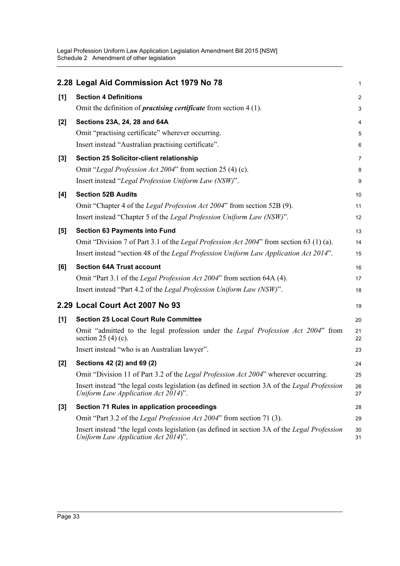|       | 2.28 Legal Aid Commission Act 1979 No 78                                                                                             | 1              |
|-------|--------------------------------------------------------------------------------------------------------------------------------------|----------------|
| [1]   | <b>Section 4 Definitions</b>                                                                                                         | $\overline{c}$ |
|       | Omit the definition of <i>practising certificate</i> from section $4(1)$ .                                                           | 3              |
| $[2]$ | Sections 23A, 24, 28 and 64A                                                                                                         | 4              |
|       | Omit "practising certificate" wherever occurring.                                                                                    | 5              |
|       | Insert instead "Australian practising certificate".                                                                                  | 6              |
| $[3]$ | Section 25 Solicitor-client relationship                                                                                             | 7              |
|       | Omit "Legal Profession Act 2004" from section 25 (4) (c).                                                                            | 8              |
|       | Insert instead "Legal Profession Uniform Law (NSW)".                                                                                 | 9              |
| [4]   | <b>Section 52B Audits</b>                                                                                                            | 10             |
|       | Omit "Chapter 4 of the Legal Profession Act 2004" from section 52B (9).                                                              | 11             |
|       | Insert instead "Chapter 5 of the Legal Profession Uniform Law (NSW)".                                                                | 12             |
| [5]   | <b>Section 63 Payments into Fund</b>                                                                                                 | 13             |
|       | Omit "Division 7 of Part 3.1 of the Legal Profession Act 2004" from section 63 (1) (a).                                              | 14             |
|       | Insert instead "section 48 of the <i>Legal Profession Uniform Law Application Act 2014</i> ".                                        | 15             |
| [6]   | <b>Section 64A Trust account</b>                                                                                                     | 16             |
|       | Omit "Part 3.1 of the Legal Profession Act 2004" from section 64A (4).                                                               | 17             |
|       | Insert instead "Part 4.2 of the Legal Profession Uniform Law (NSW)".                                                                 | 18             |
|       | 2.29 Local Court Act 2007 No 93                                                                                                      | 19             |
| [1]   | <b>Section 25 Local Court Rule Committee</b>                                                                                         | 20             |
|       | Omit "admitted to the legal profession under the Legal Profession Act 2004" from<br>section 25 (4) (c).                              | 21<br>22       |
|       | Insert instead "who is an Australian lawyer".                                                                                        | 23             |
| $[2]$ | Sections 42 (2) and 69 (2)                                                                                                           | 24             |
|       | Omit "Division 11 of Part 3.2 of the <i>Legal Profession Act 2004</i> " wherever occurring                                           | 25             |
|       | Insert instead "the legal costs legislation (as defined in section 3A of the Legal Profession<br>Uniform Law Application Act 2014)". | 26<br>27       |
| $[3]$ | Section 71 Rules in application proceedings                                                                                          | 28             |
|       | Omit "Part 3.2 of the Legal Profession Act 2004" from section 71 (3).                                                                | 29             |
|       | Insert instead "the legal costs legislation (as defined in section 3A of the Legal Profession<br>Uniform Law Application Act 2014)". | 30<br>31       |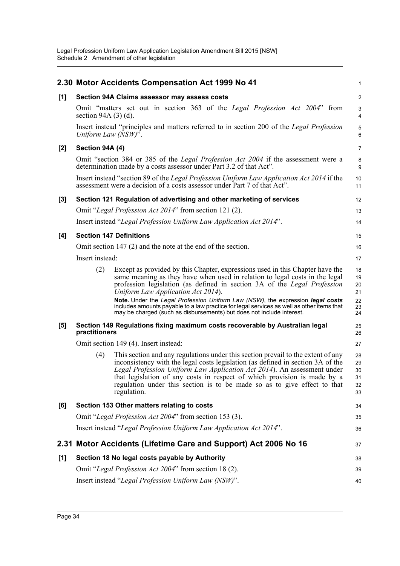|       |                           | 2.30 Motor Accidents Compensation Act 1999 No 41                                                                                                                                                                                                                                                                                                                                                                      | 1                                |
|-------|---------------------------|-----------------------------------------------------------------------------------------------------------------------------------------------------------------------------------------------------------------------------------------------------------------------------------------------------------------------------------------------------------------------------------------------------------------------|----------------------------------|
| [1]   |                           | Section 94A Claims assessor may assess costs                                                                                                                                                                                                                                                                                                                                                                          | $\overline{c}$                   |
|       | section 94A $(3)$ $(d)$ . | Omit "matters set out in section 363 of the <i>Legal Profession Act 2004</i> " from                                                                                                                                                                                                                                                                                                                                   | 3<br>4                           |
|       | Uniform Law (NSW)".       | Insert instead "principles and matters referred to in section 200 of the Legal Profession                                                                                                                                                                                                                                                                                                                             | 5<br>6                           |
| [2]   | Section 94A (4)           |                                                                                                                                                                                                                                                                                                                                                                                                                       | $\overline{7}$                   |
|       |                           | Omit "section 384 or 385 of the <i>Legal Profession Act 2004</i> if the assessment were a<br>determination made by a costs assessor under Part 3.2 of that Act".                                                                                                                                                                                                                                                      | 8<br>9                           |
|       |                           | Insert instead "section 89 of the <i>Legal Profession Uniform Law Application Act 2014</i> if the<br>assessment were a decision of a costs assessor under Part 7 of that Act".                                                                                                                                                                                                                                        | 10<br>11                         |
| $[3]$ |                           | Section 121 Regulation of advertising and other marketing of services                                                                                                                                                                                                                                                                                                                                                 | 12                               |
|       |                           | Omit "Legal Profession Act 2014" from section 121 (2).                                                                                                                                                                                                                                                                                                                                                                | 13                               |
|       |                           | Insert instead "Legal Profession Uniform Law Application Act 2014".                                                                                                                                                                                                                                                                                                                                                   | 14                               |
| [4]   |                           | <b>Section 147 Definitions</b>                                                                                                                                                                                                                                                                                                                                                                                        | 15                               |
|       |                           | Omit section $147(2)$ and the note at the end of the section.                                                                                                                                                                                                                                                                                                                                                         | 16                               |
|       | Insert instead:           |                                                                                                                                                                                                                                                                                                                                                                                                                       | 17                               |
|       | (2)                       | Except as provided by this Chapter, expressions used in this Chapter have the<br>same meaning as they have when used in relation to legal costs in the legal<br>profession legislation (as defined in section 3A of the Legal Profession<br>Uniform Law Application Act 2014).                                                                                                                                        | 18<br>19<br>20<br>21             |
|       |                           | Note. Under the Legal Profession Uniform Law (NSW), the expression legal costs<br>includes amounts payable to a law practice for legal services as well as other items that<br>may be charged (such as disbursements) but does not include interest.                                                                                                                                                                  | 22<br>23<br>24                   |
| [5]   | practitioners             | Section 149 Regulations fixing maximum costs recoverable by Australian legal                                                                                                                                                                                                                                                                                                                                          | 25<br>26                         |
|       |                           | Omit section 149 (4). Insert instead:                                                                                                                                                                                                                                                                                                                                                                                 | 27                               |
|       | (4)                       | This section and any regulations under this section prevail to the extent of any<br>inconsistency with the legal costs legislation (as defined in section 3A of the<br>Legal Profession Uniform Law Application Act 2014). An assessment under<br>that legislation of any costs in respect of which provision is made by a<br>regulation under this section is to be made so as to give effect to that<br>regulation. | 28<br>29<br>30<br>31<br>32<br>33 |
| [6]   |                           | Section 153 Other matters relating to costs                                                                                                                                                                                                                                                                                                                                                                           | 34                               |
|       |                           | Omit "Legal Profession Act 2004" from section 153 (3).                                                                                                                                                                                                                                                                                                                                                                | 35                               |
|       |                           | Insert instead "Legal Profession Uniform Law Application Act 2014".                                                                                                                                                                                                                                                                                                                                                   | 36                               |
| 2.31  |                           | Motor Accidents (Lifetime Care and Support) Act 2006 No 16                                                                                                                                                                                                                                                                                                                                                            | 37                               |
| $[1]$ |                           | Section 18 No legal costs payable by Authority                                                                                                                                                                                                                                                                                                                                                                        | 38                               |
|       |                           | Omit "Legal Profession Act 2004" from section 18 (2).                                                                                                                                                                                                                                                                                                                                                                 | 39                               |
|       |                           | Insert instead "Legal Profession Uniform Law (NSW)".                                                                                                                                                                                                                                                                                                                                                                  | 40                               |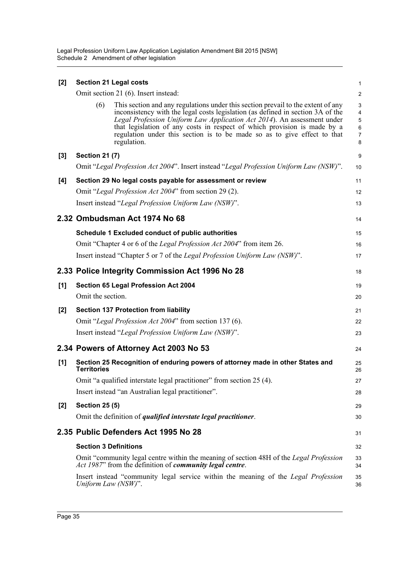| [2]   |                              | <b>Section 21 Legal costs</b>                                                                                                                                                                                                                                                                                                                                                                                         | 1                          |
|-------|------------------------------|-----------------------------------------------------------------------------------------------------------------------------------------------------------------------------------------------------------------------------------------------------------------------------------------------------------------------------------------------------------------------------------------------------------------------|----------------------------|
|       |                              | Omit section 21 (6). Insert instead:                                                                                                                                                                                                                                                                                                                                                                                  | $\overline{\mathbf{c}}$    |
|       | (6)                          | This section and any regulations under this section prevail to the extent of any<br>inconsistency with the legal costs legislation (as defined in section 3A of the<br>Legal Profession Uniform Law Application Act 2014). An assessment under<br>that legislation of any costs in respect of which provision is made by a<br>regulation under this section is to be made so as to give effect to that<br>regulation. | 3<br>4<br>5<br>6<br>7<br>8 |
| $[3]$ | <b>Section 21 (7)</b>        |                                                                                                                                                                                                                                                                                                                                                                                                                       | 9                          |
|       |                              | Omit "Legal Profession Act 2004". Insert instead "Legal Profession Uniform Law (NSW)".                                                                                                                                                                                                                                                                                                                                | 10                         |
| [4]   |                              | Section 29 No legal costs payable for assessment or review                                                                                                                                                                                                                                                                                                                                                            | 11                         |
|       |                              | Omit "Legal Profession Act 2004" from section 29 (2).                                                                                                                                                                                                                                                                                                                                                                 | 12                         |
|       |                              | Insert instead "Legal Profession Uniform Law (NSW)".                                                                                                                                                                                                                                                                                                                                                                  | 13                         |
|       |                              | 2.32 Ombudsman Act 1974 No 68                                                                                                                                                                                                                                                                                                                                                                                         | 14                         |
|       |                              | Schedule 1 Excluded conduct of public authorities                                                                                                                                                                                                                                                                                                                                                                     | 15                         |
|       |                              | Omit "Chapter 4 or 6 of the Legal Profession Act 2004" from item 26.                                                                                                                                                                                                                                                                                                                                                  | 16                         |
|       |                              | Insert instead "Chapter 5 or 7 of the Legal Profession Uniform Law (NSW)".                                                                                                                                                                                                                                                                                                                                            | 17                         |
|       |                              | 2.33 Police Integrity Commission Act 1996 No 28                                                                                                                                                                                                                                                                                                                                                                       | 18                         |
| [1]   |                              | Section 65 Legal Profession Act 2004                                                                                                                                                                                                                                                                                                                                                                                  | 19                         |
|       | Omit the section.            |                                                                                                                                                                                                                                                                                                                                                                                                                       | 20                         |
| [2]   |                              | <b>Section 137 Protection from liability</b>                                                                                                                                                                                                                                                                                                                                                                          | 21                         |
|       |                              | Omit "Legal Profession Act 2004" from section 137 (6).                                                                                                                                                                                                                                                                                                                                                                | 22                         |
|       |                              | Insert instead "Legal Profession Uniform Law (NSW)".                                                                                                                                                                                                                                                                                                                                                                  | 23                         |
|       |                              | 2.34 Powers of Attorney Act 2003 No 53                                                                                                                                                                                                                                                                                                                                                                                | 24                         |
| [1]   | <b>Territories</b>           | Section 25 Recognition of enduring powers of attorney made in other States and                                                                                                                                                                                                                                                                                                                                        | 25<br>26                   |
|       |                              | Omit "a qualified interstate legal practitioner" from section 25 (4).                                                                                                                                                                                                                                                                                                                                                 | 27                         |
|       |                              | Insert instead "an Australian legal practitioner".                                                                                                                                                                                                                                                                                                                                                                    | 28                         |
| [2]   | <b>Section 25 (5)</b>        |                                                                                                                                                                                                                                                                                                                                                                                                                       | 29                         |
|       |                              | Omit the definition of <i>qualified interstate legal practitioner</i> .                                                                                                                                                                                                                                                                                                                                               | 30                         |
|       |                              | 2.35 Public Defenders Act 1995 No 28                                                                                                                                                                                                                                                                                                                                                                                  | 31                         |
|       | <b>Section 3 Definitions</b> |                                                                                                                                                                                                                                                                                                                                                                                                                       | 32                         |
|       |                              | Omit "community legal centre within the meaning of section 48H of the Legal Profession<br>Act 1987" from the definition of community legal centre.                                                                                                                                                                                                                                                                    | 33<br>34                   |
|       | Uniform Law (NSW)".          | Insert instead "community legal service within the meaning of the Legal Profession                                                                                                                                                                                                                                                                                                                                    | 35<br>36                   |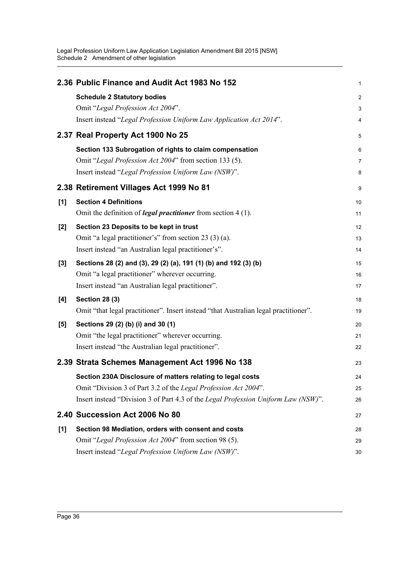|       | 2.36 Public Finance and Audit Act 1983 No 152                                        | $\mathbf{1}$            |
|-------|--------------------------------------------------------------------------------------|-------------------------|
|       | <b>Schedule 2 Statutory bodies</b>                                                   | $\overline{\mathbf{c}}$ |
|       | Omit "Legal Profession Act 2004".                                                    | 3                       |
|       | Insert instead "Legal Profession Uniform Law Application Act 2014".                  | 4                       |
|       | 2.37 Real Property Act 1900 No 25                                                    | 5                       |
|       | Section 133 Subrogation of rights to claim compensation                              | 6                       |
|       | Omit "Legal Profession Act 2004" from section 133 (5).                               | 7                       |
|       | Insert instead "Legal Profession Uniform Law (NSW)".                                 | 8                       |
|       | 2.38 Retirement Villages Act 1999 No 81                                              | 9                       |
| [1]   | <b>Section 4 Definitions</b>                                                         | 10                      |
|       | Omit the definition of <i>legal practitioner</i> from section $4(1)$ .               | 11                      |
| [2]   | Section 23 Deposits to be kept in trust                                              | 12                      |
|       | Omit "a legal practitioner's" from section 23 (3) (a).                               | 13                      |
|       | Insert instead "an Australian legal practitioner's".                                 | 14                      |
| $[3]$ | Sections 28 (2) and (3), 29 (2) (a), 191 (1) (b) and 192 (3) (b)                     | 15                      |
|       | Omit "a legal practitioner" wherever occurring.                                      | 16                      |
|       | Insert instead "an Australian legal practitioner".                                   | 17                      |
| [4]   | <b>Section 28 (3)</b>                                                                | 18                      |
|       | Omit "that legal practitioner". Insert instead "that Australian legal practitioner". | 19                      |
| [5]   | Sections 29 (2) (b) (i) and 30 (1)                                                   | 20                      |
|       | Omit "the legal practitioner" wherever occurring.                                    | 21                      |
|       | Insert instead "the Australian legal practitioner".                                  | 22                      |
|       | 2.39 Strata Schemes Management Act 1996 No 138                                       | 23                      |
|       | Section 230A Disclosure of matters relating to legal costs                           | 24                      |
|       | Omit "Division 3 of Part 3.2 of the Legal Profession Act 2004".                      | 25                      |
|       | Insert instead "Division 3 of Part 4.3 of the Legal Profession Uniform Law (NSW)".   | 26                      |
|       | 2.40 Succession Act 2006 No 80                                                       | 27                      |
| $[1]$ | Section 98 Mediation, orders with consent and costs                                  | 28                      |
|       | Omit "Legal Profession Act 2004" from section 98 (5).                                | 29                      |
|       | Insert instead "Legal Profession Uniform Law (NSW)".                                 | 30                      |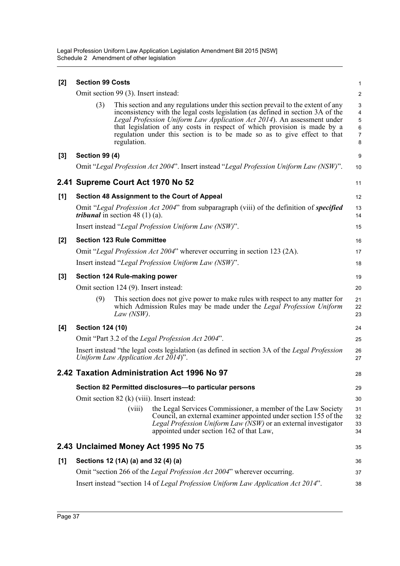| $[2]$ | <b>Section 99 Costs</b>                                                           |                                          |                                                                                                                                                                                                                                                                                                                                                                                                        | $\mathbf{1}$                                      |
|-------|-----------------------------------------------------------------------------------|------------------------------------------|--------------------------------------------------------------------------------------------------------------------------------------------------------------------------------------------------------------------------------------------------------------------------------------------------------------------------------------------------------------------------------------------------------|---------------------------------------------------|
|       |                                                                                   | Omit section 99 (3). Insert instead:     |                                                                                                                                                                                                                                                                                                                                                                                                        | $\overline{c}$                                    |
|       | (3)                                                                               | regulation.                              | This section and any regulations under this section prevail to the extent of any<br>inconsistency with the legal costs legislation (as defined in section 3A of the<br>Legal Profession Uniform Law Application Act 2014). An assessment under<br>that legislation of any costs in respect of which provision is made by a<br>regulation under this section is to be made so as to give effect to that | 3<br>4<br>$\mathbf 5$<br>6<br>$\overline{7}$<br>8 |
| $[3]$ | <b>Section 99 (4)</b>                                                             |                                          |                                                                                                                                                                                                                                                                                                                                                                                                        | 9                                                 |
|       |                                                                                   |                                          | Omit "Legal Profession Act 2004". Insert instead "Legal Profession Uniform Law (NSW)".                                                                                                                                                                                                                                                                                                                 | 10                                                |
|       |                                                                                   |                                          | 2.41 Supreme Court Act 1970 No 52                                                                                                                                                                                                                                                                                                                                                                      | 11                                                |
| [1]   |                                                                                   |                                          | Section 48 Assignment to the Court of Appeal                                                                                                                                                                                                                                                                                                                                                           | 12                                                |
|       |                                                                                   | <i>tribunal</i> in section 48 $(1)$ (a). | Omit "Legal Profession Act 2004" from subparagraph (viii) of the definition of specified                                                                                                                                                                                                                                                                                                               | 13<br>14                                          |
|       |                                                                                   |                                          | Insert instead "Legal Profession Uniform Law (NSW)".                                                                                                                                                                                                                                                                                                                                                   | 15                                                |
| [2]   |                                                                                   | <b>Section 123 Rule Committee</b>        |                                                                                                                                                                                                                                                                                                                                                                                                        | 16                                                |
|       |                                                                                   |                                          | Omit "Legal Profession Act 2004" wherever occurring in section 123 (2A).                                                                                                                                                                                                                                                                                                                               | 17                                                |
|       | Insert instead "Legal Profession Uniform Law (NSW)".                              |                                          |                                                                                                                                                                                                                                                                                                                                                                                                        | 18                                                |
| $[3]$ | Section 124 Rule-making power                                                     |                                          |                                                                                                                                                                                                                                                                                                                                                                                                        | 19                                                |
|       |                                                                                   | Omit section 124 (9). Insert instead:    |                                                                                                                                                                                                                                                                                                                                                                                                        | 20                                                |
|       | (9)                                                                               | Law $(NSW)$ .                            | This section does not give power to make rules with respect to any matter for<br>which Admission Rules may be made under the Legal Profession Uniform                                                                                                                                                                                                                                                  | 21<br>22<br>23                                    |
| [4]   | <b>Section 124 (10)</b>                                                           |                                          |                                                                                                                                                                                                                                                                                                                                                                                                        | 24                                                |
|       | Omit "Part 3.2 of the Legal Profession Act 2004".                                 |                                          |                                                                                                                                                                                                                                                                                                                                                                                                        | 25                                                |
|       |                                                                                   |                                          | Insert instead "the legal costs legislation (as defined in section 3A of the Legal Profession<br>Uniform Law Application Act $2014$ ".                                                                                                                                                                                                                                                                 | 26<br>27                                          |
|       |                                                                                   |                                          | 2.42 Taxation Administration Act 1996 No 97                                                                                                                                                                                                                                                                                                                                                            | 28                                                |
|       | Section 82 Permitted disclosures-to particular persons                            |                                          |                                                                                                                                                                                                                                                                                                                                                                                                        | 29                                                |
|       |                                                                                   |                                          | Omit section 82 (k) (viii). Insert instead:                                                                                                                                                                                                                                                                                                                                                            | 30                                                |
|       |                                                                                   | (viii)                                   | the Legal Services Commissioner, a member of the Law Society<br>Council, an external examiner appointed under section 155 of the<br>Legal Profession Uniform Law (NSW) or an external investigator<br>appointed under section 162 of that Law,                                                                                                                                                         | 31<br>32<br>33<br>34                              |
|       |                                                                                   |                                          | 2.43 Unclaimed Money Act 1995 No 75                                                                                                                                                                                                                                                                                                                                                                    | 35                                                |
| [1]   | Sections 12 (1A) (a) and 32 (4) (a)                                               |                                          |                                                                                                                                                                                                                                                                                                                                                                                                        | 36                                                |
|       | Omit "section 266 of the Legal Profession Act 2004" wherever occurring.           |                                          |                                                                                                                                                                                                                                                                                                                                                                                                        | 37                                                |
|       | Insert instead "section 14 of Legal Profession Uniform Law Application Act 2014". |                                          |                                                                                                                                                                                                                                                                                                                                                                                                        |                                                   |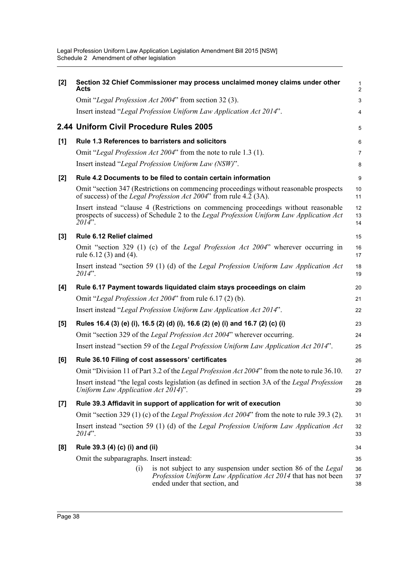| [2]   | Section 32 Chief Commissioner may process unclaimed money claims under other<br>Acts                                                                                                        | 1<br>$\overline{\mathbf{c}}$ |  |
|-------|---------------------------------------------------------------------------------------------------------------------------------------------------------------------------------------------|------------------------------|--|
|       | Omit "Legal Profession Act 2004" from section 32 (3).                                                                                                                                       | 3                            |  |
|       | Insert instead "Legal Profession Uniform Law Application Act 2014".                                                                                                                         | 4                            |  |
|       | 2.44 Uniform Civil Procedure Rules 2005                                                                                                                                                     | 5                            |  |
| [1]   | Rule 1.3 References to barristers and solicitors                                                                                                                                            | 6                            |  |
|       | Omit "Legal Profession Act 2004" from the note to rule 1.3 (1).                                                                                                                             | 7                            |  |
|       | Insert instead "Legal Profession Uniform Law (NSW)".                                                                                                                                        | 8                            |  |
| $[2]$ | Rule 4.2 Documents to be filed to contain certain information                                                                                                                               | 9                            |  |
|       | Omit "section 347 (Restrictions on commencing proceedings without reasonable prospects<br>of success) of the <i>Legal Profession Act 2004</i> " from rule 4.2 (3A).                         | 10<br>11                     |  |
|       | Insert instead "clause 4 (Restrictions on commencing proceedings without reasonable<br>prospects of success) of Schedule 2 to the Legal Profession Uniform Law Application Act<br>$2014$ ". | 12<br>13<br>14               |  |
| $[3]$ | Rule 6.12 Relief claimed                                                                                                                                                                    | 15                           |  |
|       | Omit "section 329 (1) (c) of the <i>Legal Profession Act 2004</i> " wherever occurring in<br>rule $6.12(3)$ and $(4)$ .                                                                     | 16<br>17                     |  |
|       | Insert instead "section 59 (1) (d) of the Legal Profession Uniform Law Application Act<br>$2014$ ".                                                                                         | 18<br>19                     |  |
| [4]   | Rule 6.17 Payment towards liquidated claim stays proceedings on claim                                                                                                                       | 20                           |  |
|       | Omit "Legal Profession Act 2004" from rule 6.17 (2) (b).                                                                                                                                    | 21                           |  |
|       | Insert instead "Legal Profession Uniform Law Application Act 2014".                                                                                                                         | 22                           |  |
| [5]   | Rules 16.4 (3) (e) (i), 16.5 (2) (d) (i), 16.6 (2) (e) (i) and 16.7 (2) (c) (i)                                                                                                             | 23                           |  |
|       | Omit "section 329 of the Legal Profession Act 2004" wherever occurring.                                                                                                                     | 24                           |  |
|       | Insert instead "section 59 of the Legal Profession Uniform Law Application Act 2014".                                                                                                       | 25                           |  |
| [6]   | Rule 36.10 Filing of cost assessors' certificates                                                                                                                                           |                              |  |
|       | Omit "Division 11 of Part 3.2 of the Legal Profession Act 2004" from the note to rule 36.10.                                                                                                | 27                           |  |
|       | Insert instead "the legal costs legislation (as defined in section 3A of the Legal Profession<br>Uniform Law Application Act 2014)".                                                        | 28<br>29                     |  |
| $[7]$ | Rule 39.3 Affidavit in support of application for writ of execution                                                                                                                         |                              |  |
|       | Omit "section 329 (1) (c) of the Legal Profession Act 2004" from the note to rule 39.3 (2).                                                                                                 |                              |  |
|       | Insert instead "section 59 (1) (d) of the Legal Profession Uniform Law Application Act<br>$2014$ ".                                                                                         |                              |  |
| [8]   | Rule 39.3 (4) (c) (i) and (ii)                                                                                                                                                              | 34                           |  |
|       | Omit the subparagraphs. Insert instead:                                                                                                                                                     | 35                           |  |
|       | is not subject to any suspension under section 86 of the <i>Legal</i><br>(i)<br>Profession Uniform Law Application Act 2014 that has not been<br>ended under that section, and              | 36<br>37<br>38               |  |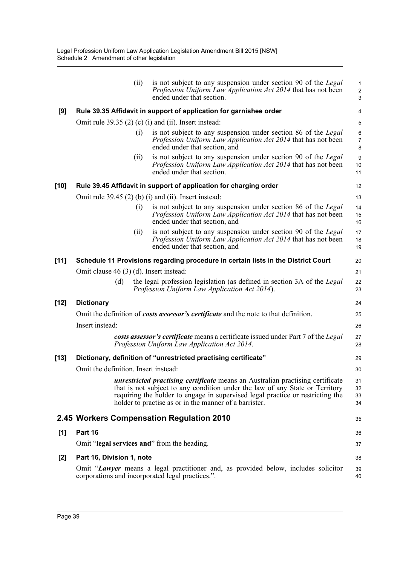| (i)                                                             | is not subject to any suspension under section 90 of the <i>Legal</i><br>Profession Uniform Law Application Act 2014 that has not been<br>ended under that section.     | 1<br>$\overline{\mathbf{c}}$<br>3                                                                                                                                                                                                                                                                                                                                                                                                                                                                                                                                                                                                                                                                                                                                                                                                                                                                                                                                                                                                                                                                                                                                                                                                                                                                                                                                                          |
|-----------------------------------------------------------------|-------------------------------------------------------------------------------------------------------------------------------------------------------------------------|--------------------------------------------------------------------------------------------------------------------------------------------------------------------------------------------------------------------------------------------------------------------------------------------------------------------------------------------------------------------------------------------------------------------------------------------------------------------------------------------------------------------------------------------------------------------------------------------------------------------------------------------------------------------------------------------------------------------------------------------------------------------------------------------------------------------------------------------------------------------------------------------------------------------------------------------------------------------------------------------------------------------------------------------------------------------------------------------------------------------------------------------------------------------------------------------------------------------------------------------------------------------------------------------------------------------------------------------------------------------------------------------|
|                                                                 |                                                                                                                                                                         | 4                                                                                                                                                                                                                                                                                                                                                                                                                                                                                                                                                                                                                                                                                                                                                                                                                                                                                                                                                                                                                                                                                                                                                                                                                                                                                                                                                                                          |
|                                                                 |                                                                                                                                                                         | 5                                                                                                                                                                                                                                                                                                                                                                                                                                                                                                                                                                                                                                                                                                                                                                                                                                                                                                                                                                                                                                                                                                                                                                                                                                                                                                                                                                                          |
| (i)                                                             | is not subject to any suspension under section 86 of the Legal<br>Profession Uniform Law Application Act 2014 that has not been<br>ended under that section, and        | 6<br>$\overline{7}$<br>8                                                                                                                                                                                                                                                                                                                                                                                                                                                                                                                                                                                                                                                                                                                                                                                                                                                                                                                                                                                                                                                                                                                                                                                                                                                                                                                                                                   |
| (11)                                                            | is not subject to any suspension under section 90 of the <i>Legal</i><br>Profession Uniform Law Application Act 2014 that has not been<br>ended under that section.     | 9<br>10<br>11                                                                                                                                                                                                                                                                                                                                                                                                                                                                                                                                                                                                                                                                                                                                                                                                                                                                                                                                                                                                                                                                                                                                                                                                                                                                                                                                                                              |
|                                                                 |                                                                                                                                                                         | 12                                                                                                                                                                                                                                                                                                                                                                                                                                                                                                                                                                                                                                                                                                                                                                                                                                                                                                                                                                                                                                                                                                                                                                                                                                                                                                                                                                                         |
|                                                                 |                                                                                                                                                                         | 13                                                                                                                                                                                                                                                                                                                                                                                                                                                                                                                                                                                                                                                                                                                                                                                                                                                                                                                                                                                                                                                                                                                                                                                                                                                                                                                                                                                         |
| (i)                                                             | is not subject to any suspension under section 86 of the Legal<br>Profession Uniform Law Application Act 2014 that has not been<br>ended under that section, and        | 14<br>15<br>16                                                                                                                                                                                                                                                                                                                                                                                                                                                                                                                                                                                                                                                                                                                                                                                                                                                                                                                                                                                                                                                                                                                                                                                                                                                                                                                                                                             |
| (11)                                                            | is not subject to any suspension under section 90 of the <i>Legal</i><br>Profession Uniform Law Application Act 2014 that has not been<br>ended under that section, and | 17<br>18<br>19                                                                                                                                                                                                                                                                                                                                                                                                                                                                                                                                                                                                                                                                                                                                                                                                                                                                                                                                                                                                                                                                                                                                                                                                                                                                                                                                                                             |
|                                                                 |                                                                                                                                                                         | 20                                                                                                                                                                                                                                                                                                                                                                                                                                                                                                                                                                                                                                                                                                                                                                                                                                                                                                                                                                                                                                                                                                                                                                                                                                                                                                                                                                                         |
|                                                                 |                                                                                                                                                                         | 21                                                                                                                                                                                                                                                                                                                                                                                                                                                                                                                                                                                                                                                                                                                                                                                                                                                                                                                                                                                                                                                                                                                                                                                                                                                                                                                                                                                         |
| (d)                                                             |                                                                                                                                                                         | 22<br>23                                                                                                                                                                                                                                                                                                                                                                                                                                                                                                                                                                                                                                                                                                                                                                                                                                                                                                                                                                                                                                                                                                                                                                                                                                                                                                                                                                                   |
| <b>Dictionary</b>                                               |                                                                                                                                                                         | 24                                                                                                                                                                                                                                                                                                                                                                                                                                                                                                                                                                                                                                                                                                                                                                                                                                                                                                                                                                                                                                                                                                                                                                                                                                                                                                                                                                                         |
|                                                                 |                                                                                                                                                                         | 25                                                                                                                                                                                                                                                                                                                                                                                                                                                                                                                                                                                                                                                                                                                                                                                                                                                                                                                                                                                                                                                                                                                                                                                                                                                                                                                                                                                         |
| Insert instead:                                                 |                                                                                                                                                                         | 26                                                                                                                                                                                                                                                                                                                                                                                                                                                                                                                                                                                                                                                                                                                                                                                                                                                                                                                                                                                                                                                                                                                                                                                                                                                                                                                                                                                         |
|                                                                 |                                                                                                                                                                         | 27<br>28                                                                                                                                                                                                                                                                                                                                                                                                                                                                                                                                                                                                                                                                                                                                                                                                                                                                                                                                                                                                                                                                                                                                                                                                                                                                                                                                                                                   |
| Dictionary, definition of "unrestricted practising certificate" |                                                                                                                                                                         |                                                                                                                                                                                                                                                                                                                                                                                                                                                                                                                                                                                                                                                                                                                                                                                                                                                                                                                                                                                                                                                                                                                                                                                                                                                                                                                                                                                            |
|                                                                 |                                                                                                                                                                         | 30                                                                                                                                                                                                                                                                                                                                                                                                                                                                                                                                                                                                                                                                                                                                                                                                                                                                                                                                                                                                                                                                                                                                                                                                                                                                                                                                                                                         |
|                                                                 |                                                                                                                                                                         | 31<br>32<br>33<br>34                                                                                                                                                                                                                                                                                                                                                                                                                                                                                                                                                                                                                                                                                                                                                                                                                                                                                                                                                                                                                                                                                                                                                                                                                                                                                                                                                                       |
|                                                                 |                                                                                                                                                                         | 35                                                                                                                                                                                                                                                                                                                                                                                                                                                                                                                                                                                                                                                                                                                                                                                                                                                                                                                                                                                                                                                                                                                                                                                                                                                                                                                                                                                         |
| Part 16                                                         |                                                                                                                                                                         | 36                                                                                                                                                                                                                                                                                                                                                                                                                                                                                                                                                                                                                                                                                                                                                                                                                                                                                                                                                                                                                                                                                                                                                                                                                                                                                                                                                                                         |
|                                                                 |                                                                                                                                                                         | 37                                                                                                                                                                                                                                                                                                                                                                                                                                                                                                                                                                                                                                                                                                                                                                                                                                                                                                                                                                                                                                                                                                                                                                                                                                                                                                                                                                                         |
|                                                                 |                                                                                                                                                                         | 38                                                                                                                                                                                                                                                                                                                                                                                                                                                                                                                                                                                                                                                                                                                                                                                                                                                                                                                                                                                                                                                                                                                                                                                                                                                                                                                                                                                         |
|                                                                 |                                                                                                                                                                         | 39<br>40                                                                                                                                                                                                                                                                                                                                                                                                                                                                                                                                                                                                                                                                                                                                                                                                                                                                                                                                                                                                                                                                                                                                                                                                                                                                                                                                                                                   |
|                                                                 |                                                                                                                                                                         | Rule 39.35 Affidavit in support of application for garnishee order<br>Omit rule $39.35(2)(c)(i)$ and (ii). Insert instead:<br>Rule 39.45 Affidavit in support of application for charging order<br>Omit rule $39.45$ (2) (b) (i) and (ii). Insert instead:<br>Schedule 11 Provisions regarding procedure in certain lists in the District Court<br>Omit clause 46 (3) (d). Insert instead:<br>the legal profession legislation (as defined in section 3A of the Legal<br>Profession Uniform Law Application Act 2014).<br>Omit the definition of <i>costs assessor's certificate</i> and the note to that definition.<br>costs assessor's certificate means a certificate issued under Part 7 of the Legal<br>Profession Uniform Law Application Act 2014.<br>Omit the definition. Insert instead:<br><i>unrestricted practising certificate</i> means an Australian practising certificate<br>that is not subject to any condition under the law of any State or Territory<br>requiring the holder to engage in supervised legal practice or restricting the<br>holder to practise as or in the manner of a barrister.<br>2.45 Workers Compensation Regulation 2010<br>Omit "legal services and" from the heading.<br>Part 16, Division 1, note<br>Omit "Lawyer means a legal practitioner and, as provided below, includes solicitor<br>corporations and incorporated legal practices.". |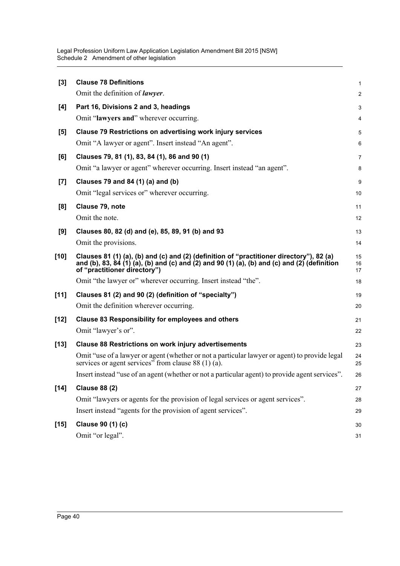| $[3]$  | <b>Clause 78 Definitions</b>                                                                                                                                                                                             | $\mathbf{1}$   |
|--------|--------------------------------------------------------------------------------------------------------------------------------------------------------------------------------------------------------------------------|----------------|
|        | Omit the definition of <i>lawyer</i> .                                                                                                                                                                                   | $\overline{2}$ |
| [4]    | Part 16, Divisions 2 and 3, headings                                                                                                                                                                                     | 3              |
|        | Omit "lawyers and" wherever occurring.                                                                                                                                                                                   | 4              |
| [5]    | <b>Clause 79 Restrictions on advertising work injury services</b>                                                                                                                                                        | 5              |
|        | Omit "A lawyer or agent". Insert instead "An agent".                                                                                                                                                                     | 6              |
| [6]    | Clauses 79, 81 (1), 83, 84 (1), 86 and 90 (1)                                                                                                                                                                            | $\overline{7}$ |
|        | Omit "a lawyer or agent" wherever occurring. Insert instead "an agent".                                                                                                                                                  | 8              |
| $[7]$  | Clauses 79 and 84 (1) (a) and (b)                                                                                                                                                                                        | 9              |
|        | Omit "legal services or" wherever occurring.                                                                                                                                                                             | 10             |
| [8]    | Clause 79, note                                                                                                                                                                                                          | 11             |
|        | Omit the note.                                                                                                                                                                                                           | 12             |
| [9]    | Clauses 80, 82 (d) and (e), 85, 89, 91 (b) and 93                                                                                                                                                                        | 13             |
|        | Omit the provisions.                                                                                                                                                                                                     | 14             |
| [10]   | Clauses 81 (1) (a), (b) and (c) and (2) (definition of "practitioner directory"), 82 (a)<br>and (b), 83, 84 (1) (a), (b) and (c) and (2) and 90 (1) (a), (b) and (c) and (2) (definition<br>of "practitioner directory") | 15<br>16<br>17 |
|        | Omit "the lawyer or" wherever occurring. Insert instead "the".                                                                                                                                                           | 18             |
| $[11]$ | Clauses 81 (2) and 90 (2) (definition of "specialty")                                                                                                                                                                    | 19             |
|        | Omit the definition wherever occurring.                                                                                                                                                                                  | 20             |
| [12]   | <b>Clause 83 Responsibility for employees and others</b>                                                                                                                                                                 | 21             |
|        | Omit "lawyer's or".                                                                                                                                                                                                      | 22             |
| $[13]$ | <b>Clause 88 Restrictions on work injury advertisements</b>                                                                                                                                                              | 23             |
|        | Omit "use of a lawyer or agent (whether or not a particular lawyer or agent) to provide legal<br>services or agent services" from clause $88(1)(a)$ .                                                                    | 24<br>25       |
|        | Insert instead "use of an agent (whether or not a particular agent) to provide agent services".                                                                                                                          | 26             |
| $[14]$ | <b>Clause 88 (2)</b>                                                                                                                                                                                                     | 27             |
|        | Omit "lawyers or agents for the provision of legal services or agent services".                                                                                                                                          | 28             |
|        | Insert instead "agents for the provision of agent services".                                                                                                                                                             | 29             |
| $[15]$ | Clause 90 (1) (c)                                                                                                                                                                                                        | 30             |
|        | Omit "or legal".                                                                                                                                                                                                         | 31             |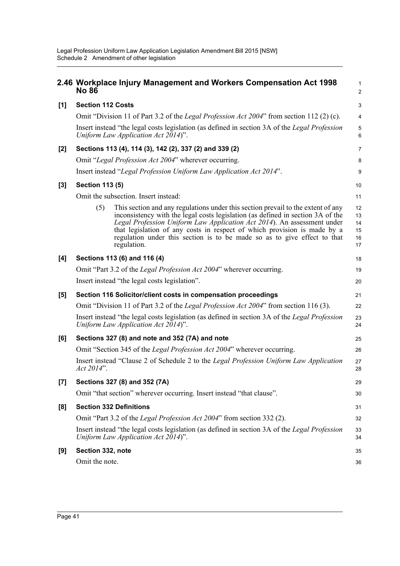|       | <b>No 86</b>                                            | 2.46 Workplace Injury Management and Workers Compensation Act 1998                                                                                                                                                                                                                                                                                                                                                    | 1<br>$\overline{\mathbf{c}}$     |  |
|-------|---------------------------------------------------------|-----------------------------------------------------------------------------------------------------------------------------------------------------------------------------------------------------------------------------------------------------------------------------------------------------------------------------------------------------------------------------------------------------------------------|----------------------------------|--|
| [1]   | <b>Section 112 Costs</b>                                |                                                                                                                                                                                                                                                                                                                                                                                                                       | 3                                |  |
|       |                                                         | Omit "Division 11 of Part 3.2 of the <i>Legal Profession Act 2004</i> " from section 112 (2) (c).                                                                                                                                                                                                                                                                                                                     | 4                                |  |
|       |                                                         | Insert instead "the legal costs legislation (as defined in section 3A of the Legal Profession<br>Uniform Law Application Act $2014$ ".                                                                                                                                                                                                                                                                                | 5<br>6                           |  |
| [2]   | Sections 113 (4), 114 (3), 142 (2), 337 (2) and 339 (2) |                                                                                                                                                                                                                                                                                                                                                                                                                       |                                  |  |
|       |                                                         | Omit "Legal Profession Act 2004" wherever occurring.                                                                                                                                                                                                                                                                                                                                                                  | 8                                |  |
|       |                                                         | Insert instead "Legal Profession Uniform Law Application Act 2014".                                                                                                                                                                                                                                                                                                                                                   | 9                                |  |
| $[3]$ | <b>Section 113 (5)</b>                                  |                                                                                                                                                                                                                                                                                                                                                                                                                       | 10                               |  |
|       |                                                         | Omit the subsection. Insert instead:                                                                                                                                                                                                                                                                                                                                                                                  | 11                               |  |
|       | (5)                                                     | This section and any regulations under this section prevail to the extent of any<br>inconsistency with the legal costs legislation (as defined in section 3A of the<br>Legal Profession Uniform Law Application Act 2014). An assessment under<br>that legislation of any costs in respect of which provision is made by a<br>regulation under this section is to be made so as to give effect to that<br>regulation. | 12<br>13<br>14<br>15<br>16<br>17 |  |
| [4]   | Sections 113 (6) and 116 (4)                            |                                                                                                                                                                                                                                                                                                                                                                                                                       |                                  |  |
|       |                                                         | Omit "Part 3.2 of the Legal Profession Act 2004" wherever occurring.                                                                                                                                                                                                                                                                                                                                                  | 19                               |  |
|       |                                                         | Insert instead "the legal costs legislation".                                                                                                                                                                                                                                                                                                                                                                         | 20                               |  |
| [5]   |                                                         | Section 116 Solicitor/client costs in compensation proceedings                                                                                                                                                                                                                                                                                                                                                        | 21                               |  |
|       |                                                         | Omit "Division 11 of Part 3.2 of the Legal Profession Act 2004" from section 116 (3).                                                                                                                                                                                                                                                                                                                                 | 22                               |  |
|       |                                                         | Insert instead "the legal costs legislation (as defined in section 3A of the Legal Profession<br>Uniform Law Application Act 2014)".                                                                                                                                                                                                                                                                                  | 23<br>24                         |  |
| [6]   |                                                         | Sections 327 (8) and note and 352 (7A) and note                                                                                                                                                                                                                                                                                                                                                                       | 25                               |  |
|       |                                                         | Omit "Section 345 of the Legal Profession Act 2004" wherever occurring.                                                                                                                                                                                                                                                                                                                                               | 26                               |  |
|       | Act 2014".                                              | Insert instead "Clause 2 of Schedule 2 to the Legal Profession Uniform Law Application                                                                                                                                                                                                                                                                                                                                | 27<br>28                         |  |
| $[7]$ |                                                         | Sections 327 (8) and 352 (7A)                                                                                                                                                                                                                                                                                                                                                                                         | 29                               |  |
|       |                                                         | Omit "that section" wherever occurring. Insert instead "that clause".                                                                                                                                                                                                                                                                                                                                                 | 30                               |  |
| [8]   |                                                         | <b>Section 332 Definitions</b>                                                                                                                                                                                                                                                                                                                                                                                        | 31                               |  |
|       |                                                         | Omit "Part 3.2 of the <i>Legal Profession Act 2004</i> " from section 332 (2).                                                                                                                                                                                                                                                                                                                                        | 32                               |  |
|       |                                                         | Insert instead "the legal costs legislation (as defined in section 3A of the Legal Profession<br>Uniform Law Application Act 2014)".                                                                                                                                                                                                                                                                                  | 33<br>34                         |  |
| [9]   | Section 332, note                                       |                                                                                                                                                                                                                                                                                                                                                                                                                       | 35                               |  |
|       | Omit the note.                                          |                                                                                                                                                                                                                                                                                                                                                                                                                       | 36                               |  |
|       |                                                         |                                                                                                                                                                                                                                                                                                                                                                                                                       |                                  |  |